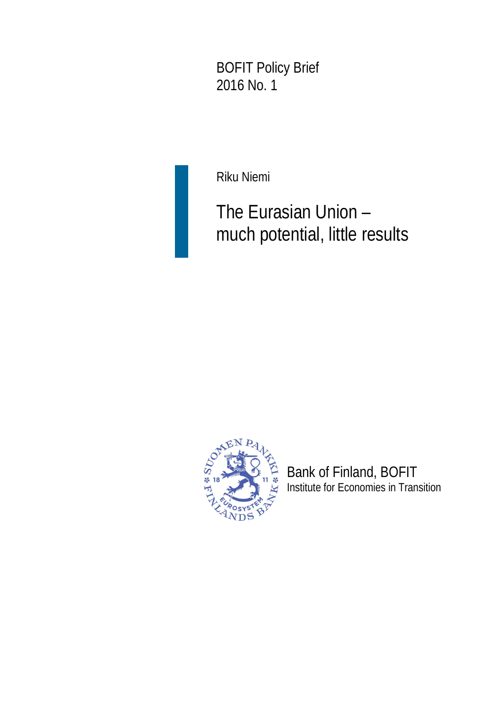BOFIT Policy Brief 2016 No. 1

Riku Niemi

# The Eurasian Union – much potential, little results



Bank of Finland, BOFIT Institute for Economies in Transition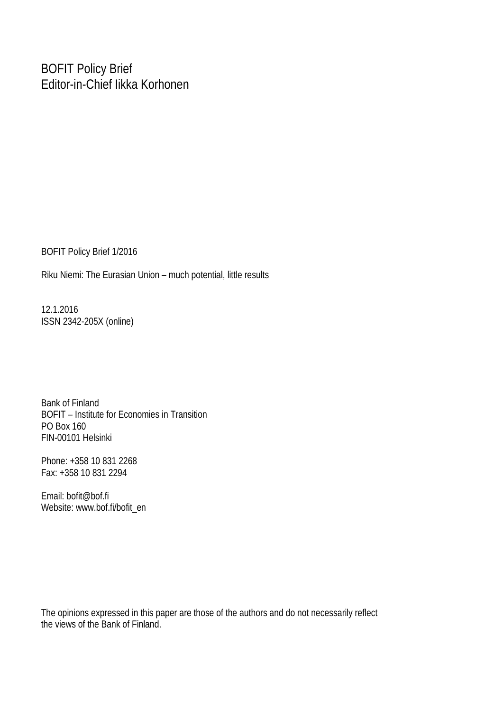### BOFIT Policy Brief Editor-in-Chief Iikka Korhonen

BOFIT Policy Brief 1/2016

Riku Niemi: The Eurasian Union – much potential, little results

12.1.2016 ISSN 2342-205X (online)

Bank of Finland BOFIT – Institute for Economies in Transition PO Box 160 FIN-00101 Helsinki

Phone: +358 10 831 2268 Fax: +358 10 831 2294

Email: bofit@bof.fi Website: www.bof.fi/bofit\_en

The opinions expressed in this paper are those of the authors and do not necessarily reflect the views of the Bank of Finland.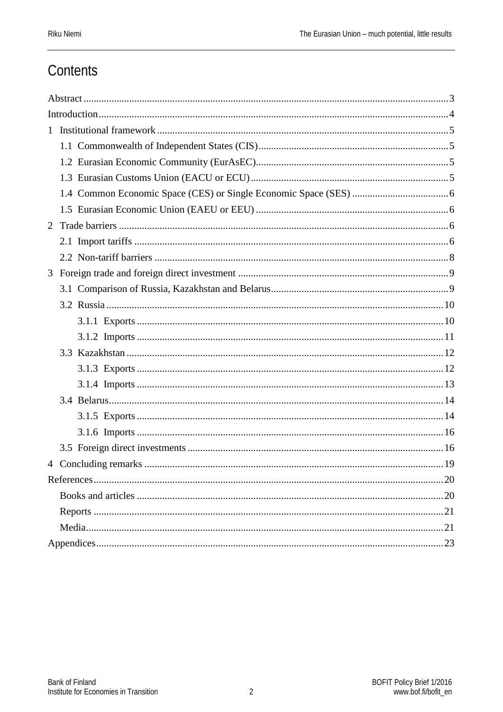# Contents

| 2 |  |
|---|--|
|   |  |
|   |  |
| 3 |  |
|   |  |
|   |  |
|   |  |
|   |  |
|   |  |
|   |  |
|   |  |
|   |  |
|   |  |
|   |  |
|   |  |
|   |  |
|   |  |
|   |  |
|   |  |
|   |  |
|   |  |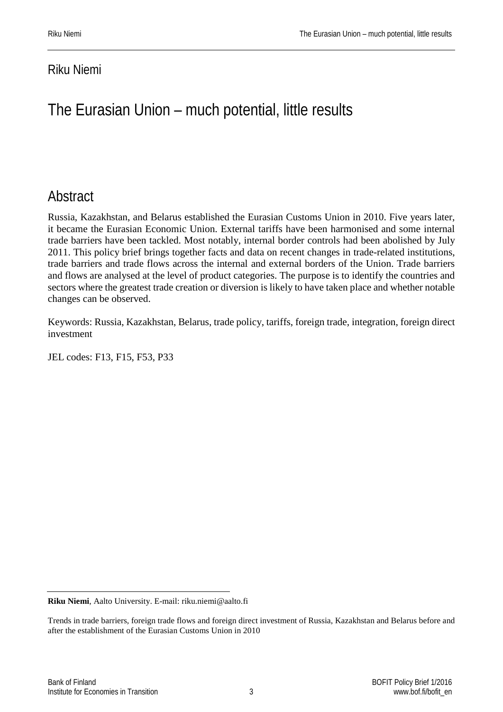### Riku Niemi

# The Eurasian Union – much potential, little results

# <span id="page-3-0"></span>Abstract

Russia, Kazakhstan, and Belarus established the Eurasian Customs Union in 2010. Five years later, it became the Eurasian Economic Union. External tariffs have been harmonised and some internal trade barriers have been tackled. Most notably, internal border controls had been abolished by July 2011. This policy brief brings together facts and data on recent changes in trade-related institutions, trade barriers and trade flows across the internal and external borders of the Union. Trade barriers and flows are analysed at the level of product categories. The purpose is to identify the countries and sectors where the greatest trade creation or diversion is likely to have taken place and whether notable changes can be observed.

Keywords: Russia, Kazakhstan, Belarus, trade policy, tariffs, foreign trade, integration, foreign direct investment

JEL codes: F13, F15, F53, P33

**Riku Niemi**, Aalto University. E-mail: riku.niemi@aalto.fi

Trends in trade barriers, foreign trade flows and foreign direct investment of Russia, Kazakhstan and Belarus before and after the establishment of the Eurasian Customs Union in 2010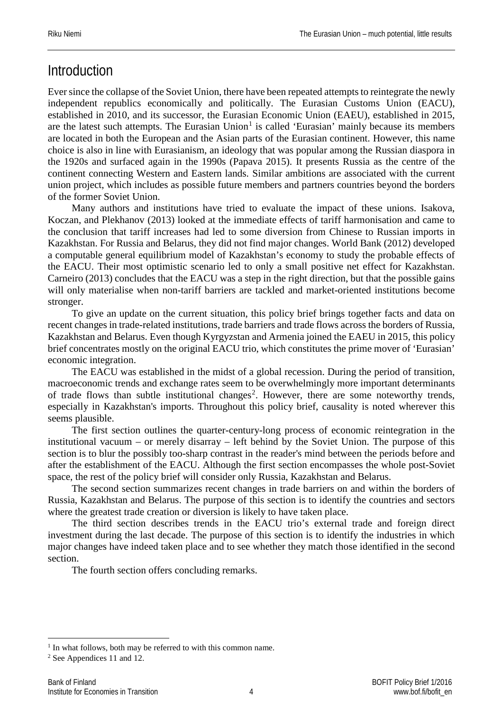# <span id="page-4-0"></span>**Introduction**

Ever since the collapse of the Soviet Union, there have been repeated attempts to reintegrate the newly independent republics economically and politically. The Eurasian Customs Union (EACU), established in 2010, and its successor, the Eurasian Economic Union (EAEU), established in 2015, are the latest such attempts. The Eurasian Union<sup>[1](#page-4-1)</sup> is called 'Eurasian' mainly because its members are located in both the European and the Asian parts of the Eurasian continent. However, this name choice is also in line with Eurasianism, an ideology that was popular among the Russian diaspora in the 1920s and surfaced again in the 1990s (Papava 2015). It presents Russia as the centre of the continent connecting Western and Eastern lands. Similar ambitions are associated with the current union project, which includes as possible future members and partners countries beyond the borders of the former Soviet Union.

Many authors and institutions have tried to evaluate the impact of these unions. Isakova, Koczan, and Plekhanov (2013) looked at the immediate effects of tariff harmonisation and came to the conclusion that tariff increases had led to some diversion from Chinese to Russian imports in Kazakhstan. For Russia and Belarus, they did not find major changes. World Bank (2012) developed a computable general equilibrium model of Kazakhstan's economy to study the probable effects of the EACU. Their most optimistic scenario led to only a small positive net effect for Kazakhstan. Carneiro (2013) concludes that the EACU was a step in the right direction, but that the possible gains will only materialise when non-tariff barriers are tackled and market-oriented institutions become stronger.

To give an update on the current situation, this policy brief brings together facts and data on recent changes in trade-related institutions, trade barriers and trade flows across the borders of Russia, Kazakhstan and Belarus. Even though Kyrgyzstan and Armenia joined the EAEU in 2015, this policy brief concentrates mostly on the original EACU trio, which constitutes the prime mover of 'Eurasian' economic integration.

The EACU was established in the midst of a global recession. During the period of transition, macroeconomic trends and exchange rates seem to be overwhelmingly more important determinants of trade flows than subtle institutional changes<sup>[2](#page-4-2)</sup>. However, there are some noteworthy trends, especially in Kazakhstan's imports. Throughout this policy brief, causality is noted wherever this seems plausible.

The first section outlines the quarter-century-long process of economic reintegration in the institutional vacuum – or merely disarray – left behind by the Soviet Union. The purpose of this section is to blur the possibly too-sharp contrast in the reader's mind between the periods before and after the establishment of the EACU. Although the first section encompasses the whole post-Soviet space, the rest of the policy brief will consider only Russia, Kazakhstan and Belarus.

The second section summarizes recent changes in trade barriers on and within the borders of Russia, Kazakhstan and Belarus. The purpose of this section is to identify the countries and sectors where the greatest trade creation or diversion is likely to have taken place.

The third section describes trends in the EACU trio's external trade and foreign direct investment during the last decade. The purpose of this section is to identify the industries in which major changes have indeed taken place and to see whether they match those identified in the second section.

The fourth section offers concluding remarks.

<span id="page-4-1"></span><sup>&</sup>lt;sup>1</sup> In what follows, both may be referred to with this common name.

<span id="page-4-2"></span><sup>2</sup> See Appendices 11 and 12.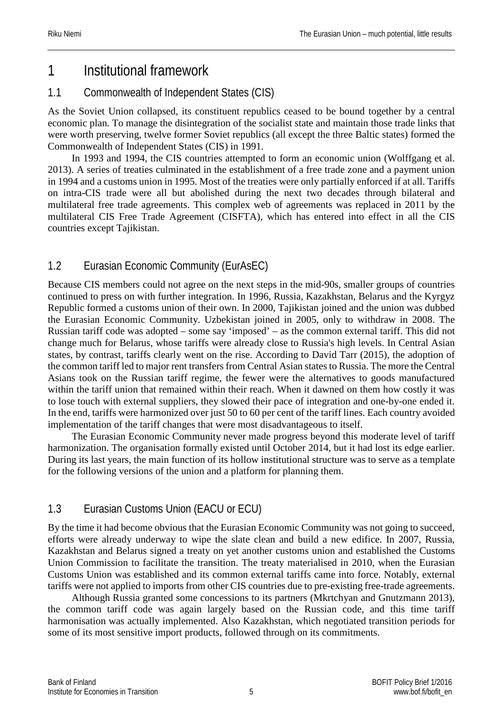# <span id="page-5-0"></span>1 Institutional framework

### <span id="page-5-1"></span>1.1 Commonwealth of Independent States (CIS)

As the Soviet Union collapsed, its constituent republics ceased to be bound together by a central economic plan. To manage the disintegration of the socialist state and maintain those trade links that were worth preserving, twelve former Soviet republics (all except the three Baltic states) formed the Commonwealth of Independent States (CIS) in 1991.

In 1993 and 1994, the CIS countries attempted to form an economic union (Wolffgang et al. 2013). A series of treaties culminated in the establishment of a free trade zone and a payment union in 1994 and a customs union in 1995. Most of the treaties were only partially enforced if at all. Tariffs on intra-CIS trade were all but abolished during the next two decades through bilateral and multilateral free trade agreements. This complex web of agreements was replaced in 2011 by the multilateral CIS Free Trade Agreement (CISFTA), which has entered into effect in all the CIS countries except Tajikistan.

### <span id="page-5-2"></span>1.2 Eurasian Economic Community (EurAsEC)

Because CIS members could not agree on the next steps in the mid-90s, smaller groups of countries continued to press on with further integration. In 1996, Russia, Kazakhstan, Belarus and the Kyrgyz Republic formed a customs union of their own. In 2000, Tajikistan joined and the union was dubbed the Eurasian Economic Community. Uzbekistan joined in 2005, only to withdraw in 2008. The Russian tariff code was adopted – some say 'imposed' – as the common external tariff. This did not change much for Belarus, whose tariffs were already close to Russia's high levels. In Central Asian states, by contrast, tariffs clearly went on the rise. According to David Tarr (2015), the adoption of the common tariff led to major rent transfers from Central Asian states to Russia. The more the Central Asians took on the Russian tariff regime, the fewer were the alternatives to goods manufactured within the tariff union that remained within their reach. When it dawned on them how costly it was to lose touch with external suppliers, they slowed their pace of integration and one-by-one ended it. In the end, tariffs were harmonized over just 50 to 60 per cent of the tariff lines. Each country avoided implementation of the tariff changes that were most disadvantageous to itself.

The Eurasian Economic Community never made progress beyond this moderate level of tariff harmonization. The organisation formally existed until October 2014, but it had lost its edge earlier. During its last years, the main function of its hollow institutional structure was to serve as a template for the following versions of the union and a platform for planning them.

### <span id="page-5-3"></span>1.3 Eurasian Customs Union (EACU or ECU)

By the time it had become obvious that the Eurasian Economic Community was not going to succeed, efforts were already underway to wipe the slate clean and build a new edifice. In 2007, Russia, Kazakhstan and Belarus signed a treaty on yet another customs union and established the Customs Union Commission to facilitate the transition. The treaty materialised in 2010, when the Eurasian Customs Union was established and its common external tariffs came into force. Notably, external tariffs were not applied to imports from other CIS countries due to pre-existing free-trade agreements.

Although Russia granted some concessions to its partners (Mkrtchyan and Gnutzmann 2013), the common tariff code was again largely based on the Russian code, and this time tariff harmonisation was actually implemented. Also Kazakhstan, which negotiated transition periods for some of its most sensitive import products, followed through on its commitments.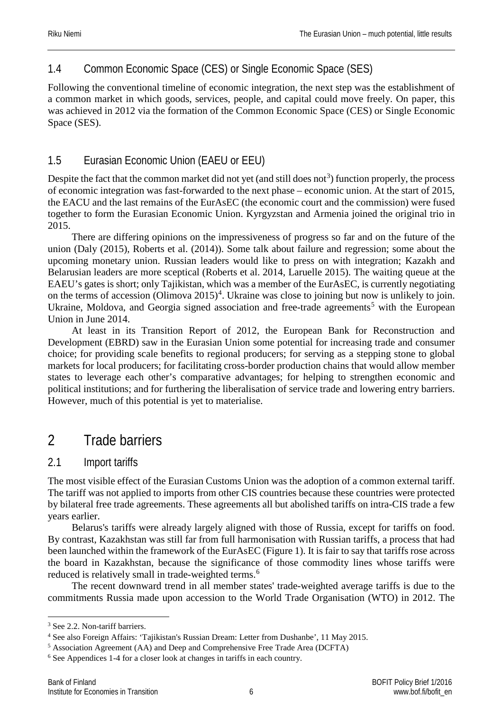### <span id="page-6-0"></span>1.4 Common Economic Space (CES) or Single Economic Space (SES)

Following the conventional timeline of economic integration, the next step was the establishment of a common market in which goods, services, people, and capital could move freely. On paper, this was achieved in 2012 via the formation of the Common Economic Space (CES) or Single Economic Space (SES).

### <span id="page-6-1"></span>1.5 Eurasian Economic Union (EAEU or EEU)

Despite the fact that the common market did not yet (and still does not<sup>[3](#page-6-4)</sup>) function properly, the process of economic integration was fast-forwarded to the next phase – economic union. At the start of 2015, the EACU and the last remains of the EurAsEC (the economic court and the commission) were fused together to form the Eurasian Economic Union. Kyrgyzstan and Armenia joined the original trio in 2015.

There are differing opinions on the impressiveness of progress so far and on the future of the union (Daly (2015), Roberts et al. (2014)). Some talk about failure and regression; some about the upcoming monetary union. Russian leaders would like to press on with integration; Kazakh and Belarusian leaders are more sceptical (Roberts et al. 2014, Laruelle 2015). The waiting queue at the EAEU's gates is short; only Tajikistan, which was a member of the EurAsEC, is currently negotiating on the terms of accession (Olimova  $2015$ )<sup>[4](#page-6-5)</sup>. Ukraine was close to joining but now is unlikely to join. Ukraine, Moldova, and Georgia signed association and free-trade agreements<sup>[5](#page-6-6)</sup> with the European Union in June 2014.

At least in its Transition Report of 2012, the European Bank for Reconstruction and Development (EBRD) saw in the Eurasian Union some potential for increasing trade and consumer choice; for providing scale benefits to regional producers; for serving as a stepping stone to global markets for local producers; for facilitating cross-border production chains that would allow member states to leverage each other's comparative advantages; for helping to strengthen economic and political institutions; and for furthering the liberalisation of service trade and lowering entry barriers. However, much of this potential is yet to materialise.

# <span id="page-6-2"></span>2 Trade barriers

### <span id="page-6-3"></span>2.1 Import tariffs

The most visible effect of the Eurasian Customs Union was the adoption of a common external tariff. The tariff was not applied to imports from other CIS countries because these countries were protected by bilateral free trade agreements. These agreements all but abolished tariffs on intra-CIS trade a few years earlier.

Belarus's tariffs were already largely aligned with those of Russia, except for tariffs on food. By contrast, Kazakhstan was still far from full harmonisation with Russian tariffs, a process that had been launched within the framework of the EurAsEC (Figure 1). It is fair to say that tariffs rose across the board in Kazakhstan, because the significance of those commodity lines whose tariffs were reduced is relatively small in trade-weighted terms.<sup>[6](#page-6-7)</sup>

The recent downward trend in all member states' trade-weighted average tariffs is due to the commitments Russia made upon accession to the World Trade Organisation (WTO) in 2012. The

<span id="page-6-4"></span><sup>&</sup>lt;sup>3</sup> See 2.2. Non-tariff barriers.

<span id="page-6-5"></span><sup>4</sup> See also Foreign Affairs: 'Tajikistan's Russian Dream: Letter from Dushanbe', 11 May 2015.

<span id="page-6-6"></span><sup>5</sup> Association Agreement (AA) and Deep and Comprehensive Free Trade Area (DCFTA)

<span id="page-6-7"></span><sup>6</sup> See Appendices 1-4 for a closer look at changes in tariffs in each country.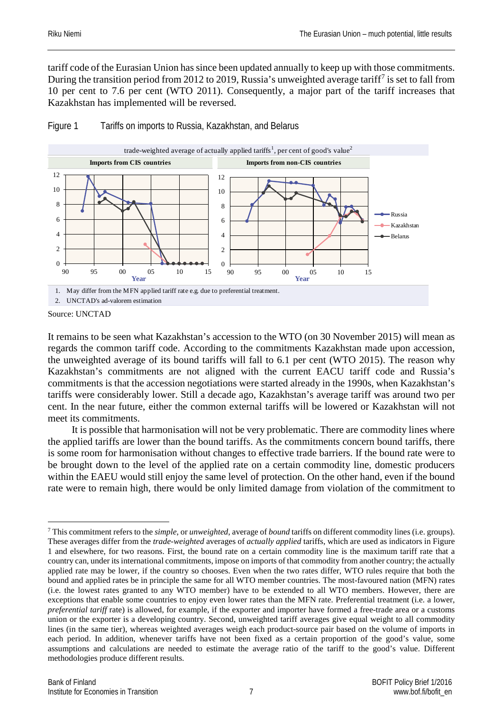tariff code of the Eurasian Union has since been updated annually to keep up with those commitments. During the transition period from 2012 to 2019, Russia's unweighted average tariff[7](#page-7-0) is set to fall from 10 per cent to 7.6 per cent (WTO 2011). Consequently, a major part of the tariff increases that Kazakhstan has implemented will be reversed.



Figure 1 Tariffs on imports to Russia, Kazakhstan, and Belarus

It remains to be seen what Kazakhstan's accession to the WTO (on 30 November 2015) will mean as regards the common tariff code. According to the commitments Kazakhstan made upon accession, the unweighted average of its bound tariffs will fall to 6.1 per cent (WTO 2015). The reason why Kazakhstan's commitments are not aligned with the current EACU tariff code and Russia's commitments is that the accession negotiations were started already in the 1990s, when Kazakhstan's tariffs were considerably lower. Still a decade ago, Kazakhstan's average tariff was around two per cent. In the near future, either the common external tariffs will be lowered or Kazakhstan will not meet its commitments.

It is possible that harmonisation will not be very problematic. There are commodity lines where the applied tariffs are lower than the bound tariffs. As the commitments concern bound tariffs, there is some room for harmonisation without changes to effective trade barriers. If the bound rate were to be brought down to the level of the applied rate on a certain commodity line, domestic producers within the EAEU would still enjoy the same level of protection. On the other hand, even if the bound rate were to remain high, there would be only limited damage from violation of the commitment to

Source: UNCTAD

<span id="page-7-0"></span> <sup>7</sup> This commitment refers to the *simple*, or *unweighted*, average of *bound* tariffs on different commodity lines (i.e. groups). These averages differ from the *trade-weighted* averages of *actually applied* tariffs, which are used as indicators in Figure 1 and elsewhere, for two reasons. First, the bound rate on a certain commodity line is the maximum tariff rate that a country can, under its international commitments, impose on imports of that commodity from another country; the actually applied rate may be lower, if the country so chooses. Even when the two rates differ, WTO rules require that both the bound and applied rates be in principle the same for all WTO member countries. The most-favoured nation (MFN) rates (i.e. the lowest rates granted to any WTO member) have to be extended to all WTO members. However, there are exceptions that enable some countries to enjoy even lower rates than the MFN rate. Preferential treatment (i.e. a lower, *preferential tariff* rate) is allowed, for example, if the exporter and importer have formed a free-trade area or a customs union or the exporter is a developing country. Second, unweighted tariff averages give equal weight to all commodity lines (in the same tier), whereas weighted averages weigh each product-source pair based on the volume of imports in each period. In addition, whenever tariffs have not been fixed as a certain proportion of the good's value, some assumptions and calculations are needed to estimate the average ratio of the tariff to the good's value. Different methodologies produce different results.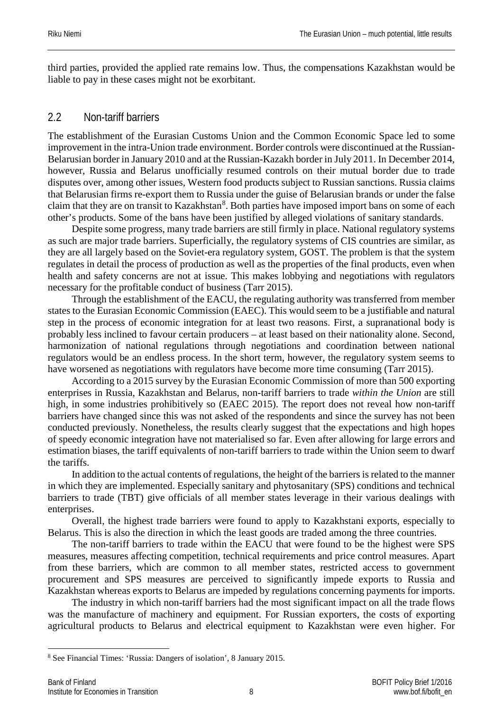third parties, provided the applied rate remains low. Thus, the compensations Kazakhstan would be liable to pay in these cases might not be exorbitant.

#### <span id="page-8-0"></span>2.2 Non-tariff barriers

The establishment of the Eurasian Customs Union and the Common Economic Space led to some improvement in the intra-Union trade environment. Border controls were discontinued at the Russian-Belarusian border in January 2010 and at the Russian-Kazakh border in July 2011. In December 2014, however, Russia and Belarus unofficially resumed controls on their mutual border due to trade disputes over, among other issues, Western food products subject to Russian sanctions. Russia claims that Belarusian firms re-export them to Russia under the guise of Belarusian brands or under the false claim that they are on transit to Kazakhstan<sup>[8](#page-8-1)</sup>. Both parties have imposed import bans on some of each other's products. Some of the bans have been justified by alleged violations of sanitary standards.

Despite some progress, many trade barriers are still firmly in place. National regulatory systems as such are major trade barriers. Superficially, the regulatory systems of CIS countries are similar, as they are all largely based on the Soviet-era regulatory system, GOST. The problem is that the system regulates in detail the process of production as well as the properties of the final products, even when health and safety concerns are not at issue. This makes lobbying and negotiations with regulators necessary for the profitable conduct of business (Tarr 2015).

Through the establishment of the EACU, the regulating authority was transferred from member states to the Eurasian Economic Commission (EAEC). This would seem to be a justifiable and natural step in the process of economic integration for at least two reasons. First, a supranational body is probably less inclined to favour certain producers – at least based on their nationality alone. Second, harmonization of national regulations through negotiations and coordination between national regulators would be an endless process. In the short term, however, the regulatory system seems to have worsened as negotiations with regulators have become more time consuming (Tarr 2015).

According to a 2015 survey by the Eurasian Economic Commission of more than 500 exporting enterprises in Russia, Kazakhstan and Belarus, non-tariff barriers to trade *within the Union* are still high, in some industries prohibitively so (EAEC 2015). The report does not reveal how non-tariff barriers have changed since this was not asked of the respondents and since the survey has not been conducted previously. Nonetheless, the results clearly suggest that the expectations and high hopes of speedy economic integration have not materialised so far. Even after allowing for large errors and estimation biases, the tariff equivalents of non-tariff barriers to trade within the Union seem to dwarf the tariffs.

In addition to the actual contents of regulations, the height of the barriers is related to the manner in which they are implemented. Especially sanitary and phytosanitary (SPS) conditions and technical barriers to trade (TBT) give officials of all member states leverage in their various dealings with enterprises.

Overall, the highest trade barriers were found to apply to Kazakhstani exports, especially to Belarus. This is also the direction in which the least goods are traded among the three countries.

The non-tariff barriers to trade within the EACU that were found to be the highest were SPS measures, measures affecting competition, technical requirements and price control measures. Apart from these barriers, which are common to all member states, restricted access to government procurement and SPS measures are perceived to significantly impede exports to Russia and Kazakhstan whereas exports to Belarus are impeded by regulations concerning payments for imports.

The industry in which non-tariff barriers had the most significant impact on all the trade flows was the manufacture of machinery and equipment. For Russian exporters, the costs of exporting agricultural products to Belarus and electrical equipment to Kazakhstan were even higher. For

<span id="page-8-1"></span> <sup>8</sup> See Financial Times: 'Russia: Dangers of isolation', 8 January 2015.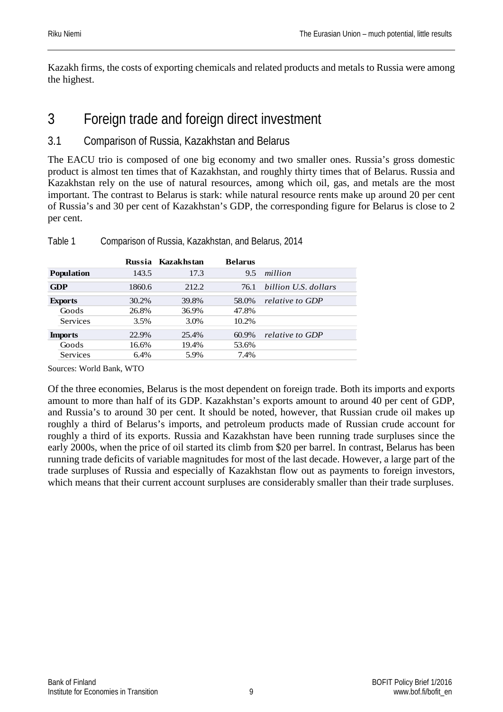Kazakh firms, the costs of exporting chemicals and related products and metals to Russia were among the highest.

# <span id="page-9-0"></span>3 Foreign trade and foreign direct investment

### <span id="page-9-1"></span>3.1 Comparison of Russia, Kazakhstan and Belarus

The EACU trio is composed of one big economy and two smaller ones. Russia's gross domestic product is almost ten times that of Kazakhstan, and roughly thirty times that of Belarus. Russia and Kazakhstan rely on the use of natural resources, among which oil, gas, and metals are the most important. The contrast to Belarus is stark: while natural resource rents make up around 20 per cent of Russia's and 30 per cent of Kazakhstan's GDP, the corresponding figure for Belarus is close to 2 per cent.

|                   |        | Russia Kazakhstan | <b>Belarus</b> |                      |
|-------------------|--------|-------------------|----------------|----------------------|
| <b>Population</b> | 143.5  | 17.3              | 9.5            | million              |
| <b>GDP</b>        | 1860.6 | 212.2             | 76.1           | billion U.S. dollars |
| <b>Exports</b>    | 30.2%  | 39.8%             | 58.0%          | relative to GDP      |
| Goods             | 26.8%  | 36.9%             | 47.8%          |                      |
| Services          | 3.5%   | 3.0%              | 10.2%          |                      |
| <b>Imports</b>    | 22.9%  | 25.4%             | 60.9%          | relative to GDP      |
| Goods             | 16.6%  | 19.4%             | 53.6%          |                      |
| <b>Services</b>   | 6.4%   | 5.9%              | 7.4%           |                      |

Table 1 Comparison of Russia, Kazakhstan, and Belarus, 2014

Sources: World Bank, WTO

Of the three economies, Belarus is the most dependent on foreign trade. Both its imports and exports amount to more than half of its GDP. Kazakhstan's exports amount to around 40 per cent of GDP, and Russia's to around 30 per cent. It should be noted, however, that Russian crude oil makes up roughly a third of Belarus's imports, and petroleum products made of Russian crude account for roughly a third of its exports. Russia and Kazakhstan have been running trade surpluses since the early 2000s, when the price of oil started its climb from \$20 per barrel. In contrast, Belarus has been running trade deficits of variable magnitudes for most of the last decade. However, a large part of the trade surpluses of Russia and especially of Kazakhstan flow out as payments to foreign investors, which means that their current account surpluses are considerably smaller than their trade surpluses.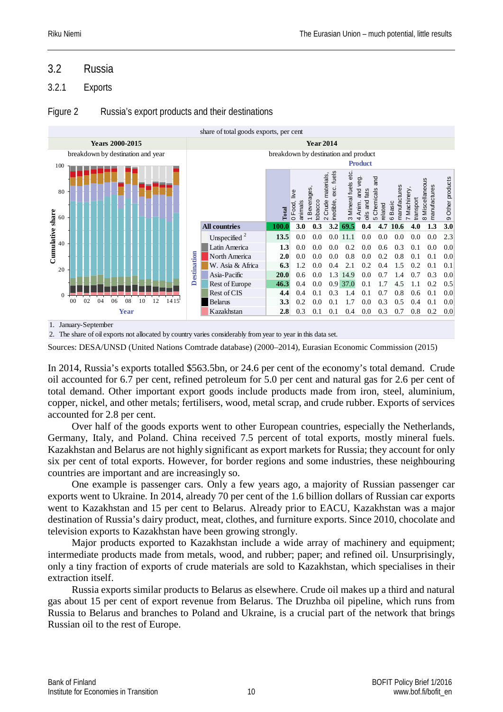#### <span id="page-10-0"></span>3.2 Russia

#### <span id="page-10-1"></span>3.2.1 Exports

#### Figure 2 Russia's export products and their destinations



2. The share of oil exports not allocated by country varies considerably from year to year in this data set.

Sources: DESA/UNSD (United Nations Comtrade database) (2000–2014), Eurasian Economic Commission (2015)

In 2014, Russia's exports totalled \$563.5bn, or 24.6 per cent of the economy's total demand. Crude oil accounted for 6.7 per cent, refined petroleum for 5.0 per cent and natural gas for 2.6 per cent of total demand. Other important export goods include products made from iron, steel, aluminium, copper, nickel, and other metals; fertilisers, wood, metal scrap, and crude rubber. Exports of services accounted for 2.8 per cent.

Over half of the goods exports went to other European countries, especially the Netherlands, Germany, Italy, and Poland. China received 7.5 percent of total exports, mostly mineral fuels. Kazakhstan and Belarus are not highly significant as export markets for Russia; they account for only six per cent of total exports. However, for border regions and some industries, these neighbouring countries are important and are increasingly so.

One example is passenger cars. Only a few years ago, a majority of Russian passenger car exports went to Ukraine. In 2014, already 70 per cent of the 1.6 billion dollars of Russian car exports went to Kazakhstan and 15 per cent to Belarus. Already prior to EACU, Kazakhstan was a major destination of Russia's dairy product, meat, clothes, and furniture exports. Since 2010, chocolate and television exports to Kazakhstan have been growing strongly.

Major products exported to Kazakhstan include a wide array of machinery and equipment; intermediate products made from metals, wood, and rubber; paper; and refined oil. Unsurprisingly, only a tiny fraction of exports of crude materials are sold to Kazakhstan, which specialises in their extraction itself.

Russia exports similar products to Belarus as elsewhere. Crude oil makes up a third and natural gas about 15 per cent of export revenue from Belarus. The Druzhba oil pipeline, which runs from Russia to Belarus and branches to Poland and Ukraine, is a crucial part of the network that brings Russian oil to the rest of Europe.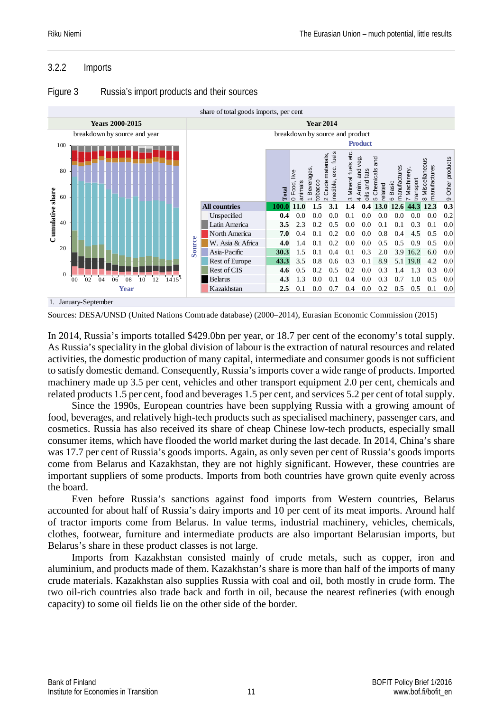#### <span id="page-11-0"></span>3.2.2 Imports



#### Figure 3 Russia's import products and their sources

Sources: DESA/UNSD (United Nations Comtrade database) (2000–2014), Eurasian Economic Commission (2015)

In 2014, Russia's imports totalled \$429.0bn per year, or 18.7 per cent of the economy's total supply. As Russia's speciality in the global division of labour is the extraction of natural resources and related activities, the domestic production of many capital, intermediate and consumer goods is not sufficient to satisfy domestic demand. Consequently, Russia's imports cover a wide range of products. Imported machinery made up 3.5 per cent, vehicles and other transport equipment 2.0 per cent, chemicals and related products 1.5 per cent, food and beverages 1.5 per cent, and services 5.2 per cent of total supply.

Since the 1990s, European countries have been supplying Russia with a growing amount of food, beverages, and relatively high-tech products such as specialised machinery, passenger cars, and cosmetics. Russia has also received its share of cheap Chinese low-tech products, especially small consumer items, which have flooded the world market during the last decade. In 2014, China's share was 17.7 per cent of Russia's goods imports. Again, as only seven per cent of Russia's goods imports come from Belarus and Kazakhstan, they are not highly significant. However, these countries are important suppliers of some products. Imports from both countries have grown quite evenly across the board.

Even before Russia's sanctions against food imports from Western countries, Belarus accounted for about half of Russia's dairy imports and 10 per cent of its meat imports. Around half of tractor imports come from Belarus. In value terms, industrial machinery, vehicles, chemicals, clothes, footwear, furniture and intermediate products are also important Belarusian imports, but Belarus's share in these product classes is not large.

Imports from Kazakhstan consisted mainly of crude metals, such as copper, iron and aluminium, and products made of them. Kazakhstan's share is more than half of the imports of many crude materials. Kazakhstan also supplies Russia with coal and oil, both mostly in crude form. The two oil-rich countries also trade back and forth in oil, because the nearest refineries (with enough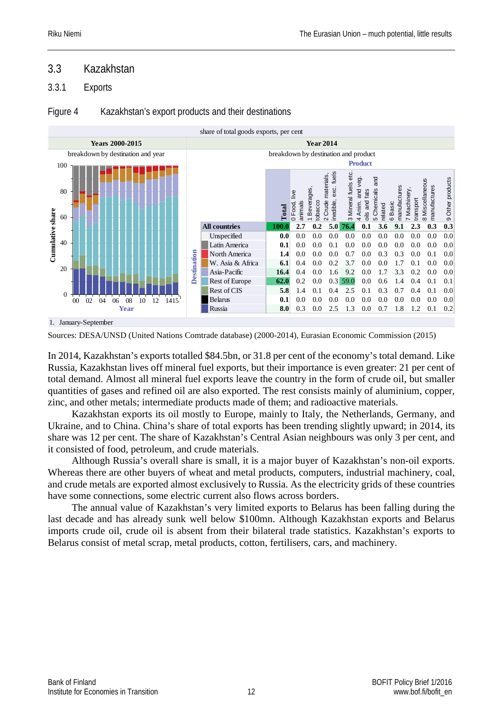#### <span id="page-12-0"></span>3.3 Kazakhstan

#### <span id="page-12-1"></span>3.3.1 Exports

#### Figure 4 Kazakhstan's export products and their destinations



Sources: DESA/UNSD (United Nations Comtrade database) (2000-2014), Eurasian Economic Commission (2015)

In 2014, Kazakhstan's exports totalled \$84.5bn, or 31.8 per cent of the economy's total demand. Like Russia, Kazakhstan lives off mineral fuel exports, but their importance is even greater: 21 per cent of total demand. Almost all mineral fuel exports leave the country in the form of crude oil, but smaller quantities of gases and refined oil are also exported. The rest consists mainly of aluminium, copper, zinc, and other metals; intermediate products made of them; and radioactive materials.

Kazakhstan exports its oil mostly to Europe, mainly to Italy, the Netherlands, Germany, and Ukraine, and to China. China's share of total exports has been trending slightly upward; in 2014, its share was 12 per cent. The share of Kazakhstan's Central Asian neighbours was only 3 per cent, and it consisted of food, petroleum, and crude materials.

Although Russia's overall share is small, it is a major buyer of Kazakhstan's non-oil exports. Whereas there are other buyers of wheat and metal products, computers, industrial machinery, coal, and crude metals are exported almost exclusively to Russia. As the electricity grids of these countries have some connections, some electric current also flows across borders.

The annual value of Kazakhstan's very limited exports to Belarus has been falling during the last decade and has already sunk well below \$100mn. Although Kazakhstan exports and Belarus imports crude oil, crude oil is absent from their bilateral trade statistics. Kazakhstan's exports to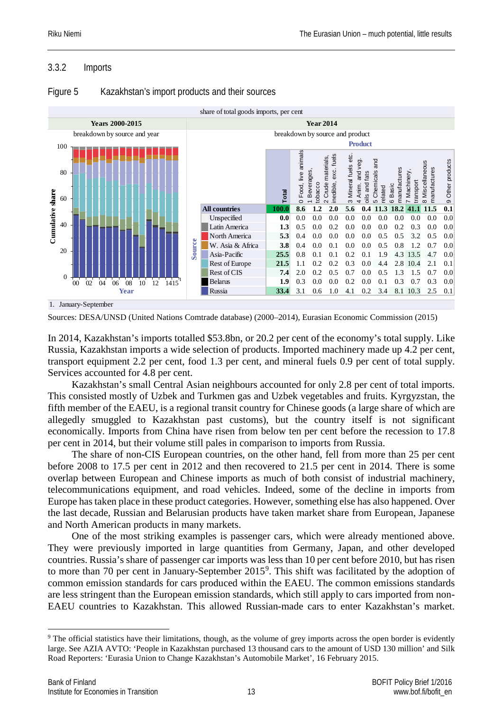#### <span id="page-13-0"></span>3.3.2 Imports



#### Figure 5 Kazakhstan's import products and their sources

Sources: DESA/UNSD (United Nations Comtrade database) (2000–2014), Eurasian Economic Commission (2015)

In 2014, Kazakhstan's imports totalled \$53.8bn, or 20.2 per cent of the economy's total supply. Like Russia, Kazakhstan imports a wide selection of products. Imported machinery made up 4.2 per cent, transport equipment 2.2 per cent, food 1.3 per cent, and mineral fuels 0.9 per cent of total supply. Services accounted for 4.8 per cent.

Kazakhstan's small Central Asian neighbours accounted for only 2.8 per cent of total imports. This consisted mostly of Uzbek and Turkmen gas and Uzbek vegetables and fruits. Kyrgyzstan, the fifth member of the EAEU, is a regional transit country for Chinese goods (a large share of which are allegedly smuggled to Kazakhstan past customs), but the country itself is not significant economically. Imports from China have risen from below ten per cent before the recession to 17.8 per cent in 2014, but their volume still pales in comparison to imports from Russia.

The share of non-CIS European countries, on the other hand, fell from more than 25 per cent before 2008 to 17.5 per cent in 2012 and then recovered to 21.5 per cent in 2014. There is some overlap between European and Chinese imports as much of both consist of industrial machinery, telecommunications equipment, and road vehicles. Indeed, some of the decline in imports from Europe has taken place in these product categories. However, something else has also happened. Over the last decade, Russian and Belarusian products have taken market share from European, Japanese and North American products in many markets.

One of the most striking examples is passenger cars, which were already mentioned above. They were previously imported in large quantities from Germany, Japan, and other developed countries. Russia's share of passenger car imports was less than 10 per cent before 2010, but has risen to more than 70 per cent in January-September 2015<sup>[9](#page-13-1)</sup>. This shift was facilitated by the adoption of common emission standards for cars produced within the EAEU. The common emissions standards are less stringent than the European emission standards, which still apply to cars imported from non-EAEU countries to Kazakhstan. This allowed Russian-made cars to enter Kazakhstan's market.

<span id="page-13-1"></span><sup>&</sup>lt;sup>9</sup> The official statistics have their limitations, though, as the volume of grey imports across the open border is evidently large. See AZIA AVTO: 'People in Kazakhstan purchased 13 thousand cars to the amount of USD 130 million' and Silk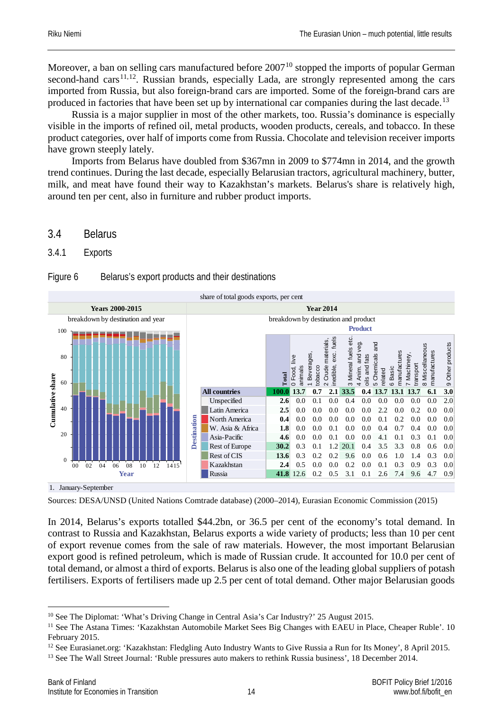Moreover, a ban on selling cars manufactured before  $2007<sup>10</sup>$  $2007<sup>10</sup>$  $2007<sup>10</sup>$  stopped the imports of popular German second-hand cars<sup>[11](#page-14-3),[12](#page-14-4)</sup>. Russian brands, especially Lada, are strongly represented among the cars imported from Russia, but also foreign-brand cars are imported. Some of the foreign-brand cars are produced in factories that have been set up by international car companies during the last decade.<sup>[13](#page-14-5)</sup>

Russia is a major supplier in most of the other markets, too. Russia's dominance is especially visible in the imports of refined oil, metal products, wooden products, cereals, and tobacco. In these product categories, over half of imports come from Russia. Chocolate and television receiver imports have grown steeply lately.

Imports from Belarus have doubled from \$367mn in 2009 to \$774mn in 2014, and the growth trend continues. During the last decade, especially Belarusian tractors, agricultural machinery, butter, milk, and meat have found their way to Kazakhstan's markets. Belarus's share is relatively high, around ten per cent, also in furniture and rubber product imports.

<span id="page-14-0"></span>3.4 Belarus

<span id="page-14-1"></span>3.4.1 Exports

| Figure 6 | Belarus's export products and their destinations |  |  |
|----------|--------------------------------------------------|--|--|
|          |                                                  |  |  |



1. January-September

Sources: DESA/UNSD (United Nations Comtrade database) (2000–2014), Eurasian Economic Commission (2015)

In 2014, Belarus's exports totalled \$44.2bn, or 36.5 per cent of the economy's total demand. In contrast to Russia and Kazakhstan, Belarus exports a wide variety of products; less than 10 per cent of export revenue comes from the sale of raw materials. However, the most important Belarusian export good is refined petroleum, which is made of Russian crude. It accounted for 10.0 per cent of total demand, or almost a third of exports. Belarus is also one of the leading global suppliers of potash fertilisers. Exports of fertilisers made up 2.5 per cent of total demand. Other major Belarusian goods

<span id="page-14-2"></span><sup>&</sup>lt;sup>10</sup> See The Diplomat: 'What's Driving Change in Central Asia's Car Industry?' 25 August 2015.

<span id="page-14-3"></span><sup>&</sup>lt;sup>11</sup> See The Astana Times: 'Kazakhstan Automobile Market Sees Big Changes with EAEU in Place, Cheaper Ruble'. 10 February 2015.

<span id="page-14-4"></span><sup>&</sup>lt;sup>12</sup> See Eurasianet.org: 'Kazakhstan: Fledgling Auto Industry Wants to Give Russia a Run for Its Money', 8 April 2015.

<span id="page-14-5"></span>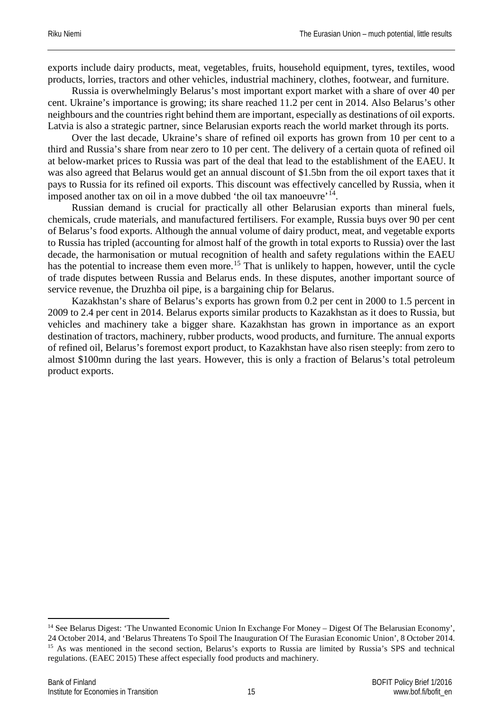exports include dairy products, meat, vegetables, fruits, household equipment, tyres, textiles, wood products, lorries, tractors and other vehicles, industrial machinery, clothes, footwear, and furniture.

Russia is overwhelmingly Belarus's most important export market with a share of over 40 per cent. Ukraine's importance is growing; its share reached 11.2 per cent in 2014. Also Belarus's other neighbours and the countries right behind them are important, especially as destinations of oil exports. Latvia is also a strategic partner, since Belarusian exports reach the world market through its ports.

Over the last decade, Ukraine's share of refined oil exports has grown from 10 per cent to a third and Russia's share from near zero to 10 per cent. The delivery of a certain quota of refined oil at below-market prices to Russia was part of the deal that lead to the establishment of the EAEU. It was also agreed that Belarus would get an annual discount of \$1.5bn from the oil export taxes that it pays to Russia for its refined oil exports. This discount was effectively cancelled by Russia, when it imposed another tax on oil in a move dubbed 'the oil tax manoeuvre'[14](#page-15-0).

Russian demand is crucial for practically all other Belarusian exports than mineral fuels, chemicals, crude materials, and manufactured fertilisers. For example, Russia buys over 90 per cent of Belarus's food exports. Although the annual volume of dairy product, meat, and vegetable exports to Russia has tripled (accounting for almost half of the growth in total exports to Russia) over the last decade, the harmonisation or mutual recognition of health and safety regulations within the EAEU has the potential to increase them even more.<sup>[15](#page-15-1)</sup> That is unlikely to happen, however, until the cycle of trade disputes between Russia and Belarus ends. In these disputes, another important source of service revenue, the Druzhba oil pipe, is a bargaining chip for Belarus.

Kazakhstan's share of Belarus's exports has grown from 0.2 per cent in 2000 to 1.5 percent in 2009 to 2.4 per cent in 2014. Belarus exports similar products to Kazakhstan as it does to Russia, but vehicles and machinery take a bigger share. Kazakhstan has grown in importance as an export destination of tractors, machinery, rubber products, wood products, and furniture. The annual exports of refined oil, Belarus's foremost export product, to Kazakhstan have also risen steeply: from zero to almost \$100mn during the last years. However, this is only a fraction of Belarus's total petroleum product exports.

<span id="page-15-1"></span><span id="page-15-0"></span><sup>&</sup>lt;sup>14</sup> See Belarus Digest: 'The Unwanted Economic Union In Exchange For Money – Digest Of The Belarusian Economy', 24 October 2014, and 'Belarus Threatens To Spoil The Inauguration Of The Eurasian Economic Union', 8 October 2014. <sup>15</sup> As was mentioned in the second section, Belarus's exports to Russia are limited by Russia's SPS and technical regulations. (EAEC 2015) These affect especially food products and machinery.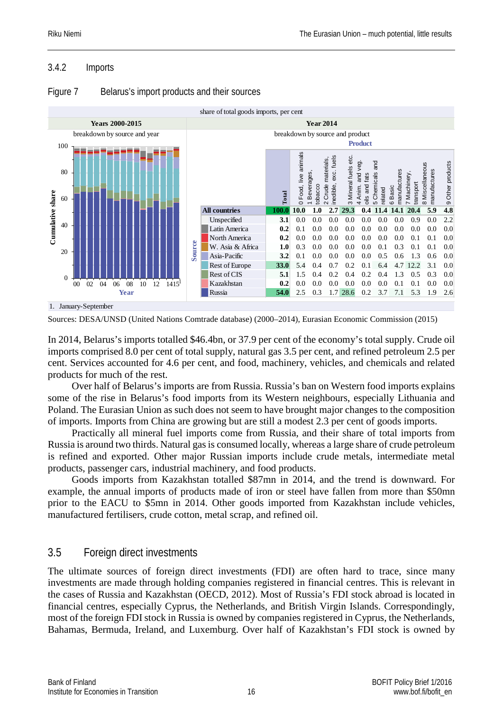#### <span id="page-16-0"></span>3.4.2 Imports



#### Figure 7 Belarus's import products and their sources

Sources: DESA/UNSD (United Nations Comtrade database) (2000–2014), Eurasian Economic Commission (2015)

In 2014, Belarus's imports totalled \$46.4bn, or 37.9 per cent of the economy's total supply. Crude oil imports comprised 8.0 per cent of total supply, natural gas 3.5 per cent, and refined petroleum 2.5 per cent. Services accounted for 4.6 per cent, and food, machinery, vehicles, and chemicals and related products for much of the rest.

Over half of Belarus's imports are from Russia. Russia's ban on Western food imports explains some of the rise in Belarus's food imports from its Western neighbours, especially Lithuania and Poland. The Eurasian Union as such does not seem to have brought major changes to the composition of imports. Imports from China are growing but are still a modest 2.3 per cent of goods imports.

Practically all mineral fuel imports come from Russia, and their share of total imports from Russia is around two thirds. Natural gas is consumed locally, whereas a large share of crude petroleum is refined and exported. Other major Russian imports include crude metals, intermediate metal products, passenger cars, industrial machinery, and food products.

Goods imports from Kazakhstan totalled \$87mn in 2014, and the trend is downward. For example, the annual imports of products made of iron or steel have fallen from more than \$50mn prior to the EACU to \$5mn in 2014. Other goods imported from Kazakhstan include vehicles, manufactured fertilisers, crude cotton, metal scrap, and refined oil.

#### <span id="page-16-1"></span>3.5 Foreign direct investments

The ultimate sources of foreign direct investments (FDI) are often hard to trace, since many investments are made through holding companies registered in financial centres. This is relevant in the cases of Russia and Kazakhstan (OECD, 2012). Most of Russia's FDI stock abroad is located in financial centres, especially Cyprus, the Netherlands, and British Virgin Islands. Correspondingly, most of the foreign FDI stock in Russia is owned by companies registered in Cyprus, the Netherlands,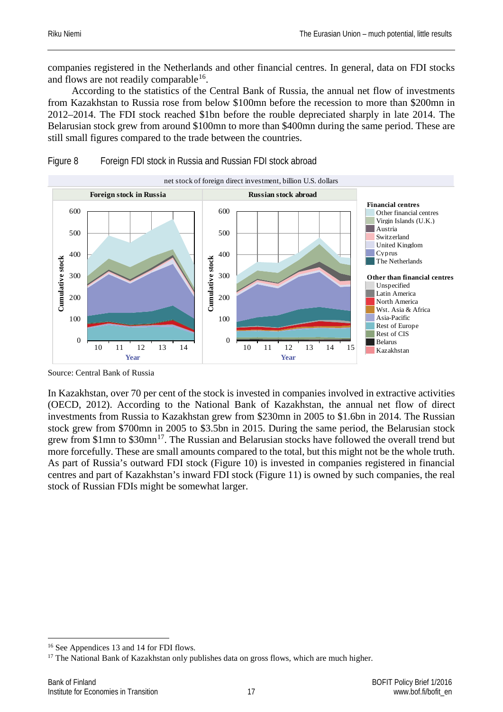companies registered in the Netherlands and other financial centres. In general, data on FDI stocks and flows are not readily comparable  $16$ .

According to the statistics of the Central Bank of Russia, the annual net flow of investments from Kazakhstan to Russia rose from below \$100mn before the recession to more than \$200mn in 2012–2014. The FDI stock reached \$1bn before the rouble depreciated sharply in late 2014. The Belarusian stock grew from around \$100mn to more than \$400mn during the same period. These are still small figures compared to the trade between the countries.



#### Figure 8 Foreign FDI stock in Russia and Russian FDI stock abroad

Source: Central Bank of Russia

In Kazakhstan, over 70 per cent of the stock is invested in companies involved in extractive activities (OECD, 2012). According to the National Bank of Kazakhstan, the annual net flow of direct investments from Russia to Kazakhstan grew from \$230mn in 2005 to \$1.6bn in 2014. The Russian stock grew from \$700mn in 2005 to \$3.5bn in 2015. During the same period, the Belarusian stock grew from \$1mn to \$30mn<sup>17</sup>. The Russian and Belarusian stocks have followed the overall trend but more forcefully. These are small amounts compared to the total, but this might not be the whole truth. As part of Russia's outward FDI stock (Figure 10) is invested in companies registered in financial centres and part of Kazakhstan's inward FDI stock (Figure 11) is owned by such companies, the real stock of Russian FDIs might be somewhat larger.

<span id="page-17-1"></span><span id="page-17-0"></span><sup>&</sup>lt;sup>16</sup> See Appendices 13 and 14 for FDI flows.<br><sup>17</sup> The National Bank of Kazakhstan only publishes data on gross flows, which are much higher.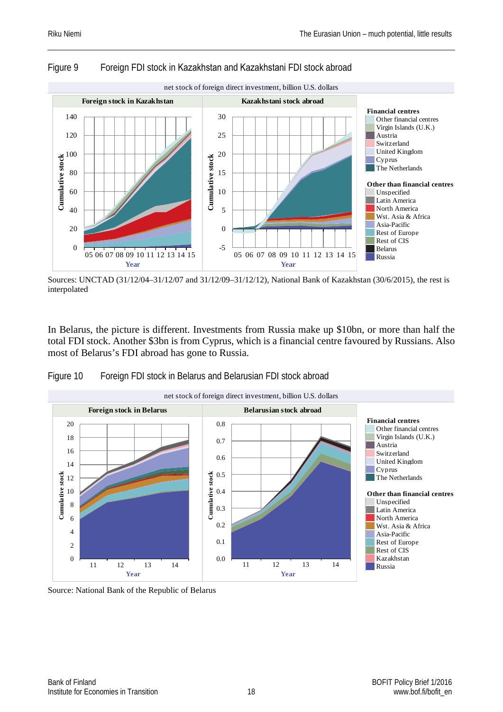

#### Figure 9 Foreign FDI stock in Kazakhstan and Kazakhstani FDI stock abroad



In Belarus, the picture is different. Investments from Russia make up \$10bn, or more than half the total FDI stock. Another \$3bn is from Cyprus, which is a financial centre favoured by Russians. Also most of Belarus's FDI abroad has gone to Russia.





Source: National Bank of the Republic of Belarus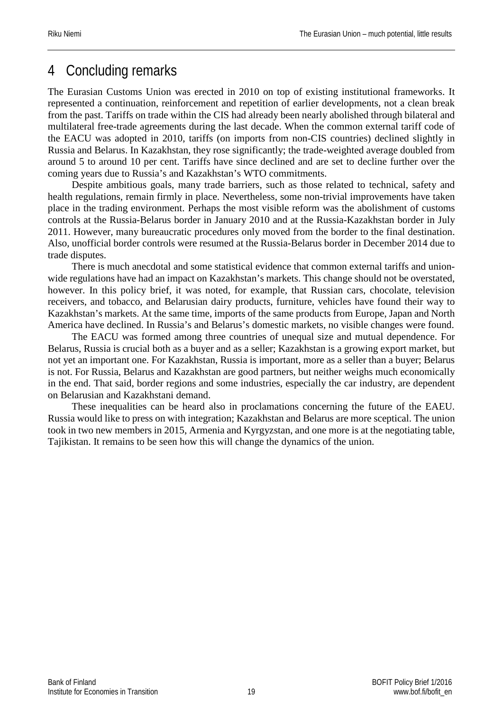# <span id="page-19-0"></span>4 Concluding remarks

The Eurasian Customs Union was erected in 2010 on top of existing institutional frameworks. It represented a continuation, reinforcement and repetition of earlier developments, not a clean break from the past. Tariffs on trade within the CIS had already been nearly abolished through bilateral and multilateral free-trade agreements during the last decade. When the common external tariff code of the EACU was adopted in 2010, tariffs (on imports from non-CIS countries) declined slightly in Russia and Belarus. In Kazakhstan, they rose significantly; the trade-weighted average doubled from around 5 to around 10 per cent. Tariffs have since declined and are set to decline further over the coming years due to Russia's and Kazakhstan's WTO commitments.

Despite ambitious goals, many trade barriers, such as those related to technical, safety and health regulations, remain firmly in place. Nevertheless, some non-trivial improvements have taken place in the trading environment. Perhaps the most visible reform was the abolishment of customs controls at the Russia-Belarus border in January 2010 and at the Russia-Kazakhstan border in July 2011. However, many bureaucratic procedures only moved from the border to the final destination. Also, unofficial border controls were resumed at the Russia-Belarus border in December 2014 due to trade disputes.

There is much anecdotal and some statistical evidence that common external tariffs and unionwide regulations have had an impact on Kazakhstan's markets. This change should not be overstated, however. In this policy brief, it was noted, for example, that Russian cars, chocolate, television receivers, and tobacco, and Belarusian dairy products, furniture, vehicles have found their way to Kazakhstan's markets. At the same time, imports of the same products from Europe, Japan and North America have declined. In Russia's and Belarus's domestic markets, no visible changes were found.

The EACU was formed among three countries of unequal size and mutual dependence. For Belarus, Russia is crucial both as a buyer and as a seller; Kazakhstan is a growing export market, but not yet an important one. For Kazakhstan, Russia is important, more as a seller than a buyer; Belarus is not. For Russia, Belarus and Kazakhstan are good partners, but neither weighs much economically in the end. That said, border regions and some industries, especially the car industry, are dependent on Belarusian and Kazakhstani demand.

These inequalities can be heard also in proclamations concerning the future of the EAEU. Russia would like to press on with integration; Kazakhstan and Belarus are more sceptical. The union took in two new members in 2015, Armenia and Kyrgyzstan, and one more is at the negotiating table, Tajikistan. It remains to be seen how this will change the dynamics of the union.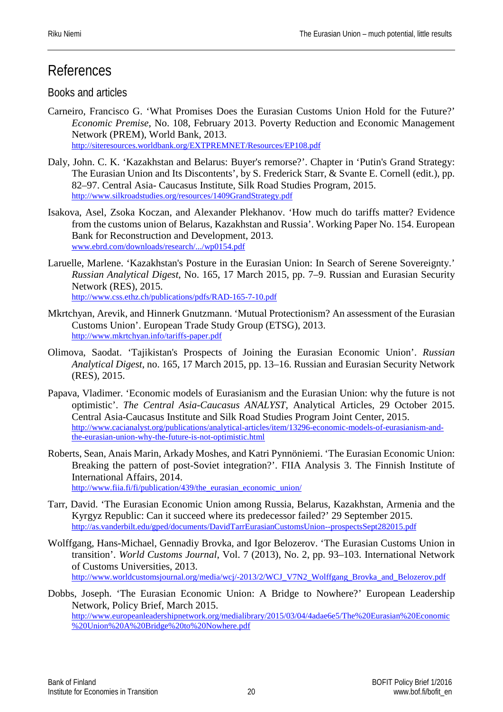# References

### Books and articles

- Carneiro, Francisco G. 'What Promises Does the Eurasian Customs Union Hold for the Future?' *Economic Premise*, No. 108, February 2013. Poverty Reduction and Economic Management Network (PREM), World Bank, 2013. <http://siteresources.worldbank.org/EXTPREMNET/Resources/EP108.pdf>
- Daly, John. C. K. 'Kazakhstan and Belarus: Buyer's remorse?'. Chapter in 'Putin's Grand Strategy: The Eurasian Union and Its Discontents', by S. Frederick Starr, & Svante E. Cornell (edit.), pp. 82–97. Central Asia- Caucasus Institute, Silk Road Studies Program, 2015. <http://www.silkroadstudies.org/resources/1409GrandStrategy.pdf>
- Isakova, Asel, Zsoka Koczan, and Alexander Plekhanov. 'How much do tariffs matter? Evidence from the customs union of Belarus, Kazakhstan and Russia'. Working Paper No. 154. European Bank for Reconstruction and Development, 2013. [www.ebrd.com/downloads/research/.../wp0154.pdf](http://www.ebrd.com/downloads/research/.../wp0154.pdf)
- Laruelle, Marlene. 'Kazakhstan's Posture in the Eurasian Union: In Search of Serene Sovereignty.' *Russian Analytical Digest*, No. 165, 17 March 2015, pp. 7–9. Russian and Eurasian Security Network (RES), 2015. <http://www.css.ethz.ch/publications/pdfs/RAD-165-7-10.pdf>
- Mkrtchyan, Arevik, and Hinnerk Gnutzmann. 'Mutual Protectionism? An assessment of the Eurasian Customs Union'. European Trade Study Group (ETSG), 2013. <http://www.mkrtchyan.info/tariffs-paper.pdf>
- Olimova, Saodat. 'Tajikistan's Prospects of Joining the Eurasian Economic Union'. *Russian Analytical Digest*, no. 165, 17 March 2015, pp. 13–16. Russian and Eurasian Security Network (RES), 2015.
- Papava, Vladimer. 'Economic models of Eurasianism and the Eurasian Union: why the future is not optimistic'. *The Central Asia-Caucasus ANALYST*, Analytical Articles, 29 October 2015. Central Asia-Caucasus Institute and Silk Road Studies Program Joint Center, 2015. [http://www.cacianalyst.org/publications/analytical-articles/item/13296-economic-models-of-eurasianism-and](http://www.cacianalyst.org/publications/analytical-articles/item/13296-economic-models-of-eurasianism-and-the-eurasian-union-why-the-future-is-not-optimistic.html)[the-eurasian-union-why-the-future-is-not-optimistic.html](http://www.cacianalyst.org/publications/analytical-articles/item/13296-economic-models-of-eurasianism-and-the-eurasian-union-why-the-future-is-not-optimistic.html)
- Roberts, Sean, Anais Marin, Arkady Moshes, and Katri Pynnöniemi. 'The Eurasian Economic Union: Breaking the pattern of post-Soviet integration?'. FIIA Analysis 3. The Finnish Institute of International Affairs, 2014. [http://www.fiia.fi/fi/publication/439/the\\_eurasian\\_economic\\_union/](http://www.fiia.fi/fi/publication/439/the_eurasian_economic_union/)
- Tarr, David. 'The Eurasian Economic Union among Russia, Belarus, Kazakhstan, Armenia and the Kyrgyz Republic: Can it succeed where its predecessor failed?' 29 September 2015. <http://as.vanderbilt.edu/gped/documents/DavidTarrEurasianCustomsUnion--prospectsSept282015.pdf>
- Wolffgang, Hans-Michael, Gennadiy Brovka, and Igor Belozerov. 'The Eurasian Customs Union in transition'. *World Customs Journal*, Vol. 7 (2013), No. 2, pp. 93–103. International Network of Customs Universities, 2013. [http://www.worldcustomsjournal.org/media/wcj/-2013/2/WCJ\\_V7N2\\_Wolffgang\\_Brovka\\_and\\_Belozerov.pdf](http://www.worldcustomsjournal.org/media/wcj/-2013/2/WCJ_V7N2_Wolffgang_Brovka_and_Belozerov.pdf)
- Dobbs, Joseph. 'The Eurasian Economic Union: A Bridge to Nowhere?' European Leadership Network, Policy Brief, March 2015. [http://www.europeanleadershipnetwork.org/medialibrary/2015/03/04/4adae6e5/The%20Eurasian%20Economic](http://www.europeanleadershipnetwork.org/medialibrary/2015/03/04/4adae6e5/The%20Eurasian%20Economic%20Union%20A%20Bridge%20to%20Nowhere.pdf) [%20Union%20A%20Bridge%20to%20Nowhere.pdf](http://www.europeanleadershipnetwork.org/medialibrary/2015/03/04/4adae6e5/The%20Eurasian%20Economic%20Union%20A%20Bridge%20to%20Nowhere.pdf)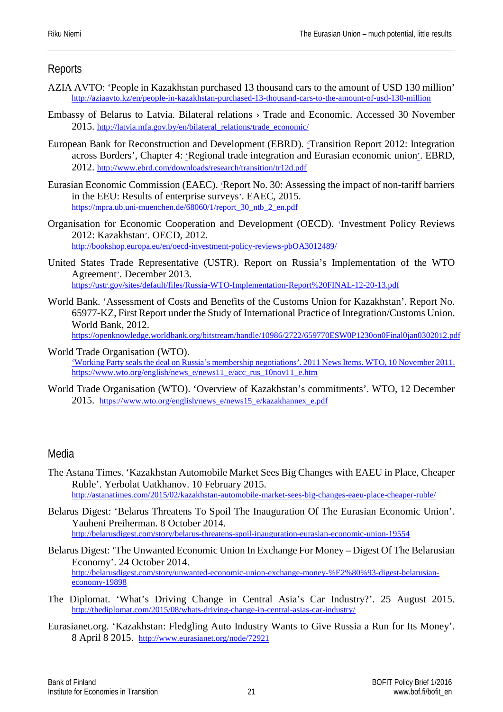#### **Reports**

- AZIA AVTO: 'People in Kazakhstan purchased 13 thousand cars to the amount of USD 130 million' <http://aziaavto.kz/en/people-in-kazakhstan-purchased-13-thousand-cars-to-the-amount-of-usd-130-million>
- Embassy of Belarus to Latvia. Bilateral relations › Trade and Economic. Accessed 30 November 2015. [http://latvia.mfa.gov.by/en/bilateral\\_relations/trade\\_economic/](http://latvia.mfa.gov.by/en/bilateral_relations/trade_economic/)
- European Bank for Reconstruction and Development (EBRD). 'Transition Report 2012: Integration across Borders', Chapter 4: 'Regional trade integration and Eurasian economic union'. EBRD, 2012. <http://www.ebrd.com/downloads/research/transition/tr12d.pdf>
- Eurasian Economic Commission (EAEC). 'Report No. 30: Assessing the impact of non-tariff barriers in the EEU: Results of enterprise surveys'. EAEC, 2015. [https://mpra.ub.uni-muenchen.de/68060/1/report\\_30\\_ntb\\_2\\_en.pdf](https://mpra.ub.uni-muenchen.de/68060/1/report_30_ntb_2_en.pdf)
- Organisation for Economic Cooperation and Development (OECD). 'Investment Policy Reviews 2012: Kazakhstan'. OECD, 2012. <http://bookshop.europa.eu/en/oecd-investment-policy-reviews-pbOA3012489/>
- United States Trade Representative (USTR). Report on Russia's Implementation of the WTO Agreement'. December 2013. <https://ustr.gov/sites/default/files/Russia-WTO-Implementation-Report%20FINAL-12-20-13.pdf>
- World Bank. 'Assessment of Costs and Benefits of the Customs Union for Kazakhstan'. Report No. 65977-KZ, First Report under the Study of International Practice of Integration/Customs Union. World Bank, 2012. <https://openknowledge.worldbank.org/bitstream/handle/10986/2722/659770ESW0P1230on0Final0jan0302012.pdf>
	-
- World Trade Organisation (WTO). 'Working Party seals the deal on Russia's membership negotiations'. 2011 News Items. WTO, 10 November 2011. [https://www.wto.org/english/news\\_e/news11\\_e/acc\\_rus\\_10nov11\\_e.htm](https://www.wto.org/english/news_e/news11_e/acc_rus_10nov11_e.htm)
- World Trade Organisation (WTO). 'Overview of Kazakhstan's commitments'. WTO, 12 December 2015. [https://www.wto.org/english/news\\_e/news15\\_e/kazakhannex\\_e.pdf](https://www.wto.org/english/news_e/news15_e/kazakhannex_e.pdf)

#### Media

- The Astana Times. 'Kazakhstan Automobile Market Sees Big Changes with EAEU in Place, Cheaper Ruble'. Yerbolat Uatkhanov. 10 February 2015. <http://astanatimes.com/2015/02/kazakhstan-automobile-market-sees-big-changes-eaeu-place-cheaper-ruble/>
- Belarus Digest: 'Belarus Threatens To Spoil The Inauguration Of The Eurasian Economic Union'. Yauheni Preiherman. 8 October 2014. <http://belarusdigest.com/story/belarus-threatens-spoil-inauguration-eurasian-economic-union-19554>
- Belarus Digest: 'The Unwanted Economic Union In Exchange For Money Digest Of The Belarusian Economy'. 24 October 2014. [http://belarusdigest.com/story/unwanted-economic-union-exchange-money-%E2%80%93-digest-belarusian](http://belarusdigest.com/story/unwanted-economic-union-exchange-money-%E2%80%93-digest-belarusian-economy-19898)[economy-19898](http://belarusdigest.com/story/unwanted-economic-union-exchange-money-%E2%80%93-digest-belarusian-economy-19898)
- The Diplomat. 'What's Driving Change in Central Asia's Car Industry?'. 25 August 2015. <http://thediplomat.com/2015/08/whats-driving-change-in-central-asias-car-industry/>
- Eurasianet.org. 'Kazakhstan: Fledgling Auto Industry Wants to Give Russia a Run for Its Money'. 8 April 8 2015. <http://www.eurasianet.org/node/72921>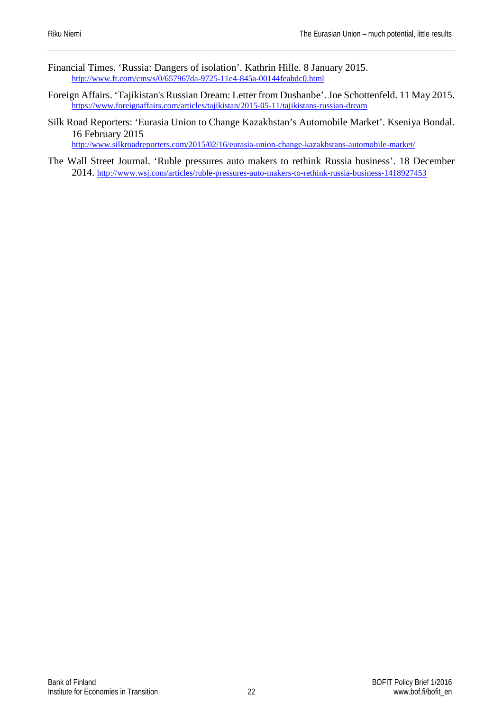- Financial Times. 'Russia: Dangers of isolation'. Kathrin Hille. 8 January 2015. <http://www.ft.com/cms/s/0/657967da-9725-11e4-845a-00144feabdc0.html>
- Foreign Affairs. 'Tajikistan's Russian Dream: Letter from Dushanbe'. Joe Schottenfeld. 11 May 2015. <https://www.foreignaffairs.com/articles/tajikistan/2015-05-11/tajikistans-russian-dream>
- Silk Road Reporters: 'Eurasia Union to Change Kazakhstan's Automobile Market'. Kseniya Bondal. 16 February 2015 http://www.silkroadreporters.com/2015/02/16/eurasia-union-change-kazakhstans-automobile-market/
- The Wall Street Journal. 'Ruble pressures auto makers to rethink Russia business'. 18 December 2014.<http://www.wsj.com/articles/ruble-pressures-auto-makers-to-rethink-russia-business-1418927453>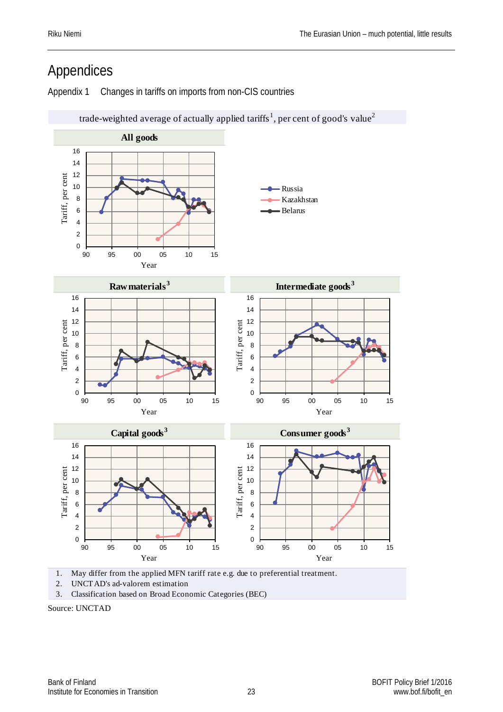# <span id="page-23-0"></span>Appendices

Appendix 1 Changes in tariffs on imports from non-CIS countries



2. UNCTAD's ad-valorem estimation

3. Classification based on Broad Economic Categories (BEC)

Source: UNCTAD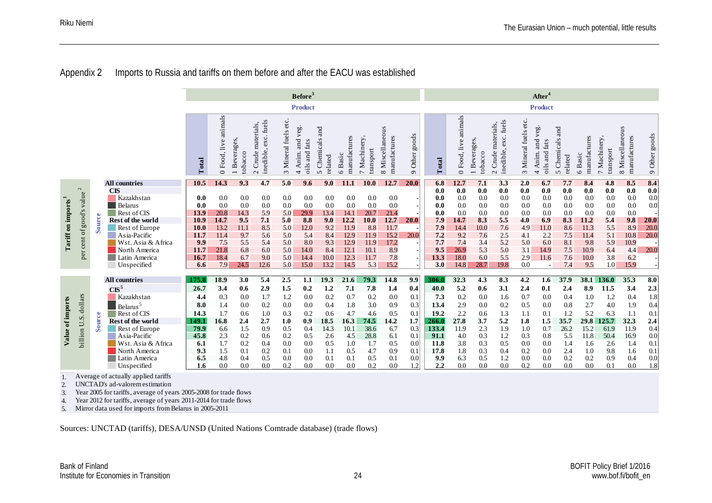#### Appendix 2 Imports to Russia and tariffs on them before and after the EACU was established

|                                |                                                                                                                                                                                                                                                                                                                                                                                                                                                    |        |                                                                                                                                                                                  | Before <sup>3</sup>                                                             |                                                                          |                                                                       |                                                                     |                                                                    |                                                                         |                                                                       |                                                                            |                                                                          |                                                                          |                            | After <sup>4</sup>                                                         |                                                                                |                                                                             |                                                                            |                                                                           |                                                                                 |                                                                           |                                                                                |                                                                           |                                                                              |                                                   |
|--------------------------------|----------------------------------------------------------------------------------------------------------------------------------------------------------------------------------------------------------------------------------------------------------------------------------------------------------------------------------------------------------------------------------------------------------------------------------------------------|--------|----------------------------------------------------------------------------------------------------------------------------------------------------------------------------------|---------------------------------------------------------------------------------|--------------------------------------------------------------------------|-----------------------------------------------------------------------|---------------------------------------------------------------------|--------------------------------------------------------------------|-------------------------------------------------------------------------|-----------------------------------------------------------------------|----------------------------------------------------------------------------|--------------------------------------------------------------------------|--------------------------------------------------------------------------|----------------------------|----------------------------------------------------------------------------|--------------------------------------------------------------------------------|-----------------------------------------------------------------------------|----------------------------------------------------------------------------|---------------------------------------------------------------------------|---------------------------------------------------------------------------------|---------------------------------------------------------------------------|--------------------------------------------------------------------------------|---------------------------------------------------------------------------|------------------------------------------------------------------------------|---------------------------------------------------|
|                                |                                                                                                                                                                                                                                                                                                                                                                                                                                                    |        |                                                                                                                                                                                  |                                                                                 |                                                                          |                                                                       |                                                                     |                                                                    | <b>Product</b>                                                          |                                                                       |                                                                            |                                                                          |                                                                          |                            |                                                                            |                                                                                |                                                                             |                                                                            |                                                                           | <b>Product</b>                                                                  |                                                                           |                                                                                |                                                                           |                                                                              |                                                   |
|                                |                                                                                                                                                                                                                                                                                                                                                                                                                                                    |        |                                                                                                                                                                                  | Total                                                                           | animals<br>0 Food, live                                                  | 1 Beverages,<br>tobacco                                               | exc. fuels<br>materials,<br>inedible,<br>Crude<br>$\sim$            | 3 Mineral fuels etc.                                               | and veg<br>fats<br>Anim.<br>and<br>oils<br>$\overline{ }$               | and<br>Chemicals<br>related<br>$\sigma$                               | manufactures<br>6 Basic                                                    | 7 Machinery<br>transport                                                 | Miscellaneous<br>manufactures<br>$\infty$                                | goods<br>Other<br>$\sigma$ | Total                                                                      | animals<br>0 Food, live                                                        | <b>Beverages</b><br>tobacco<br>$\overline{ }$                               | exc. fuels<br>materials,<br>inedible,<br>Crude:<br>$\sim$                  | Mineral fuels etc.<br>$\epsilon$                                          | veg.<br>and<br>fats<br>Anim.<br>oils and<br>4                                   | and<br>Chemicals<br>related<br>$\mathbf{v}$                               | manufactures<br>6 Basic                                                        | 7 Machinery<br>transport                                                  | 8 Miscellaneous<br>manufactures                                              | 9 Other goods                                     |
|                                | $\sim$                                                                                                                                                                                                                                                                                                                                                                                                                                             |        | <b>All countries</b>                                                                                                                                                             | 10.5                                                                            | 14.3                                                                     | 9.3                                                                   | 4.7                                                                 | 5.0                                                                | 9.6                                                                     | 9.0                                                                   | 11.1                                                                       | 10.0                                                                     | 12.7                                                                     | 20.0                       | 6.8                                                                        | 12.7                                                                           | 7.1                                                                         | 3.3                                                                        | 2.0                                                                       | 6.7                                                                             | 7.7                                                                       | 8.4                                                                            | 4.8                                                                       | 8.5                                                                          | 8.4                                               |
| Tariff on imports <sup>1</sup> | value<br>good's<br>$\sigma f$<br>cent<br>ð<br>ے                                                                                                                                                                                                                                                                                                                                                                                                    | Source | <b>CIS</b><br>Kazakhstan<br>Belarus<br>Rest of CIS<br>Rest of the world<br>Rest of Europe<br>Asia-Pacific<br>Wst. Asia & Africa<br>North America<br>Latin America<br>Unspecified | 0.0<br>0.0<br>13.9<br>10.9<br><b>10.0</b><br>11.7<br>9.9<br>11.7<br>16.7<br>6.6 | 0.0<br>0.0<br>20.8<br>14.7<br>13.2<br>11.4<br>7.5<br>21.8<br>18.4<br>7.9 | 0.0<br>0.0<br>14.3<br>9.5<br>11.1<br>9.7<br>5.5<br>6.8<br>6.7<br>24.5 | 0.0<br>0.0<br>5.9<br>7.1<br>8.5<br>5.6<br>5.4<br>6.0<br>9.0<br>12.6 | 0.0<br>0.0<br>5.0<br>5.0<br>5.0<br>5.0<br>5.0<br>5.0<br>5.0<br>5.0 | 0.0<br>0.0<br>29.9<br>8.8<br>12.0<br>5.4<br>8.0<br>14.0<br>14.4<br>15.0 | 0.0<br>0.0<br>13.4<br>9.0<br>9.2<br>8.4<br>9.3<br>8.4<br>10.0<br>13.2 | 0.0<br>0.0<br>14.1<br>12.2<br>11.9<br>12.9<br>12.9<br>12.1<br>12.3<br>14.5 | 0.0<br>0.0<br>20.7<br>10.0<br>8.8<br>11.9<br>11.9<br>10.1<br>11.7<br>5.3 | 0.0<br>0.0<br>21.4<br>12.7<br>11.7<br>15.2<br>17.2<br>8.9<br>7.8<br>15.2 | <b>20.0</b><br>20.0        | 0.0<br>0.0<br>0.0<br>0.0<br>7.9<br>7.9<br>7.2<br>7.7<br>9.5<br>13.3<br>3.0 | 0.0<br>0.0<br>0.0<br>0.0<br>14.7<br>14.4<br>9.2<br>7.4<br>26.9<br>18.0<br>14.8 | 0.0<br>0.0<br>0.0<br>0.0<br>8.3<br>10.0<br>7.6<br>3.4<br>5.3<br>6.0<br>28.7 | 0.0<br>0.0<br>0.0<br>0.0<br>5.5<br>7.6<br>2.5<br>5.2<br>5.0<br>5.5<br>19.8 | 0.0<br>0.0<br>0.0<br>0.0<br>4.0<br>4.9<br>4.1<br>5.0<br>3.1<br>2.9<br>0.0 | 0.0<br>0.0<br>0.0<br>0.0<br>6.9<br>11.0<br>2.2<br>6.0<br>14.9<br>11.6<br>$\sim$ | 0.0<br>0.0<br>0.0<br>0.0<br>8.3<br>8.6<br>7.5<br>8.1<br>7.5<br>7.6<br>7.4 | 0.0<br>0.0<br>0.0<br>0.0<br>11.2<br>11.3<br>11.4<br>9.8<br>10.9<br>10.0<br>9.5 | 0.0<br>0.0<br>0.0<br>0.0<br>5.4<br>5.5<br>5.1<br>5.9<br>6.4<br>3.8<br>1.0 | 0.0<br>0.0<br>0.0<br>0.0<br>9.8<br>8.9<br>10.8<br>10.9<br>4.4<br>6.2<br>15.9 | 0.0<br>0.0<br>0.0<br>20.0<br>20.0<br>20.0<br>20.0 |
|                                |                                                                                                                                                                                                                                                                                                                                                                                                                                                    |        | <b>All countries</b>                                                                                                                                                             | 175.8                                                                           | 18.9                                                                     | 3.0                                                                   | 5.4                                                                 | 2.5                                                                | 1.1                                                                     | 19.3                                                                  | 21.6                                                                       | 79.3                                                                     | 14.8                                                                     | 9.9                        | 306.0                                                                      | 32.3                                                                           | 4.3                                                                         | 8.3                                                                        | 4.2                                                                       | 1.6                                                                             | 37.9                                                                      |                                                                                | 38.1 136.0                                                                | 35.3                                                                         | 8.0                                               |
|                                |                                                                                                                                                                                                                                                                                                                                                                                                                                                    |        | $CIS^5$                                                                                                                                                                          | 26.7                                                                            | 3.4                                                                      | 0.6                                                                   | 2.9                                                                 | 1.5                                                                | 0.2                                                                     | 1.2                                                                   | 7.1                                                                        | 7.8                                                                      | 1.4                                                                      | 0.4                        | 40.0                                                                       | 5.2                                                                            | 0.6                                                                         | 3.1                                                                        | 2.4                                                                       | 0.1                                                                             | 2.4                                                                       | 8.9                                                                            | 11.5                                                                      | 3.4                                                                          | 2.3                                               |
|                                |                                                                                                                                                                                                                                                                                                                                                                                                                                                    |        | Kazakhstan                                                                                                                                                                       | 4.4                                                                             | 0.3                                                                      | 0.0                                                                   | 1.7                                                                 | 1.2                                                                | 0.0                                                                     | 0.2                                                                   | 0.7                                                                        | 0.2                                                                      | 0.0                                                                      | 0.1                        | 7.3                                                                        | 0.2                                                                            | 0.0                                                                         | 1.6                                                                        | 0.7                                                                       | 0.0                                                                             | 0.4                                                                       | 1.0                                                                            | 1.2                                                                       | 0.4                                                                          | $1.8\,$                                           |
|                                | dollars                                                                                                                                                                                                                                                                                                                                                                                                                                            |        | Belarus <sup>5</sup>                                                                                                                                                             | 8.0                                                                             | 1.4                                                                      | 0.0                                                                   | 0.2                                                                 | 0.0                                                                | 0.0                                                                     | 0.4                                                                   | 1.8                                                                        | 3.0                                                                      | 0.9                                                                      | 0.3                        | 13.4                                                                       | 2.9                                                                            | 0.0                                                                         | 0.2                                                                        | 0.5                                                                       | 0.0                                                                             | 0.8                                                                       | 2.7                                                                            | 4.0                                                                       | 1.9                                                                          | 0.4                                               |
|                                | U.S.                                                                                                                                                                                                                                                                                                                                                                                                                                               | Source | Rest of CIS<br>Rest of the world                                                                                                                                                 | 14.3<br>149.1                                                                   | 1.7<br>16.8                                                              | 0.6<br>2.4                                                            | 1.0<br>2.7                                                          | 0.3<br>1.0                                                         | 0.2<br>0.9                                                              | 0.6<br>18.5                                                           | 4.7<br>16.3                                                                | 4.6<br>74.5                                                              | 0.5<br>14.2                                                              | 0.1<br>1.7                 | 19.2<br>266.0                                                              | 2.2<br>27.8                                                                    | 0.6<br>3.7                                                                  | 1.3<br>5.2                                                                 | 1.1<br>1.8                                                                | 0.1<br>1.5                                                                      | 1.2<br>35.7                                                               | 5.2<br>29.8                                                                    | 6.3<br>125.7                                                              | 1.1<br>32.3                                                                  | 0.1<br>2.4                                        |
| Value of imports               |                                                                                                                                                                                                                                                                                                                                                                                                                                                    |        | Rest of Europe                                                                                                                                                                   | 79.9                                                                            | 6.6                                                                      | 1.5                                                                   | 0.9                                                                 | 0.5                                                                | 0.4                                                                     | 14.3                                                                  | 10.1                                                                       | 38.6                                                                     | 6.7                                                                      | 0.3                        | 133.4                                                                      | 11.9                                                                           | 2.3                                                                         | 1.9                                                                        | 1.0                                                                       | 0.7                                                                             | 26.2                                                                      | 15.2                                                                           | 61.9                                                                      | 11.9                                                                         | 0.4                                               |
|                                | billion                                                                                                                                                                                                                                                                                                                                                                                                                                            |        | Asia-Pacific                                                                                                                                                                     | 45.8<br>6.1                                                                     | 2.3<br>1.7                                                               | 0.2<br>0.2                                                            | 0.6                                                                 | 0.2<br>0.0                                                         | 0.5                                                                     | 2.6                                                                   | 4.5<br>1.0                                                                 | 28.8                                                                     | 6.1                                                                      | 0.1<br>0.0                 | 91.1                                                                       | 4.0                                                                            | 0.3                                                                         | 1.2                                                                        | 0.3                                                                       | 0.8                                                                             | 5.5<br>1.4                                                                | 11.8                                                                           | 50.4                                                                      | 16.9                                                                         | 0.0                                               |
|                                |                                                                                                                                                                                                                                                                                                                                                                                                                                                    |        | Wst. Asia & Africa<br>North America                                                                                                                                              | 9.3                                                                             | 1.5                                                                      | 0.1                                                                   | 0.4<br>0.2                                                          | 0.1                                                                | 0.0<br>0.0                                                              | 0.5<br>1.1                                                            | 0.5                                                                        | 1.7<br>4.7                                                               | 0.5<br>0.9                                                               | 0.1                        | 11.8<br>17.8                                                               | 3.8<br>1.8                                                                     | 0.3<br>0.3                                                                  | 0.5<br>0.4                                                                 | 0.0<br>0.2                                                                | 0.0<br>0.0                                                                      | 2.4                                                                       | 1.6<br>1.0                                                                     | 2.6<br>9.8                                                                | 1.4<br>1.6                                                                   | 0.1<br>0.1                                        |
|                                |                                                                                                                                                                                                                                                                                                                                                                                                                                                    |        | Latin America                                                                                                                                                                    | 6.5                                                                             | 4.8                                                                      | 0.4                                                                   | 0.5                                                                 | 0.0                                                                | 0.0                                                                     | 0.1                                                                   | 0.1                                                                        | 0.5                                                                      | 0.1                                                                      | 0.0                        | 9.9                                                                        | 6.3                                                                            | 0.5                                                                         | 1.2                                                                        | 0.0                                                                       | 0.0                                                                             | 0.2                                                                       | 0.2                                                                            | 0.9                                                                       | 0.4                                                                          | $0.0\,$                                           |
| 1.<br>2.<br>3.<br>4.<br>5.     | 0.0<br>1.8<br>0.2<br>1.2<br>0.0<br>0.0<br>0.2<br>0.0<br>0.0<br>Unspecified<br>1.6<br>0.0<br>0.0<br>0.0<br>0.0<br>0.0<br>0.0<br>0.2<br>2,2<br>0.0<br>0.0<br>0.0<br>0.1<br>Average of actually applied tariffs<br>UNCTAD's ad-valorem estimation<br>Year 2005 for tariffs, average of years 2005-2008 for trade flows<br>Year 2012 for tariffs, average of years 2011-2014 for trade flows<br>Mirror data used for imports from Belarus in 2005-2011 |        |                                                                                                                                                                                  |                                                                                 |                                                                          |                                                                       |                                                                     |                                                                    |                                                                         |                                                                       |                                                                            |                                                                          |                                                                          |                            |                                                                            |                                                                                |                                                                             |                                                                            |                                                                           |                                                                                 |                                                                           |                                                                                |                                                                           |                                                                              |                                                   |
|                                | Sources: UNCTAD (tariffs), DESA/UNSD (United Nations Comtrade database) (trade flows)                                                                                                                                                                                                                                                                                                                                                              |        |                                                                                                                                                                                  |                                                                                 |                                                                          |                                                                       |                                                                     |                                                                    |                                                                         |                                                                       |                                                                            |                                                                          |                                                                          |                            |                                                                            |                                                                                |                                                                             |                                                                            |                                                                           |                                                                                 |                                                                           |                                                                                |                                                                           |                                                                              |                                                   |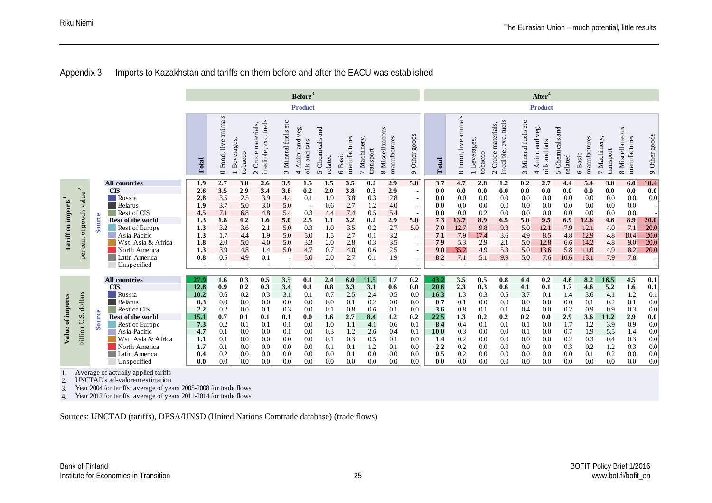#### Appendix 3 Imports to Kazakhstan and tariffs on them before and after the EACU was established

|                                |                                                                                                                                                                                                                 |        |                                                                                       |                | Before <sup>3</sup>     |                         |                                                       |                      |                                         |                               |                         |                          |                                 |                          |             |                         | After <sup>4</sup>      |                                                         |                          |                                                         |                               |                         |                          |                                 |               |
|--------------------------------|-----------------------------------------------------------------------------------------------------------------------------------------------------------------------------------------------------------------|--------|---------------------------------------------------------------------------------------|----------------|-------------------------|-------------------------|-------------------------------------------------------|----------------------|-----------------------------------------|-------------------------------|-------------------------|--------------------------|---------------------------------|--------------------------|-------------|-------------------------|-------------------------|---------------------------------------------------------|--------------------------|---------------------------------------------------------|-------------------------------|-------------------------|--------------------------|---------------------------------|---------------|
|                                |                                                                                                                                                                                                                 |        |                                                                                       |                |                         |                         |                                                       |                      | <b>Product</b>                          |                               |                         |                          |                                 |                          |             |                         |                         |                                                         |                          | <b>Product</b>                                          |                               |                         |                          |                                 |               |
|                                |                                                                                                                                                                                                                 |        |                                                                                       | Total          | animals<br>0 Food, live | 1 Beverages,<br>tobacco | inedible, exc. fuels<br>materials,<br>Crude<br>$\sim$ | 3 Mineral fuels etc. | and veg.<br>fats<br>4 Anim.<br>oils and | and<br>5 Chemicals<br>related | manufactures<br>6 Basic | 7 Machinery<br>transport | 8 Miscellaneous<br>manufactures | 9 Other goods            | Total       | animals<br>0 Food, live | 1 Beverages,<br>tobacco | exc. fuels<br>materials,<br>inedible,<br>$2$ Crude $\,$ | 3 Mineral fuels etc.     | and veg.<br>fats<br>oils and<br>Anim.<br>$\overline{ }$ | and<br>5 Chemicals<br>related | manufactures<br>6 Basic | 7 Machinery<br>transport | 8 Miscellaneous<br>manufactures | 9 Other goods |
|                                |                                                                                                                                                                                                                 |        | <b>All countries</b>                                                                  | 1.9            | 2.7                     | 3.8                     | 2.6                                                   | 3.9                  | 1.5                                     | 1.5                           | 3.5                     | 0.2                      | 2.9                             | 5.0                      | 3.7         | 4.7                     | 2.8                     | 1.2                                                     | 0.2                      | 2.7                                                     | 4.4                           | 5.4                     | 3.0                      | 6.0                             | 18.4          |
|                                | $\sim$                                                                                                                                                                                                          |        | <b>CIS</b>                                                                            | 2.6            | 3.5                     | 2.9                     | 3.4                                                   | 3.8                  | 0.2                                     | 2.0                           | 3.8                     | 0.3                      | 2.9                             |                          | 0.0         | 0.0                     | $0.0\,$                 | 0.0                                                     | $0.0\,$                  | 0.0                                                     | 0.0                           | 0.0                     | 0.0                      | 0.0                             | 0.0           |
|                                | value                                                                                                                                                                                                           |        | Russia                                                                                | 2.8            | 3.5                     | 2.5                     | 3.9                                                   | 4.4                  | 0.1                                     | 1.9                           | 3.8                     | 0.3                      | 2.8                             |                          | 0.0         | 0.0                     | 0.0                     | 0.0                                                     | 0.0                      | 0.0                                                     | 0.0                           | 0.0                     | 0.0                      | 0.0                             | 0.0           |
|                                |                                                                                                                                                                                                                 |        | Belarus                                                                               | 1.9            | 3.7                     | 5.0                     | 3.0                                                   | 5.0                  | $\sim$                                  | 0.6                           | 2.7                     | 1.2                      | 4.0                             | $\overline{\phantom{a}}$ | 0.0         | 0.0                     | 0.0                     | 0.0<br>0.0                                              | 0.0                      | 0.0                                                     | 0.0                           | 0.0                     | 0.0                      | 0.0<br>0.0                      |               |
| Tariff on imports <sup>1</sup> | soods                                                                                                                                                                                                           |        | Rest of CIS<br>Rest of the world                                                      | 4.5<br>1.3     | 7.1<br>1.8              | 6.8<br>4.2              | 4.8<br>1.6                                            | 5.4<br>5.0           | 0.3<br>2.5                              | 4.4<br>1.1                    | 7.4<br>3.2              | 0.5<br>0.2               | 5.4<br>2.9                      | 5.0                      | 0.0<br>7.3  | 0.0<br>13.7             | 0.2<br>8.9              | 6.5                                                     | 0.0<br>5.0               | 0.0<br>9.5                                              | 0.0<br>6.9                    | 0.0<br>12.6             | 0.0<br>4.6               | 8.9                             | 20.0          |
|                                |                                                                                                                                                                                                                 | Source | Rest of Europe                                                                        | 1.3            | 3.2                     | 3.6                     | 2.1                                                   | 5.0                  | 0.3                                     | 1.0                           | 3.5                     | 0.2                      | 2.7                             | 5.0                      | 7.0         | 12.7                    | 9.8                     | 9.3                                                     | 5.0                      | 12.1                                                    | 7.9                           | 12.1                    | 4.0                      | 7.1                             | 20.0          |
|                                | $\sigma$ f                                                                                                                                                                                                      |        | Asia-Pacific                                                                          | 1.3            | 1.7                     | 4.4                     | 1.9                                                   | 5.0                  | 5.0                                     | 1.5                           | 2.7                     | 0.1                      | 3.2                             |                          | 7.1         | 7.9                     | 17.4                    | 3.6                                                     | 4.9                      | 8.5                                                     | 4.8                           | 12.9                    | 4.8                      | 10.4                            | 20.0          |
|                                | cent                                                                                                                                                                                                            |        | Wst. Asia & Africa                                                                    | 1.8            | 2.0                     | 5.0                     | 4.0                                                   | 5.0                  | 3.3                                     | 2.0                           | 2.8                     | 0.3                      | 3.5                             |                          | 7.9         | 5.3                     | 2.9                     | 2.1                                                     | 5.0                      | 12.8                                                    | 6.6                           | 14.2                    | 4.8                      | 9.0                             | 20.0          |
|                                |                                                                                                                                                                                                                 |        | North America                                                                         | 1.3            | 3.9                     | 4.8                     | 1.4                                                   | 5.0                  | 4.7                                     | 0.7                           | 4.0                     | 0.6                      | 2.5                             |                          | 9.0         | 35.2                    | 4.9                     | 5.3                                                     | 5.0                      | 13.6                                                    | 5.8                           | 11.0                    | 4.9                      | 8.2                             | 20.0          |
|                                |                                                                                                                                                                                                                 |        | Latin America                                                                         | 0.8            | 0.5                     | 4.9                     | 0.1                                                   |                      | 5.0                                     | 2.0                           | 2.7                     | 0.1                      | 1.9                             |                          | 8.2         | 7.1                     | 5.1                     | 9.9                                                     | 5.0                      | 7.6                                                     | 10.6                          | 13.1                    | 7.9                      | $7.8\,$                         |               |
|                                |                                                                                                                                                                                                                 |        | Unspecified                                                                           | $\blacksquare$ | ÷.                      |                         | ÷,                                                    | $\sim$               |                                         | ÷.                            |                         | ÷                        |                                 |                          |             | ÷,                      | $\sim$                  | $\sim$                                                  | $\overline{\phantom{a}}$ | ٠                                                       | ÷.                            |                         | $\sim$                   |                                 |               |
|                                |                                                                                                                                                                                                                 |        | <b>All countries</b>                                                                  | 27.9           | 1.6                     | 0.3                     | 0.5                                                   | 3.5                  | 0.1                                     | 2.4                           | 6.0                     | 11.5                     | 1.7                             | 0.2                      | 43.2        | 3.5                     | 0.5                     | 0.8                                                     | 4.4                      | 0.2                                                     | 4.6                           | 8.2                     | 16.5                     | 4.5                             | 0.1           |
|                                |                                                                                                                                                                                                                 |        | <b>CIS</b>                                                                            | 12.8           | 0.9                     | 0.2                     | 0.3                                                   | 3.4                  | 0.1                                     | 0.8                           | 3.3                     | 3.1                      | 0.6                             | 0.0                      | 20.6        | 2.3                     | 0.3                     | 0.6                                                     | 4.1                      | 0.1                                                     | 1.7                           | 4.6                     | 5.2                      | 1.6                             | 0.1           |
|                                | dollars                                                                                                                                                                                                         |        | Russia                                                                                | 10.2           | 0.6                     | 0.2                     | 0.3                                                   | 3.1                  | 0.1                                     | 0.7                           | 2.5                     | 2.4                      | 0.5                             | 0.0                      | 16.3        | 1.3                     | 0.3                     | 0.5                                                     | 3.7                      | 0.1                                                     | 1.4                           | 3.6                     | 4.1                      | 1.2                             | 0.1           |
| Value of imports               |                                                                                                                                                                                                                 |        | Belarus                                                                               | 0.3            | 0.0                     | 0.0                     | 0.0                                                   | 0.0                  | 0.0                                     | 0.0                           | 0.1                     | 0.2                      | 0.0                             | 0.0                      | 0.7         | 0.1                     | 0.0                     | 0.0                                                     | 0.0                      | 0.0                                                     | 0.0                           | 0.1                     | 0.2                      | 0.1                             | 0.0           |
|                                |                                                                                                                                                                                                                 |        | Rest of CIS                                                                           | 2,2            | 0.2                     | 0.0                     | 0.1                                                   | 0.3                  | 0.0                                     | 0.1                           | 0.8                     | 0.6                      | 0.1                             | 0.0                      | 3.6         | 0.8                     | 0.1                     | 0.1                                                     | 0.4                      | 0.0                                                     | 0.2                           | 0.9                     | 0.9                      | 0.3                             | 0.0           |
|                                | si                                                                                                                                                                                                              | Source | Rest of the world                                                                     | 15.1           | 0.7                     | 0.1                     | 0.1                                                   | 0.1                  | 0.0                                     | 1.6                           | 2.7                     | 8.4                      | 1.2                             | 0.2                      | 22.5        | 1.3                     | 0.2                     | 0.2                                                     | 0.2                      | 0.0                                                     | 2.9                           | 3.6                     | 11.2                     | 2.9                             | 0.0           |
|                                |                                                                                                                                                                                                                 |        | Rest of Europe                                                                        | 7.3            | 0.2                     | 0.1                     | 0.1                                                   | 0.1                  | 0.0                                     | 1.0                           | 1.1                     | 4.1                      | 0.6                             | 0.1                      | 8.4         | 0.4                     | 0.1                     | 0.1                                                     | 0.1                      | 0.0                                                     | 1.7                           | 1.2                     | 3.9                      | 0.9                             | 0.0           |
|                                | billion U.                                                                                                                                                                                                      |        | Asia-Pacific<br>Wst. Asia & Africa                                                    | 4.7<br>1.1     | 0.1<br>0.1              | 0.0<br>0.0              | 0.0<br>0.0                                            | 0.1<br>0.0           | 0.0<br>0.0                              | 0.3<br>0.1                    | 1.2<br>0.3              | 2.6<br>0.5               | 0.4<br>0.1                      | 0.1<br>0.0               | 10.0<br>1.4 | 0.3<br>0.2              | 0.0<br>0.0              | 0.0<br>0.0                                              | 0.1<br>0.0               | 0.0<br>0.0                                              | 0.7<br>0.2                    | 1.9<br>0.3              | 5.5<br>0.4               | 1.4<br>0.3                      | 0.0<br>0.0    |
|                                |                                                                                                                                                                                                                 |        | North America                                                                         | 1.7            | 0.1                     | 0.0                     | 0.0                                                   | 0.0                  | 0.0                                     | 0.1                           | 0.1                     | 1.2                      | 0.1                             | 0.0 <sub>1</sub>         | 2,2         | 0.2                     | 0.0                     | 0.0                                                     | 0.0                      | 0.0                                                     | 0.3                           | 0.2                     | 1.2                      | 0.3                             | 0.0           |
|                                |                                                                                                                                                                                                                 |        | Latin America                                                                         | 0.4            | 0.2                     | 0.0                     | 0.0                                                   | 0.0                  | 0.0                                     | 0.0                           | 0.1                     | 0.0                      | 0.0                             | 0.0 <sub>1</sub>         | 0.5         | 0.2                     | 0.0                     | 0.0                                                     | 0.0                      | 0.0                                                     | 0.0                           | 0.1                     | 0.2                      | 0.0                             | 0.0           |
|                                |                                                                                                                                                                                                                 |        | Unspecified                                                                           | 0.0            | 0.0                     | 0.0                     | 0.0                                                   | 0.0                  | 0.0                                     | 0.0                           | 0.0                     | 0.0                      | 0.0                             | 0.0                      | 0.0         | 0.0                     | 0.0                     | 0.0                                                     | 0.0                      | 0.0                                                     | 0.0                           | 0.0                     | 0.0                      | 0.0                             | 0.0           |
| 1.<br>2.<br>3.<br>4.           | Average of actually applied tariffs<br>UNCTAD's ad-valorem estimation<br>Year 2004 for tariffs, average of years 2005-2008 for trade flows<br>Year 2012 for tariffs, average of years 2011-2014 for trade flows |        |                                                                                       |                |                         |                         |                                                       |                      |                                         |                               |                         |                          |                                 |                          |             |                         |                         |                                                         |                          |                                                         |                               |                         |                          |                                 |               |
|                                |                                                                                                                                                                                                                 |        | Sources: UNCTAD (tariffs), DESA/UNSD (United Nations Comtrade database) (trade flows) |                |                         |                         |                                                       |                      |                                         |                               |                         |                          |                                 |                          |             |                         |                         |                                                         |                          |                                                         |                               |                         |                          |                                 |               |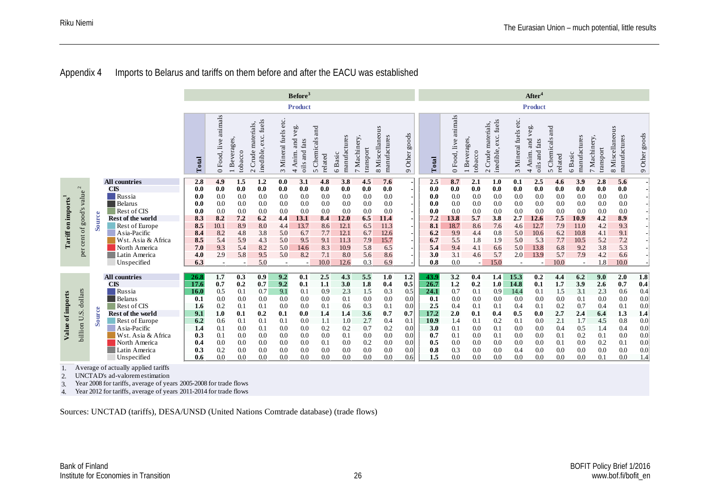#### Appendix 4 Imports to Belarus and tariffs on them before and after the EACU was established

|                      |                                                                                                                                                                                                                 |        |                                                                                       | Before <sup>3</sup> |                          |                         |                                              |                          |                                                            |                               |                         |                          |                                 |                         |            | After <sup>4</sup>   |                          |                                                        |                      |                                                            |                            |                         |                          |                                 |                  |
|----------------------|-----------------------------------------------------------------------------------------------------------------------------------------------------------------------------------------------------------------|--------|---------------------------------------------------------------------------------------|---------------------|--------------------------|-------------------------|----------------------------------------------|--------------------------|------------------------------------------------------------|-------------------------------|-------------------------|--------------------------|---------------------------------|-------------------------|------------|----------------------|--------------------------|--------------------------------------------------------|----------------------|------------------------------------------------------------|----------------------------|-------------------------|--------------------------|---------------------------------|------------------|
|                      |                                                                                                                                                                                                                 |        |                                                                                       |                     |                          |                         |                                              |                          | <b>Product</b>                                             |                               |                         |                          |                                 |                         |            |                      |                          |                                                        |                      | <b>Product</b>                                             |                            |                         |                          |                                 |                  |
|                      |                                                                                                                                                                                                                 |        |                                                                                       | Total               | animals<br>0 Food, live  | 1 Beverages,<br>tobacco | $2$ Crude materials,<br>inedible, exc. fuels | 3 Mineral fuels etc.     | and veg.<br>fats<br>Anim.<br>and<br>oils<br>$\overline{ }$ | and<br>5 Chemicals<br>related | manufactures<br>6 Basic | 7 Machinery<br>transport | 8 Miscellaneous<br>manufactures | 9 Other goods           | Total      | 0 Food, live animals | 1 Beverages<br>tobacco   | exc. fuels<br>materials,<br>$2$ Crude $n$<br>inedible, | 3 Mineral fuels etc. | veg.<br>and<br>fats<br>oils and<br>Anim.<br>$\overline{ }$ | 5 Chemicals and<br>related | manufactures<br>6 Basic | 7 Machinery<br>transport | 8 Miscellaneous<br>manufactures | 9 Other goods    |
|                      |                                                                                                                                                                                                                 |        | <b>All countries</b>                                                                  | 2.8                 | 4.9                      | 1.5                     | 1.2                                          | 0.0                      | 3.1                                                        | 4.8                           | 3.8                     | 4.5                      | 7.6                             | $\blacksquare$          | 2.5        | 8.7                  | 2.1                      | 1.0                                                    | 0.1                  | 2.5                                                        | 4.6                        | 3.9                     | 2.8                      | 5.6                             |                  |
|                      | $\mathbf{z}$                                                                                                                                                                                                    |        | <b>CIS</b>                                                                            | 0.0                 | 0.0                      | 0.0                     | 0.0                                          | 0.0                      | 0.0                                                        | 0.0                           | 0.0                     | 0.0                      | 0.0                             |                         | 0.0        | 0.0                  | 0.0                      | 0.0                                                    | 0.0                  | 0.0                                                        | 0.0                        | 0.0                     | 0.0                      | 0.0                             |                  |
|                      | value                                                                                                                                                                                                           |        | Russia                                                                                | 0.0                 | 0.0                      | 0.0                     | 0.0                                          | 0.0                      | 0.0                                                        | 0.0                           | 0.0                     | 0.0                      | 0.0                             |                         | 0.0        | 0.0                  | 0.0                      | 0.0                                                    | 0.0                  | 0.0                                                        | 0.0                        | 0.0                     | 0.0                      | 0.0                             |                  |
|                      | $\infty$                                                                                                                                                                                                        |        | <b>Belarus</b>                                                                        | 0.0                 | 0.0                      | 0.0                     | 0.0                                          | 0.0                      | 0.0                                                        | 0.0                           | 0.0                     | 0.0                      | 0.0                             |                         | 0.0        | 0.0                  | 0.0                      | 0.0                                                    | 0.0                  | 0.0                                                        | 0.0                        | 0.0                     | 0.0                      | 0.0                             |                  |
| Tariff on imports    |                                                                                                                                                                                                                 | Source | Rest of CIS                                                                           | 0.0                 | 0.0                      | 0.0                     | 0.0                                          | 0.0                      | 0.0                                                        | 0.0                           | 0.0                     | 0.0                      | 0.0                             |                         | 0.0        | 0.0                  | 0.0                      | 0.0                                                    | 0.0                  | 0.0                                                        | 0.0                        | 0.0                     | 0.0                      | 0.0                             |                  |
|                      | good'                                                                                                                                                                                                           |        | Rest of the world<br>Rest of Europe                                                   | 8.3<br>8.5          | 8.2<br>10.1              | 7.2<br>8.9              | 6.2<br>8.0                                   | 4.4<br>4.4               | 13.1<br>13.7                                               | 8.4<br>8.6                    | 12.0<br>12.1            | 6.5<br>6.5               | 11.4<br>11.3                    |                         | 7.2<br>8.1 | 13.8<br>18.7         | 5.7<br>8.6               | 3.8<br>7.6                                             | 2.7<br>4.6           | 12.6<br>12.7                                               | 7.5<br>7.9                 | 10.9<br>11.0            | 4.2<br>4.2               | 8.9<br>9.3                      |                  |
|                      | $\mathfrak{h}$                                                                                                                                                                                                  |        | Asia-Pacific                                                                          | 8.4                 | 8.2                      | 4.8                     | 3.8                                          | 5.0                      | 6.7                                                        | 7.7                           | 12.1                    | 6.7                      | 12.6                            |                         | 6.2        | 9.9                  | 4.4                      | 0.8                                                    | 5.0                  | 10.6                                                       | 6.2                        | 10.8                    | 4.1                      | 9.1                             |                  |
|                      | cent                                                                                                                                                                                                            |        | Wst. Asia & Africa                                                                    | 8.5                 | 5.4                      | 5.9                     | 4.3                                          | 5.0                      | 9.5                                                        | 9.1                           | 11.3                    | 7.9                      | 15.7                            |                         | 6.7        | 5.5                  | 1.8                      | 1.9                                                    | 5.0                  | 5.3                                                        | 7.7                        | 10.5                    | 5.2                      | 7.2                             |                  |
|                      |                                                                                                                                                                                                                 |        | North America                                                                         | 7.0                 | 9.3                      | 5.4                     | 8.2                                          | 5.0                      | 14.6                                                       | 8.3                           | 10.9                    | 5.8                      | 6.5                             |                         | 5.4        | 9.4                  | 4.1                      | 6.6                                                    | 5.0                  | 13.8                                                       | 6.8                        | 9.2                     | 3.8                      | 5.3                             |                  |
|                      | per                                                                                                                                                                                                             |        | Latin America                                                                         | 4.0                 | 2.9                      | 5.8                     | 9.5                                          | 5.0                      | 8.2                                                        | 7.1                           | 8.0                     | 5.6                      | 8.6                             |                         | 3.0        | 3.1                  | 4.6                      | 5.7                                                    | 2.0                  | 13.9                                                       | 5.7                        | 7.9                     | 4.2                      | 6.6                             |                  |
|                      |                                                                                                                                                                                                                 |        | Unspecified                                                                           | 6.3                 | $\overline{\phantom{a}}$ |                         | 5.0                                          | $\overline{\phantom{a}}$ |                                                            | 10.0                          | 12.6                    | 0.3                      | 6.9                             |                         | 0.8        | 0.0                  | $\overline{\phantom{a}}$ | 15.0                                                   | $\sim$               | $\overline{a}$                                             | 10.0                       | $\sim$                  | 1.8                      | 10.0                            |                  |
|                      |                                                                                                                                                                                                                 |        | <b>All countries</b>                                                                  | 26.8                | 1.7                      | 0.3                     | 0.9                                          | 9.2                      | 0.1                                                        | 2.5                           | 4.3                     | 5.5                      | 1.0                             | $\overline{1.2}$        | 43.9       | 3.2                  | 0.4                      | 1.4                                                    | 15.3                 | $\overline{0.2}$                                           | 4.4                        | 6.2                     | 9.0                      | 2.0                             | $\overline{1.8}$ |
|                      |                                                                                                                                                                                                                 |        | <b>CIS</b>                                                                            | 17.6                | 0.7                      | 0.2                     | 0.7                                          | 9.2                      | 0.1                                                        | 1.1                           | 3.0                     | 1.8                      | 0.4                             | 0.5                     | 26.7       | 1.2                  | 0.2                      | 1.0                                                    | 14.8                 | 0.1                                                        | 1.7                        | 3.9                     | 2.6                      | 0.7                             | 0.4              |
|                      | dollars                                                                                                                                                                                                         |        | Russia                                                                                | <b>16.0</b>         | 0.5                      | 0.1                     | 0.7                                          | 9.1                      | 0.1                                                        | 0.9                           | 2.3                     | 1.5                      | 0.3                             | 0.5                     | 24.1       | 0.7                  | 0.1                      | 0.9                                                    | 14.4                 | 0.1                                                        | 1.5                        | 3.1                     | 2.3                      | 0.6                             | $0.4\,$          |
| Value of imports     |                                                                                                                                                                                                                 |        | Belarus                                                                               | 0.1                 | 0.0                      | 0.0                     | 0.0                                          | 0.0                      | 0.0                                                        | 0.0                           | 0.1                     | 0.0                      | 0.0                             | 0.0                     | 0.1        | 0.0                  | 0.0                      | 0.0                                                    | 0.0                  | 0.0                                                        | 0.0                        | 0.1                     | 0.0                      | 0.0                             | 0.0              |
|                      |                                                                                                                                                                                                                 |        | Rest of CIS                                                                           | 1.6                 | 0.2                      | 0.1                     | 0.1                                          | 0.0                      | 0.0                                                        | 0.1                           | 0.6                     | 0.3                      | 0.1                             | 0.0                     | 2.5        | 0.4                  | 0.1                      | 0.1                                                    | 0.4                  | 0.1                                                        | 0.2                        | 0.7                     | 0.4                      | 0.1                             | 0.0              |
|                      | s<br>J.                                                                                                                                                                                                         | Source | Rest of the world                                                                     | 9.1                 | 1.0                      | 0.1                     | 0.2                                          | 0.1                      | 0.0                                                        | 1.4                           | 1.4                     | 3.6                      | 0.7                             | 0.7                     | 17.2       | 2.0                  | 0.1                      | 0.4                                                    | 0.5                  | 0.0                                                        | 2.7                        | 2.4                     | 6.4                      | 1.3                             | 1.4              |
|                      |                                                                                                                                                                                                                 |        | Rest of Europe<br>Asia-Pacific                                                        | 6.2                 | 0.6<br>0.1               | 0.1                     | 0.1<br>0.1                                   | 0.1<br>0.0               | 0.0                                                        | 1.1<br>0.2                    | 1.0<br>0.2              | 2.7                      | 0.4<br>0.2                      | 0.1<br>0.0 <sub>1</sub> | 10.9       | 1.4<br>0.1           | 0.1<br>0.0               | 0.2                                                    | 0.1<br>0.0           | 0.0<br>0.0                                                 | 2.1                        | 1.7<br>0.5              | 4.5<br>1.4               | 0.8<br>0.4                      | $0.0\,$          |
|                      | billion                                                                                                                                                                                                         |        | Wst. Asia & Africa                                                                    | 1.4<br>0.3          | 0.1                      | 0.0<br>0.0              | 0.0                                          | 0.0                      | 0.0<br>0.0                                                 | 0.0                           | 0.1                     | 0.7<br>0.0               | 0.0                             | 0.0 <sub>1</sub>        | 3.0<br>0.7 | 0.1                  | 0.0                      | 0.1<br>0.1                                             | 0.0                  | 0.0                                                        | 0.4<br>0.1                 | 0.2                     | 0.1                      | 0.0                             | $0.0\,$<br>0.0   |
|                      |                                                                                                                                                                                                                 |        | North America                                                                         | 0.4                 | 0.0                      | 0.0                     | 0.0                                          | 0.0                      | 0.0                                                        | 0.1                           | 0.0                     | 0.2                      | 0.0                             | 0.0 <sub>1</sub>        | 0.5        | 0.0                  | 0.0                      | 0.0                                                    | 0.0                  | 0.0                                                        | 0.1                        | 0.0                     | 0.2                      | 0.1                             | 0.0              |
|                      |                                                                                                                                                                                                                 |        | Latin America                                                                         | 0.3                 | 0.2                      | 0.0                     | 0.0                                          | 0.0                      | 0.0                                                        | 0.0                           | 0.0                     | 0.0                      | 0.0                             | 0.0                     | 0.8        | 0.3                  | 0.0                      | 0.0                                                    | 0.4                  | 0.0                                                        | 0.0                        | 0.0                     | 0.0                      | 0.0                             | $0.0\,$          |
|                      |                                                                                                                                                                                                                 |        | Unspecified                                                                           | 0.6                 | 0.0                      | 0.0                     | 0.0                                          | 0.0                      | 0.0                                                        | 0.0                           | $0.0\,$                 | 0.0                      | 0.0                             | 0.6                     | 1.5        | 0.0                  | 0.0                      | 0.0                                                    | 0.0                  | 0.0                                                        | 0.0                        | 0.0                     | 0.1                      | 0.0                             | 1.4              |
| 1.<br>2.<br>3.<br>4. | Average of actually applied tariffs<br>UNCTAD's ad-valorem estimation<br>Year 2008 for tariffs, average of years 2005-2008 for trade flows<br>Year 2012 for tariffs, average of years 2011-2014 for trade flows |        |                                                                                       |                     |                          |                         |                                              |                          |                                                            |                               |                         |                          |                                 |                         |            |                      |                          |                                                        |                      |                                                            |                            |                         |                          |                                 |                  |
|                      |                                                                                                                                                                                                                 |        | Sources: UNCTAD (tariffs), DESA/UNSD (United Nations Comtrade database) (trade flows) |                     |                          |                         |                                              |                          |                                                            |                               |                         |                          |                                 |                         |            |                      |                          |                                                        |                      |                                                            |                            |                         |                          |                                 |                  |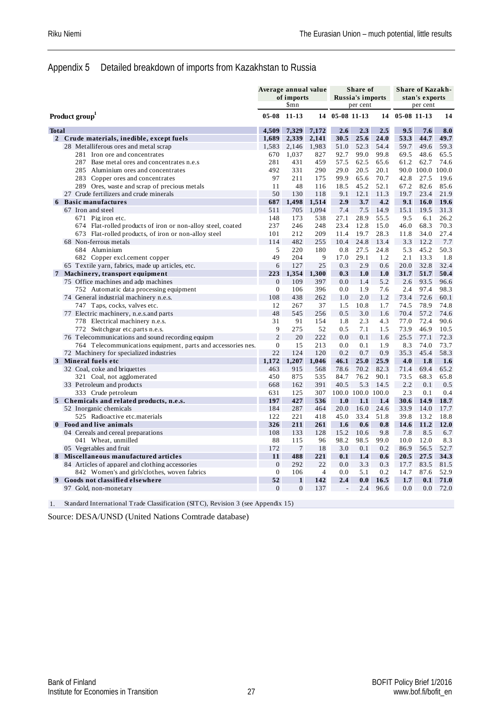#### Appendix 5 Detailed breakdown of imports from Kazakhstan to Russia

| <b>Russia's imports</b><br>of imports<br>\$mn<br>per cent<br>$05 - 08$<br>$11 - 13$<br>05-08 11-13<br>14<br>14<br>Product group<br>4.509<br>2.6<br>2.5<br><b>Total</b><br>7.329<br>7.172<br>2.3<br>1,689<br>2,339<br>2,141<br>30.5<br>25.6<br>24.0<br>$\overline{2}$<br>Crude materials, inedible, except fuels<br>52.3<br>28 Metalliferous ores and metal scrap<br>1,583<br>2,146<br>1,983<br>51.0<br>54.4<br>1,037<br>99.0<br>281 Iron ore and concentrates<br>670<br>827<br>92.7<br>99.8<br>287<br>Base metal ores and concentrates n.e.s<br>281<br>431<br>459<br>57.5<br>62.5<br>65.6<br>492<br>331<br>290<br>29.0<br>20.5<br>20.1<br>285<br>Aluminium ores and concentrates<br>283 Copper ores and concentrates<br>97<br>211<br>175<br>99.9<br>65.6<br>70.7<br>11<br>48<br>18.5<br>45.2<br>52.1<br>289 Ores, waste and scrap of precious metals<br>116<br>50<br>130<br>27 Crude fertilizers and crude minerals<br>118<br>9.1<br>12.1<br>11.3<br>687<br>1.498<br>1.514<br>2.9<br>3.7<br>4.2<br><b>6</b> Basic manufactures<br>67 Iron and steel<br>511<br>705<br>1.094<br>7.4<br>7.5<br>14.9<br>148<br>173<br>538<br>27.1<br>28.9<br>55.5<br>671 Pig iron etc.<br>237<br>248<br>12.8<br>674 Flat-rolled products of iron or non-alloy steel, coated<br>246<br>23.4<br>15.0<br>673 Flat-rolled products, of iron or non-alloy steel<br>212<br>209<br>11.4<br>19.7<br>28.3<br>101<br>68 Non-ferrous metals<br>114<br>482<br>255<br>10.4<br>24.8<br>13.4<br>684 Aluminium<br>5<br>220<br>0.8<br>27.5<br>24.8<br>180<br>49<br>204<br>9<br>17.0<br>29.1<br>1.2<br>682 Copper excl.cement copper<br>25<br>0.3<br>2.9<br>65 Textile yarn, fabrics, made up articles, etc.<br>6<br>127<br>0.6<br>223<br>1,354<br>7 Machinery, transport equipment<br>1,300<br>0.3<br>1.0<br>1.0<br>$\theta$<br>75 Office machines and adp machines<br>109<br>397<br>0.0<br>1.4<br>5.2<br>$\overline{0}$<br>106<br>396<br>0.0<br>1.9<br>7.6<br>752 Automatic data processing equipment<br>108<br>438<br>262<br>1.0<br>2.0<br>1.2<br>74 General industrial machinery n.e.s.<br>37<br>747 Taps, cocks, valves etc.<br>12<br>267<br>1.5<br>10.8<br>1.7<br>74.5<br>48<br>77 Electric machinery, n.e.s.and parts<br>545<br>256<br>0.5<br>3.0<br>1.6<br>778 Electrical machinery n.e.s.<br>31<br>91<br>1.8<br>2.3<br>4.3<br>154<br>9<br>275<br>52<br>7.1<br>772 Switchgear etc.parts n.e.s.<br>0.5<br>1.5<br>$\overline{c}$<br>20<br>222<br>76 Telecommunications and sound recording equipm<br>0.0<br>0.1<br>1.6<br>$\overline{0}$<br>15<br>213<br>0.0<br>0.1<br>1.9<br>764 Telecommunications equipment, parts and accessories nes.<br>22<br>124<br>120<br>0.2<br>0.7<br>0.9<br>72 Machinery for specialized industries<br>1,172<br>1,207<br>25.0<br>25.9<br>3 Mineral fuels etc<br>1,046<br>46.1<br>463<br>915<br>78.6<br>82.3<br>32 Coal, coke and briquettes<br>568<br>70.2<br>450<br>84.7<br>76.2<br>90.1<br>321 Coal, not agglomerated<br>875<br>535<br>162<br>391<br>40.5<br>5.3<br>33 Petroleum and products<br>668<br>14.5<br>333 Crude petroleum<br>631<br>125<br>307<br>100.0 100.0 100.0<br>197<br>427<br>5 Chemicals and related products, n.e.s.<br>536<br>1.0<br>1.1<br>1.4<br>52 Inorganic chemicals<br>184<br>287<br>20.0<br>24.6<br>464<br>16.0<br>525 Radioactive etc.materials<br>122<br>221<br>418<br>45.0<br>33.4<br>51.8<br>326<br>261<br>Food and live animals<br>211<br>1.6<br>0.6<br>0.8<br>108<br>133<br>128<br>15.2<br>10.6<br>9.8<br>04 Cereals and cereal preparations<br>88<br>115<br>96<br>98.2<br>98.5<br>99.0<br>041 Wheat, unmilled<br>172<br>$\tau$<br>18<br>3.0<br>0.2<br>05 Vegetables and fruit<br>0.1<br>11<br>488<br>221<br>8 Miscellaneous manufactured articles<br>0.1<br>1.4<br>0.6 | <b>Share of Kazakh-</b> |
|-------------------------------------------------------------------------------------------------------------------------------------------------------------------------------------------------------------------------------------------------------------------------------------------------------------------------------------------------------------------------------------------------------------------------------------------------------------------------------------------------------------------------------------------------------------------------------------------------------------------------------------------------------------------------------------------------------------------------------------------------------------------------------------------------------------------------------------------------------------------------------------------------------------------------------------------------------------------------------------------------------------------------------------------------------------------------------------------------------------------------------------------------------------------------------------------------------------------------------------------------------------------------------------------------------------------------------------------------------------------------------------------------------------------------------------------------------------------------------------------------------------------------------------------------------------------------------------------------------------------------------------------------------------------------------------------------------------------------------------------------------------------------------------------------------------------------------------------------------------------------------------------------------------------------------------------------------------------------------------------------------------------------------------------------------------------------------------------------------------------------------------------------------------------------------------------------------------------------------------------------------------------------------------------------------------------------------------------------------------------------------------------------------------------------------------------------------------------------------------------------------------------------------------------------------------------------------------------------------------------------------------------------------------------------------------------------------------------------------------------------------------------------------------------------------------------------------------------------------------------------------------------------------------------------------------------------------------------------------------------------------------------------------------------------------------------------------------------------------------------------------------------------------------------------------------------------------------------------------------------------------------------------------------------------------------------------------------------------------------------------------------------------------------------------------------------------------------------------------------------------------------------------------------------------------------------------------------------------------------------------------------------------------------------------------------------------------|-------------------------|
|                                                                                                                                                                                                                                                                                                                                                                                                                                                                                                                                                                                                                                                                                                                                                                                                                                                                                                                                                                                                                                                                                                                                                                                                                                                                                                                                                                                                                                                                                                                                                                                                                                                                                                                                                                                                                                                                                                                                                                                                                                                                                                                                                                                                                                                                                                                                                                                                                                                                                                                                                                                                                                                                                                                                                                                                                                                                                                                                                                                                                                                                                                                                                                                                                                                                                                                                                                                                                                                                                                                                                                                                                                                                                                       | stan's exports          |
|                                                                                                                                                                                                                                                                                                                                                                                                                                                                                                                                                                                                                                                                                                                                                                                                                                                                                                                                                                                                                                                                                                                                                                                                                                                                                                                                                                                                                                                                                                                                                                                                                                                                                                                                                                                                                                                                                                                                                                                                                                                                                                                                                                                                                                                                                                                                                                                                                                                                                                                                                                                                                                                                                                                                                                                                                                                                                                                                                                                                                                                                                                                                                                                                                                                                                                                                                                                                                                                                                                                                                                                                                                                                                                       | per cent                |
|                                                                                                                                                                                                                                                                                                                                                                                                                                                                                                                                                                                                                                                                                                                                                                                                                                                                                                                                                                                                                                                                                                                                                                                                                                                                                                                                                                                                                                                                                                                                                                                                                                                                                                                                                                                                                                                                                                                                                                                                                                                                                                                                                                                                                                                                                                                                                                                                                                                                                                                                                                                                                                                                                                                                                                                                                                                                                                                                                                                                                                                                                                                                                                                                                                                                                                                                                                                                                                                                                                                                                                                                                                                                                                       | 05-08 11-13<br>14       |
|                                                                                                                                                                                                                                                                                                                                                                                                                                                                                                                                                                                                                                                                                                                                                                                                                                                                                                                                                                                                                                                                                                                                                                                                                                                                                                                                                                                                                                                                                                                                                                                                                                                                                                                                                                                                                                                                                                                                                                                                                                                                                                                                                                                                                                                                                                                                                                                                                                                                                                                                                                                                                                                                                                                                                                                                                                                                                                                                                                                                                                                                                                                                                                                                                                                                                                                                                                                                                                                                                                                                                                                                                                                                                                       | 9.5<br>8.0<br>7.6       |
|                                                                                                                                                                                                                                                                                                                                                                                                                                                                                                                                                                                                                                                                                                                                                                                                                                                                                                                                                                                                                                                                                                                                                                                                                                                                                                                                                                                                                                                                                                                                                                                                                                                                                                                                                                                                                                                                                                                                                                                                                                                                                                                                                                                                                                                                                                                                                                                                                                                                                                                                                                                                                                                                                                                                                                                                                                                                                                                                                                                                                                                                                                                                                                                                                                                                                                                                                                                                                                                                                                                                                                                                                                                                                                       | 53.3<br>44.7<br>49.7    |
|                                                                                                                                                                                                                                                                                                                                                                                                                                                                                                                                                                                                                                                                                                                                                                                                                                                                                                                                                                                                                                                                                                                                                                                                                                                                                                                                                                                                                                                                                                                                                                                                                                                                                                                                                                                                                                                                                                                                                                                                                                                                                                                                                                                                                                                                                                                                                                                                                                                                                                                                                                                                                                                                                                                                                                                                                                                                                                                                                                                                                                                                                                                                                                                                                                                                                                                                                                                                                                                                                                                                                                                                                                                                                                       | 59.7<br>49.6<br>59.3    |
|                                                                                                                                                                                                                                                                                                                                                                                                                                                                                                                                                                                                                                                                                                                                                                                                                                                                                                                                                                                                                                                                                                                                                                                                                                                                                                                                                                                                                                                                                                                                                                                                                                                                                                                                                                                                                                                                                                                                                                                                                                                                                                                                                                                                                                                                                                                                                                                                                                                                                                                                                                                                                                                                                                                                                                                                                                                                                                                                                                                                                                                                                                                                                                                                                                                                                                                                                                                                                                                                                                                                                                                                                                                                                                       | 48.6<br>69.5<br>65.5    |
|                                                                                                                                                                                                                                                                                                                                                                                                                                                                                                                                                                                                                                                                                                                                                                                                                                                                                                                                                                                                                                                                                                                                                                                                                                                                                                                                                                                                                                                                                                                                                                                                                                                                                                                                                                                                                                                                                                                                                                                                                                                                                                                                                                                                                                                                                                                                                                                                                                                                                                                                                                                                                                                                                                                                                                                                                                                                                                                                                                                                                                                                                                                                                                                                                                                                                                                                                                                                                                                                                                                                                                                                                                                                                                       | 61.2<br>62.7<br>74.6    |
|                                                                                                                                                                                                                                                                                                                                                                                                                                                                                                                                                                                                                                                                                                                                                                                                                                                                                                                                                                                                                                                                                                                                                                                                                                                                                                                                                                                                                                                                                                                                                                                                                                                                                                                                                                                                                                                                                                                                                                                                                                                                                                                                                                                                                                                                                                                                                                                                                                                                                                                                                                                                                                                                                                                                                                                                                                                                                                                                                                                                                                                                                                                                                                                                                                                                                                                                                                                                                                                                                                                                                                                                                                                                                                       | 100.0<br>90.0 100.0     |
|                                                                                                                                                                                                                                                                                                                                                                                                                                                                                                                                                                                                                                                                                                                                                                                                                                                                                                                                                                                                                                                                                                                                                                                                                                                                                                                                                                                                                                                                                                                                                                                                                                                                                                                                                                                                                                                                                                                                                                                                                                                                                                                                                                                                                                                                                                                                                                                                                                                                                                                                                                                                                                                                                                                                                                                                                                                                                                                                                                                                                                                                                                                                                                                                                                                                                                                                                                                                                                                                                                                                                                                                                                                                                                       | 42.8<br>27.5<br>19.6    |
|                                                                                                                                                                                                                                                                                                                                                                                                                                                                                                                                                                                                                                                                                                                                                                                                                                                                                                                                                                                                                                                                                                                                                                                                                                                                                                                                                                                                                                                                                                                                                                                                                                                                                                                                                                                                                                                                                                                                                                                                                                                                                                                                                                                                                                                                                                                                                                                                                                                                                                                                                                                                                                                                                                                                                                                                                                                                                                                                                                                                                                                                                                                                                                                                                                                                                                                                                                                                                                                                                                                                                                                                                                                                                                       | 67.2<br>82.6<br>85.6    |
|                                                                                                                                                                                                                                                                                                                                                                                                                                                                                                                                                                                                                                                                                                                                                                                                                                                                                                                                                                                                                                                                                                                                                                                                                                                                                                                                                                                                                                                                                                                                                                                                                                                                                                                                                                                                                                                                                                                                                                                                                                                                                                                                                                                                                                                                                                                                                                                                                                                                                                                                                                                                                                                                                                                                                                                                                                                                                                                                                                                                                                                                                                                                                                                                                                                                                                                                                                                                                                                                                                                                                                                                                                                                                                       | 23.4<br>19.7<br>21.9    |
|                                                                                                                                                                                                                                                                                                                                                                                                                                                                                                                                                                                                                                                                                                                                                                                                                                                                                                                                                                                                                                                                                                                                                                                                                                                                                                                                                                                                                                                                                                                                                                                                                                                                                                                                                                                                                                                                                                                                                                                                                                                                                                                                                                                                                                                                                                                                                                                                                                                                                                                                                                                                                                                                                                                                                                                                                                                                                                                                                                                                                                                                                                                                                                                                                                                                                                                                                                                                                                                                                                                                                                                                                                                                                                       | 9.1<br>16.0<br>19.6     |
|                                                                                                                                                                                                                                                                                                                                                                                                                                                                                                                                                                                                                                                                                                                                                                                                                                                                                                                                                                                                                                                                                                                                                                                                                                                                                                                                                                                                                                                                                                                                                                                                                                                                                                                                                                                                                                                                                                                                                                                                                                                                                                                                                                                                                                                                                                                                                                                                                                                                                                                                                                                                                                                                                                                                                                                                                                                                                                                                                                                                                                                                                                                                                                                                                                                                                                                                                                                                                                                                                                                                                                                                                                                                                                       | 15.1<br>19.5<br>31.3    |
|                                                                                                                                                                                                                                                                                                                                                                                                                                                                                                                                                                                                                                                                                                                                                                                                                                                                                                                                                                                                                                                                                                                                                                                                                                                                                                                                                                                                                                                                                                                                                                                                                                                                                                                                                                                                                                                                                                                                                                                                                                                                                                                                                                                                                                                                                                                                                                                                                                                                                                                                                                                                                                                                                                                                                                                                                                                                                                                                                                                                                                                                                                                                                                                                                                                                                                                                                                                                                                                                                                                                                                                                                                                                                                       | 9.5<br>6.1<br>26.2      |
|                                                                                                                                                                                                                                                                                                                                                                                                                                                                                                                                                                                                                                                                                                                                                                                                                                                                                                                                                                                                                                                                                                                                                                                                                                                                                                                                                                                                                                                                                                                                                                                                                                                                                                                                                                                                                                                                                                                                                                                                                                                                                                                                                                                                                                                                                                                                                                                                                                                                                                                                                                                                                                                                                                                                                                                                                                                                                                                                                                                                                                                                                                                                                                                                                                                                                                                                                                                                                                                                                                                                                                                                                                                                                                       | 68.3<br>46.0<br>70.3    |
|                                                                                                                                                                                                                                                                                                                                                                                                                                                                                                                                                                                                                                                                                                                                                                                                                                                                                                                                                                                                                                                                                                                                                                                                                                                                                                                                                                                                                                                                                                                                                                                                                                                                                                                                                                                                                                                                                                                                                                                                                                                                                                                                                                                                                                                                                                                                                                                                                                                                                                                                                                                                                                                                                                                                                                                                                                                                                                                                                                                                                                                                                                                                                                                                                                                                                                                                                                                                                                                                                                                                                                                                                                                                                                       | 11.8<br>34.0<br>27.4    |
|                                                                                                                                                                                                                                                                                                                                                                                                                                                                                                                                                                                                                                                                                                                                                                                                                                                                                                                                                                                                                                                                                                                                                                                                                                                                                                                                                                                                                                                                                                                                                                                                                                                                                                                                                                                                                                                                                                                                                                                                                                                                                                                                                                                                                                                                                                                                                                                                                                                                                                                                                                                                                                                                                                                                                                                                                                                                                                                                                                                                                                                                                                                                                                                                                                                                                                                                                                                                                                                                                                                                                                                                                                                                                                       | 3.3<br>12.2<br>7.7      |
|                                                                                                                                                                                                                                                                                                                                                                                                                                                                                                                                                                                                                                                                                                                                                                                                                                                                                                                                                                                                                                                                                                                                                                                                                                                                                                                                                                                                                                                                                                                                                                                                                                                                                                                                                                                                                                                                                                                                                                                                                                                                                                                                                                                                                                                                                                                                                                                                                                                                                                                                                                                                                                                                                                                                                                                                                                                                                                                                                                                                                                                                                                                                                                                                                                                                                                                                                                                                                                                                                                                                                                                                                                                                                                       | 5.3<br>45.2<br>50.3     |
|                                                                                                                                                                                                                                                                                                                                                                                                                                                                                                                                                                                                                                                                                                                                                                                                                                                                                                                                                                                                                                                                                                                                                                                                                                                                                                                                                                                                                                                                                                                                                                                                                                                                                                                                                                                                                                                                                                                                                                                                                                                                                                                                                                                                                                                                                                                                                                                                                                                                                                                                                                                                                                                                                                                                                                                                                                                                                                                                                                                                                                                                                                                                                                                                                                                                                                                                                                                                                                                                                                                                                                                                                                                                                                       | 2.1<br>13.3<br>1.8      |
|                                                                                                                                                                                                                                                                                                                                                                                                                                                                                                                                                                                                                                                                                                                                                                                                                                                                                                                                                                                                                                                                                                                                                                                                                                                                                                                                                                                                                                                                                                                                                                                                                                                                                                                                                                                                                                                                                                                                                                                                                                                                                                                                                                                                                                                                                                                                                                                                                                                                                                                                                                                                                                                                                                                                                                                                                                                                                                                                                                                                                                                                                                                                                                                                                                                                                                                                                                                                                                                                                                                                                                                                                                                                                                       | 32.8<br>32.4<br>20.0    |
|                                                                                                                                                                                                                                                                                                                                                                                                                                                                                                                                                                                                                                                                                                                                                                                                                                                                                                                                                                                                                                                                                                                                                                                                                                                                                                                                                                                                                                                                                                                                                                                                                                                                                                                                                                                                                                                                                                                                                                                                                                                                                                                                                                                                                                                                                                                                                                                                                                                                                                                                                                                                                                                                                                                                                                                                                                                                                                                                                                                                                                                                                                                                                                                                                                                                                                                                                                                                                                                                                                                                                                                                                                                                                                       | 31.7<br>51.7<br>50.4    |
|                                                                                                                                                                                                                                                                                                                                                                                                                                                                                                                                                                                                                                                                                                                                                                                                                                                                                                                                                                                                                                                                                                                                                                                                                                                                                                                                                                                                                                                                                                                                                                                                                                                                                                                                                                                                                                                                                                                                                                                                                                                                                                                                                                                                                                                                                                                                                                                                                                                                                                                                                                                                                                                                                                                                                                                                                                                                                                                                                                                                                                                                                                                                                                                                                                                                                                                                                                                                                                                                                                                                                                                                                                                                                                       | 2.6<br>93.5<br>96.6     |
|                                                                                                                                                                                                                                                                                                                                                                                                                                                                                                                                                                                                                                                                                                                                                                                                                                                                                                                                                                                                                                                                                                                                                                                                                                                                                                                                                                                                                                                                                                                                                                                                                                                                                                                                                                                                                                                                                                                                                                                                                                                                                                                                                                                                                                                                                                                                                                                                                                                                                                                                                                                                                                                                                                                                                                                                                                                                                                                                                                                                                                                                                                                                                                                                                                                                                                                                                                                                                                                                                                                                                                                                                                                                                                       | 2.4<br>97.4<br>98.3     |
|                                                                                                                                                                                                                                                                                                                                                                                                                                                                                                                                                                                                                                                                                                                                                                                                                                                                                                                                                                                                                                                                                                                                                                                                                                                                                                                                                                                                                                                                                                                                                                                                                                                                                                                                                                                                                                                                                                                                                                                                                                                                                                                                                                                                                                                                                                                                                                                                                                                                                                                                                                                                                                                                                                                                                                                                                                                                                                                                                                                                                                                                                                                                                                                                                                                                                                                                                                                                                                                                                                                                                                                                                                                                                                       | 73.4<br>72.6<br>60.1    |
|                                                                                                                                                                                                                                                                                                                                                                                                                                                                                                                                                                                                                                                                                                                                                                                                                                                                                                                                                                                                                                                                                                                                                                                                                                                                                                                                                                                                                                                                                                                                                                                                                                                                                                                                                                                                                                                                                                                                                                                                                                                                                                                                                                                                                                                                                                                                                                                                                                                                                                                                                                                                                                                                                                                                                                                                                                                                                                                                                                                                                                                                                                                                                                                                                                                                                                                                                                                                                                                                                                                                                                                                                                                                                                       | 78.9<br>74.8            |
|                                                                                                                                                                                                                                                                                                                                                                                                                                                                                                                                                                                                                                                                                                                                                                                                                                                                                                                                                                                                                                                                                                                                                                                                                                                                                                                                                                                                                                                                                                                                                                                                                                                                                                                                                                                                                                                                                                                                                                                                                                                                                                                                                                                                                                                                                                                                                                                                                                                                                                                                                                                                                                                                                                                                                                                                                                                                                                                                                                                                                                                                                                                                                                                                                                                                                                                                                                                                                                                                                                                                                                                                                                                                                                       | 70.4<br>57.2<br>74.6    |
|                                                                                                                                                                                                                                                                                                                                                                                                                                                                                                                                                                                                                                                                                                                                                                                                                                                                                                                                                                                                                                                                                                                                                                                                                                                                                                                                                                                                                                                                                                                                                                                                                                                                                                                                                                                                                                                                                                                                                                                                                                                                                                                                                                                                                                                                                                                                                                                                                                                                                                                                                                                                                                                                                                                                                                                                                                                                                                                                                                                                                                                                                                                                                                                                                                                                                                                                                                                                                                                                                                                                                                                                                                                                                                       | 77.0<br>72.4<br>90.6    |
|                                                                                                                                                                                                                                                                                                                                                                                                                                                                                                                                                                                                                                                                                                                                                                                                                                                                                                                                                                                                                                                                                                                                                                                                                                                                                                                                                                                                                                                                                                                                                                                                                                                                                                                                                                                                                                                                                                                                                                                                                                                                                                                                                                                                                                                                                                                                                                                                                                                                                                                                                                                                                                                                                                                                                                                                                                                                                                                                                                                                                                                                                                                                                                                                                                                                                                                                                                                                                                                                                                                                                                                                                                                                                                       | 46.9<br>73.9<br>10.5    |
|                                                                                                                                                                                                                                                                                                                                                                                                                                                                                                                                                                                                                                                                                                                                                                                                                                                                                                                                                                                                                                                                                                                                                                                                                                                                                                                                                                                                                                                                                                                                                                                                                                                                                                                                                                                                                                                                                                                                                                                                                                                                                                                                                                                                                                                                                                                                                                                                                                                                                                                                                                                                                                                                                                                                                                                                                                                                                                                                                                                                                                                                                                                                                                                                                                                                                                                                                                                                                                                                                                                                                                                                                                                                                                       | 77.1<br>72.3<br>25.5    |
|                                                                                                                                                                                                                                                                                                                                                                                                                                                                                                                                                                                                                                                                                                                                                                                                                                                                                                                                                                                                                                                                                                                                                                                                                                                                                                                                                                                                                                                                                                                                                                                                                                                                                                                                                                                                                                                                                                                                                                                                                                                                                                                                                                                                                                                                                                                                                                                                                                                                                                                                                                                                                                                                                                                                                                                                                                                                                                                                                                                                                                                                                                                                                                                                                                                                                                                                                                                                                                                                                                                                                                                                                                                                                                       | 8.3<br>74.0<br>73.7     |
|                                                                                                                                                                                                                                                                                                                                                                                                                                                                                                                                                                                                                                                                                                                                                                                                                                                                                                                                                                                                                                                                                                                                                                                                                                                                                                                                                                                                                                                                                                                                                                                                                                                                                                                                                                                                                                                                                                                                                                                                                                                                                                                                                                                                                                                                                                                                                                                                                                                                                                                                                                                                                                                                                                                                                                                                                                                                                                                                                                                                                                                                                                                                                                                                                                                                                                                                                                                                                                                                                                                                                                                                                                                                                                       | 58.3<br>35.3<br>45.4    |
|                                                                                                                                                                                                                                                                                                                                                                                                                                                                                                                                                                                                                                                                                                                                                                                                                                                                                                                                                                                                                                                                                                                                                                                                                                                                                                                                                                                                                                                                                                                                                                                                                                                                                                                                                                                                                                                                                                                                                                                                                                                                                                                                                                                                                                                                                                                                                                                                                                                                                                                                                                                                                                                                                                                                                                                                                                                                                                                                                                                                                                                                                                                                                                                                                                                                                                                                                                                                                                                                                                                                                                                                                                                                                                       | 4.0<br>1.8<br>1.6       |
|                                                                                                                                                                                                                                                                                                                                                                                                                                                                                                                                                                                                                                                                                                                                                                                                                                                                                                                                                                                                                                                                                                                                                                                                                                                                                                                                                                                                                                                                                                                                                                                                                                                                                                                                                                                                                                                                                                                                                                                                                                                                                                                                                                                                                                                                                                                                                                                                                                                                                                                                                                                                                                                                                                                                                                                                                                                                                                                                                                                                                                                                                                                                                                                                                                                                                                                                                                                                                                                                                                                                                                                                                                                                                                       | 71.4<br>69.4<br>65.2    |
|                                                                                                                                                                                                                                                                                                                                                                                                                                                                                                                                                                                                                                                                                                                                                                                                                                                                                                                                                                                                                                                                                                                                                                                                                                                                                                                                                                                                                                                                                                                                                                                                                                                                                                                                                                                                                                                                                                                                                                                                                                                                                                                                                                                                                                                                                                                                                                                                                                                                                                                                                                                                                                                                                                                                                                                                                                                                                                                                                                                                                                                                                                                                                                                                                                                                                                                                                                                                                                                                                                                                                                                                                                                                                                       | 73.5<br>65.8<br>68.3    |
|                                                                                                                                                                                                                                                                                                                                                                                                                                                                                                                                                                                                                                                                                                                                                                                                                                                                                                                                                                                                                                                                                                                                                                                                                                                                                                                                                                                                                                                                                                                                                                                                                                                                                                                                                                                                                                                                                                                                                                                                                                                                                                                                                                                                                                                                                                                                                                                                                                                                                                                                                                                                                                                                                                                                                                                                                                                                                                                                                                                                                                                                                                                                                                                                                                                                                                                                                                                                                                                                                                                                                                                                                                                                                                       | 2.2<br>0.1<br>0.5       |
|                                                                                                                                                                                                                                                                                                                                                                                                                                                                                                                                                                                                                                                                                                                                                                                                                                                                                                                                                                                                                                                                                                                                                                                                                                                                                                                                                                                                                                                                                                                                                                                                                                                                                                                                                                                                                                                                                                                                                                                                                                                                                                                                                                                                                                                                                                                                                                                                                                                                                                                                                                                                                                                                                                                                                                                                                                                                                                                                                                                                                                                                                                                                                                                                                                                                                                                                                                                                                                                                                                                                                                                                                                                                                                       | 2.3<br>0.1<br>0.4       |
|                                                                                                                                                                                                                                                                                                                                                                                                                                                                                                                                                                                                                                                                                                                                                                                                                                                                                                                                                                                                                                                                                                                                                                                                                                                                                                                                                                                                                                                                                                                                                                                                                                                                                                                                                                                                                                                                                                                                                                                                                                                                                                                                                                                                                                                                                                                                                                                                                                                                                                                                                                                                                                                                                                                                                                                                                                                                                                                                                                                                                                                                                                                                                                                                                                                                                                                                                                                                                                                                                                                                                                                                                                                                                                       | 30.6<br>14.9<br>18.7    |
|                                                                                                                                                                                                                                                                                                                                                                                                                                                                                                                                                                                                                                                                                                                                                                                                                                                                                                                                                                                                                                                                                                                                                                                                                                                                                                                                                                                                                                                                                                                                                                                                                                                                                                                                                                                                                                                                                                                                                                                                                                                                                                                                                                                                                                                                                                                                                                                                                                                                                                                                                                                                                                                                                                                                                                                                                                                                                                                                                                                                                                                                                                                                                                                                                                                                                                                                                                                                                                                                                                                                                                                                                                                                                                       | 33.9<br>14.0<br>17.7    |
|                                                                                                                                                                                                                                                                                                                                                                                                                                                                                                                                                                                                                                                                                                                                                                                                                                                                                                                                                                                                                                                                                                                                                                                                                                                                                                                                                                                                                                                                                                                                                                                                                                                                                                                                                                                                                                                                                                                                                                                                                                                                                                                                                                                                                                                                                                                                                                                                                                                                                                                                                                                                                                                                                                                                                                                                                                                                                                                                                                                                                                                                                                                                                                                                                                                                                                                                                                                                                                                                                                                                                                                                                                                                                                       | 39.8<br>13.2<br>18.8    |
|                                                                                                                                                                                                                                                                                                                                                                                                                                                                                                                                                                                                                                                                                                                                                                                                                                                                                                                                                                                                                                                                                                                                                                                                                                                                                                                                                                                                                                                                                                                                                                                                                                                                                                                                                                                                                                                                                                                                                                                                                                                                                                                                                                                                                                                                                                                                                                                                                                                                                                                                                                                                                                                                                                                                                                                                                                                                                                                                                                                                                                                                                                                                                                                                                                                                                                                                                                                                                                                                                                                                                                                                                                                                                                       | 14.6<br>11.2<br>12.0    |
|                                                                                                                                                                                                                                                                                                                                                                                                                                                                                                                                                                                                                                                                                                                                                                                                                                                                                                                                                                                                                                                                                                                                                                                                                                                                                                                                                                                                                                                                                                                                                                                                                                                                                                                                                                                                                                                                                                                                                                                                                                                                                                                                                                                                                                                                                                                                                                                                                                                                                                                                                                                                                                                                                                                                                                                                                                                                                                                                                                                                                                                                                                                                                                                                                                                                                                                                                                                                                                                                                                                                                                                                                                                                                                       | 7.8<br>8.5<br>6.7       |
|                                                                                                                                                                                                                                                                                                                                                                                                                                                                                                                                                                                                                                                                                                                                                                                                                                                                                                                                                                                                                                                                                                                                                                                                                                                                                                                                                                                                                                                                                                                                                                                                                                                                                                                                                                                                                                                                                                                                                                                                                                                                                                                                                                                                                                                                                                                                                                                                                                                                                                                                                                                                                                                                                                                                                                                                                                                                                                                                                                                                                                                                                                                                                                                                                                                                                                                                                                                                                                                                                                                                                                                                                                                                                                       | 10.0<br>12.0<br>8.3     |
|                                                                                                                                                                                                                                                                                                                                                                                                                                                                                                                                                                                                                                                                                                                                                                                                                                                                                                                                                                                                                                                                                                                                                                                                                                                                                                                                                                                                                                                                                                                                                                                                                                                                                                                                                                                                                                                                                                                                                                                                                                                                                                                                                                                                                                                                                                                                                                                                                                                                                                                                                                                                                                                                                                                                                                                                                                                                                                                                                                                                                                                                                                                                                                                                                                                                                                                                                                                                                                                                                                                                                                                                                                                                                                       | 56.5<br>52.7<br>86.9    |
|                                                                                                                                                                                                                                                                                                                                                                                                                                                                                                                                                                                                                                                                                                                                                                                                                                                                                                                                                                                                                                                                                                                                                                                                                                                                                                                                                                                                                                                                                                                                                                                                                                                                                                                                                                                                                                                                                                                                                                                                                                                                                                                                                                                                                                                                                                                                                                                                                                                                                                                                                                                                                                                                                                                                                                                                                                                                                                                                                                                                                                                                                                                                                                                                                                                                                                                                                                                                                                                                                                                                                                                                                                                                                                       | 27.5<br>34.3<br>20.5    |
| $\overline{0}$<br>22<br>3.3<br>84 Articles of apparel and clothing accessories<br>292<br>0.0<br>0.3                                                                                                                                                                                                                                                                                                                                                                                                                                                                                                                                                                                                                                                                                                                                                                                                                                                                                                                                                                                                                                                                                                                                                                                                                                                                                                                                                                                                                                                                                                                                                                                                                                                                                                                                                                                                                                                                                                                                                                                                                                                                                                                                                                                                                                                                                                                                                                                                                                                                                                                                                                                                                                                                                                                                                                                                                                                                                                                                                                                                                                                                                                                                                                                                                                                                                                                                                                                                                                                                                                                                                                                                   | 17.7<br>83.5<br>81.5    |
| $\overline{0}$<br>106<br>$\overline{4}$<br>0.0<br>5.1<br>0.2<br>842 Women's and girls' clothes, woven fabrics                                                                                                                                                                                                                                                                                                                                                                                                                                                                                                                                                                                                                                                                                                                                                                                                                                                                                                                                                                                                                                                                                                                                                                                                                                                                                                                                                                                                                                                                                                                                                                                                                                                                                                                                                                                                                                                                                                                                                                                                                                                                                                                                                                                                                                                                                                                                                                                                                                                                                                                                                                                                                                                                                                                                                                                                                                                                                                                                                                                                                                                                                                                                                                                                                                                                                                                                                                                                                                                                                                                                                                                         | 14.7<br>87.6<br>52.9    |
| 52<br>$\mathbf{1}$<br>142<br>2.4<br>0.0<br>9<br>Goods not classified elsewhere<br>16.5                                                                                                                                                                                                                                                                                                                                                                                                                                                                                                                                                                                                                                                                                                                                                                                                                                                                                                                                                                                                                                                                                                                                                                                                                                                                                                                                                                                                                                                                                                                                                                                                                                                                                                                                                                                                                                                                                                                                                                                                                                                                                                                                                                                                                                                                                                                                                                                                                                                                                                                                                                                                                                                                                                                                                                                                                                                                                                                                                                                                                                                                                                                                                                                                                                                                                                                                                                                                                                                                                                                                                                                                                | 1.7<br>71.0<br>0.1      |
| $\overline{0}$<br>$\overline{0}$<br>2.4<br>137<br>96.6<br>97 Gold, non-monetary<br>$\overline{a}$                                                                                                                                                                                                                                                                                                                                                                                                                                                                                                                                                                                                                                                                                                                                                                                                                                                                                                                                                                                                                                                                                                                                                                                                                                                                                                                                                                                                                                                                                                                                                                                                                                                                                                                                                                                                                                                                                                                                                                                                                                                                                                                                                                                                                                                                                                                                                                                                                                                                                                                                                                                                                                                                                                                                                                                                                                                                                                                                                                                                                                                                                                                                                                                                                                                                                                                                                                                                                                                                                                                                                                                                     | 0.0<br>0.0<br>72.0      |

1. Standard International Trade Classification (SITC), Revision 3 (see Appendix 15)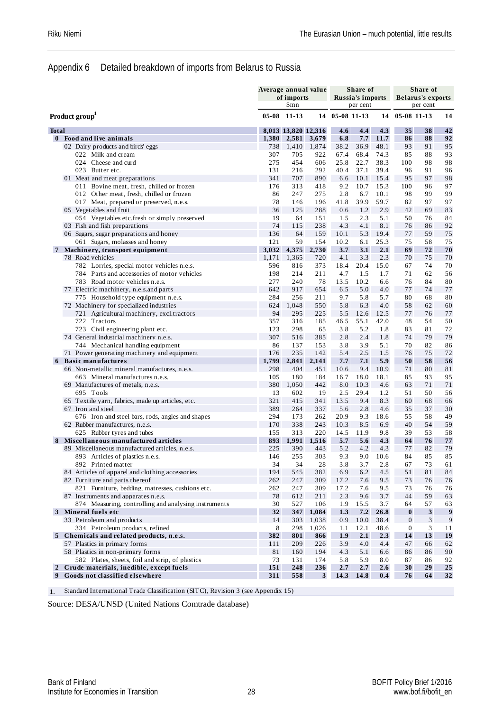#### Appendix 6 Detailed breakdown of imports from Belarus to Russia

|                |                                                                                       |            | Average annual value<br>of imports<br>\$mn |              |                | Share of<br>Russia's imports<br>per cent |              |                  | Share of<br><b>Belarus's exports</b><br>per cent |                  |
|----------------|---------------------------------------------------------------------------------------|------------|--------------------------------------------|--------------|----------------|------------------------------------------|--------------|------------------|--------------------------------------------------|------------------|
|                | Product group                                                                         |            | $05-08$ 11-13                              |              | 14 05-08 11-13 |                                          | 14           | 05-08 11-13      |                                                  | 14               |
| <b>Total</b>   |                                                                                       |            | 8,013 13,820 12,316                        |              | 4.6            | 4.4                                      | 4.3          | 35               | 38                                               | 42               |
|                | 0 Food and live animals                                                               | 1,380      | 2,581                                      | 3,679        | 6.8            | 7.7                                      | 11.7         | 86               | 88                                               | 92               |
|                | 02 Dairy products and birds' eggs                                                     | 738        | 1,410                                      | 1,874        | 38.2           | 36.9                                     | 48.1         | 93               | 91                                               | 95               |
|                | 022 Milk and cream                                                                    | 307        | 705                                        | 922          | 67.4           | 68.4                                     | 74.3         | 85               | 88                                               | 93               |
|                | 024 Cheese and curd                                                                   | 275        | 454                                        | 606          | 25.8           | 22.7                                     | 38.3         | 100              | 98                                               | 98               |
|                | 023 Butter etc.                                                                       | 131        | 216                                        | 292          | 40.4           | 37.1                                     | 39.4         | 96               | 91                                               | 96               |
|                | 01 Meat and meat preparations                                                         | 341        | 707                                        | 890          | 6.6            | 10.1                                     | 15.4         | 95               | 97                                               | 98               |
|                | 011 Bovine meat, fresh, chilled or frozen<br>012 Other meat, fresh, chilled or frozen | 176<br>86  | 313<br>247                                 | 418<br>275   | 9.2<br>2.8     | 10.7<br>6.7                              | 15.3<br>10.1 | 100<br>98        | 96<br>99                                         | 97<br>99         |
|                | 017 Meat, prepared or preserved, n.e.s.                                               | 78         | 146                                        | 196          | 41.8           | 39.9                                     | 59.7         | 82               | 97                                               | 97               |
|                | 05 Vegetables and fruit                                                               | 36         | 125                                        | 288          | 0.6            | 1.2                                      | 2.9          | 42               | 69                                               | 83               |
|                | 054 Vegetables etc.fresh or simply preserved                                          | 19         | 64                                         | 151          | 1.5            | 2.3                                      | 5.1          | 50               | 76                                               | 84               |
|                | 03 Fish and fish preparations                                                         | 74         | 115                                        | 238          | 4.3            | 4.1                                      | 8.1          | 76               | 86                                               | 92               |
|                | 06 Sugars, sugar preparations and honey                                               | 136        | 64                                         | 159          | 10.1           | 5.3                                      | 19.4         | 77               | 59                                               | 75               |
|                | 061 Sugars, molasses and honey                                                        | 121        | 59                                         | 154          | 10.2           | 6.1                                      | 25.3         | 75               | 58                                               | 75               |
| 7              | Machinery, transport equipment                                                        | 3,032      | 4,375                                      | 2,730        | 3.7            | 3.1                                      | 2.1          | 69               | 72                                               | 70               |
|                | 78 Road vehicles                                                                      | 1,171      | 1,365                                      | 720          | 4.1            | 3.3                                      | 2.3          | 70               | 75                                               | 70               |
|                | 782 Lorries, special motor vehicles n.e.s.                                            | 596        | 816                                        | 373          | 18.4           | 20.4                                     | 15.0         | 67               | 74                                               | 70               |
|                | 784 Parts and accessories of motor vehicles                                           | 198        | 214                                        | 211          | 4.7            | 1.5                                      | 1.7          | 71               | 62                                               | 56               |
|                | 783 Road motor vehicles n.e.s.                                                        | 277        | 240                                        | 78           | 13.5           | 10.2                                     | 6.6          | 76               | 84                                               | 80               |
|                | 77 Electric machinery, n.e.s. and parts                                               | 642        | 917                                        | 654          | 6.5            | 5.0                                      | 4.0          | 77               | 74                                               | 77               |
|                | 775 Household type equipment n.e.s.                                                   | 284        | 256                                        | 211          | 9.7            | 5.8                                      | 5.7          | 80               | 68                                               | 80               |
|                | 72 Machinery for specialized industries                                               | 624        | 1,048                                      | 550          | 5.8            | 6.3                                      | 4.0          | 58               | 62                                               | 60               |
|                | 721 Agricultural machinery, excl.tractors<br>722 Tractors                             | 94<br>357  | 295                                        | 225<br>185   | 5.5<br>46.5    | 12.6<br>55.1                             | 12.5<br>42.0 | 77<br>48         | 76<br>54                                         | 77<br>50         |
|                | 723 Civil engineering plant etc.                                                      | 123        | 316<br>298                                 | 65           | 3.8            | 5.2                                      | 1.8          | 83               | 81                                               | 72               |
|                | 74 General industrial machinery n.e.s.                                                | 307        | 516                                        | 385          | 2.8            | 2.4                                      | 1.8          | 74               | 79                                               | 79               |
|                | 744 Mechanical handling equipment                                                     | 86         | 137                                        | 153          | 3.8            | 3.9                                      | 5.1          | 70               | 82                                               | 86               |
|                | 71 Power generating machinery and equipment                                           | 176        | 235                                        | 142          | 5.4            | 2.5                                      | 1.5          | 76               | 75                                               | 72               |
|                | 6 Basic manufactures                                                                  | 1,799      | 2,841                                      | 2,141        | 7.7            | 7.1                                      | 5.9          | 50               | 58                                               | 56               |
|                | 66 Non-metallic mineral manufactures, n.e.s.                                          | 298        | 404                                        | 451          | 10.6           | 9.4                                      | 10.9         | 71               | 80                                               | 81               |
|                | 663 Mineral manufactures n.e.s.                                                       | 105        | 180                                        | 184          | 16.7           | 18.0                                     | 18.1         | 85               | 93                                               | 95               |
|                | 69 Manufactures of metals, n.e.s.                                                     | 380        | 1,050                                      | 442          | 8.0            | 10.3                                     | 4.6          | 63               | 71                                               | 71               |
|                | 695 Tools                                                                             | 13         | 602                                        | 19           | 2.5            | 29.4                                     | 1.2          | 51               | 50                                               | 56               |
|                | 65 Textile yarn, fabrics, made up articles, etc.                                      | 321        | 415                                        | 341          | 13.5           | 9.4                                      | 8.3          | 60               | 68                                               | 66               |
|                | 67 Iron and steel                                                                     | 389        | 264                                        | 337          | 5.6            | 2.8                                      | 4.6          | 35               | 37                                               | 30               |
|                | 676 Iron and steel bars, rods, angles and shapes                                      | 294        | 173                                        | 262          | 20.9           | 9.3                                      | 18.6         | 55               | 58                                               | 49               |
|                | 62 Rubber manufactures, n.e.s.                                                        | 170        | 338                                        | 243          | 10.3           | 8.5                                      | 6.9          | 40               | 54                                               | 59               |
|                | 625 Rubber tyres and tubes                                                            | 155        | 313                                        | 220          | 14.5           | 11.9                                     | 9.8          | 39               | 53                                               | 58               |
|                | Miscellaneous manufactured articles<br>89 Miscellaneous manufactured articles, n.e.s. | 893<br>225 | 1,991<br>390                               | 1,516<br>443 | 5.7<br>5.2     | 5.6<br>4.2                               | 4.3<br>4.3   | 64<br>77         | 76<br>82                                         | 77<br>79         |
|                | 893 Articles of plastics n.e.s.                                                       | 146        | 255                                        | 303          | 9.3            | 9.0                                      | 10.6         | 84               | 85                                               | 85               |
|                | 892 Printed matter                                                                    | 34         | 34                                         | 28           | $3.8\,$        | 3.7                                      | 2.8          | 67               | 73                                               | 61               |
|                | 84 Articles of apparel and clothing accessories                                       | 194        | 545                                        | 382          | 6.9            | 6.2                                      | 4.5          | $5\sqrt{1}$      | 81                                               | 84               |
|                | 82 Furniture and parts thereof                                                        | 262        | 247                                        | 309          | 17.2           | 7.6                                      | 9.5          | 73               | 76                                               | 76               |
|                | 821 Furniture, bedding, matresses, cushions etc.                                      | 262        | 247                                        | 309          | 17.2           | 7.6                                      | 9.5          | 73               | 76                                               | $76\,$           |
|                | 87 Instruments and apparates n.e.s.                                                   | 78         | 612                                        | 211          | 2.3            | 9.6                                      | 3.7          | 44               | 59                                               | 63               |
|                | 874 Measuring, controlling and analysing instruments                                  | 30         | 527                                        | 106          | 1.9            | 15.5                                     | 3.7          | 64               | 57                                               | 63               |
|                | 3 Mineral fuels etc                                                                   | 32         | 347                                        | 1,084        | 1.3            | 7.2                                      | 26.8         | $\bf{0}$         | $\mathbf{3}$                                     | $\boldsymbol{9}$ |
|                | 33 Petroleum and products                                                             | 14         | 303                                        | 1,038        | 0.9            | 10.0                                     | 38.4         | $\boldsymbol{0}$ | 3                                                | 9                |
|                | 334 Petroleum products, refined                                                       | 8          | 298                                        | 1,026        | 1.1            | 12.1                                     | 48.6         | $\boldsymbol{0}$ | 3                                                | 11               |
|                | 5 Chemicals and related products, n.e.s.                                              | 382        | 801                                        | 866          | 1.9            | 2.1                                      | 2.3          | 14               | 13                                               | 19               |
|                | 57 Plastics in primary forms                                                          | 111        | 209                                        | 226          | 3.9            | 4.0                                      | 4.4          | 47               | 66                                               | 62               |
|                | 58 Plastics in non-primary forms                                                      | 81         | 160                                        | 194          | 4.3            | 5.1                                      | 6.6          | 86               | 86                                               | 90               |
|                | 582 Plates, sheets, foil and strip, of plastics                                       | 73         | 131                                        | 174          | 5.8            | 5.9                                      | 8.0          | 87               | 86                                               | 92               |
| $\overline{2}$ | Crude materials, inedible, except fuels                                               | 151        | 248                                        | 236          | 2.7            | 2.7                                      | 2.6          | 30               | 29                                               | 25               |
| 9              | Goods not classified elsewhere                                                        | 311        | 558                                        | $\mathbf{3}$ | 14.3           | 14.8                                     | 0.4          | 76               | 64                                               | 32               |

1. Standard International Trade Classification (SITC), Revision 3 (see Appendix 15)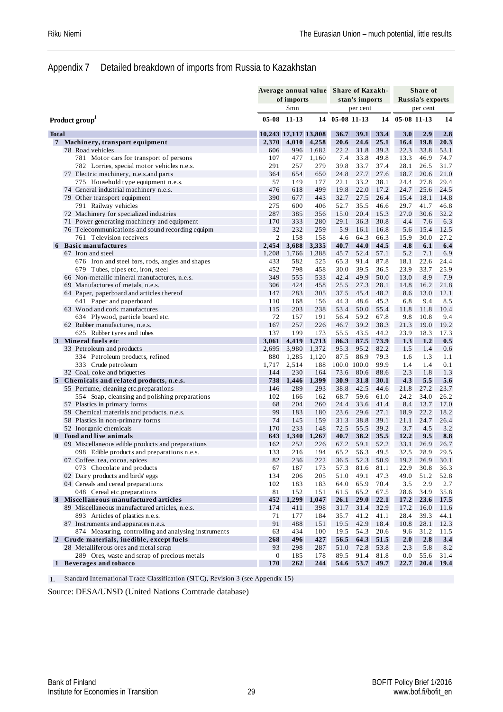#### Appendix 7 Detailed breakdown of imports from Russia to Kazakhstan

|                |                                                        | Average annual value Share of Kazakh- |                      |                |              |                |              |             | Share of         |            |
|----------------|--------------------------------------------------------|---------------------------------------|----------------------|----------------|--------------|----------------|--------------|-------------|------------------|------------|
|                |                                                        |                                       | of imports           |                |              | stan's imports |              |             | Russia's exports |            |
|                |                                                        |                                       | \$mn                 |                |              | per cent       |              |             | per cent         |            |
|                | Product group                                          |                                       | $05-08$ 11-13        | 14             | 05-08 11-13  |                | 14           | 05-08 11-13 |                  | 14         |
| <b>Total</b>   |                                                        |                                       | 10,243 17,117 13,808 |                | 36.7         | 39.1           | 33.4         | 3.0         | 2.9              | 2.8        |
| 7 <sup>7</sup> | Machinery, transport equipment                         | 2,370                                 | 4,010                | 4,258          | 20.6         | 24.6           | 25.1         | 16.4        | 19.8             | 20.3       |
|                | 78 Road vehicles                                       | 606                                   | 996                  | 1,682          | 22.2         | 31.8           | 39.3         | 22.3        | 33.8             | 53.1       |
|                | 781 Motor cars for transport of persons                | 107                                   | 477                  | 1,160          | 7.4          | 33.8           | 49.8         | 13.3        | 46.9             | 74.7       |
|                | 782 Lorries, special motor vehicles n.e.s.             | 291                                   | 257                  | 279            | 39.8         | 33.7           | 37.4         | 28.1        | 26.5             | 31.7       |
|                | 77 Electric machinery, n.e.s.and parts                 | 364                                   | 654                  | 650            | 24.8         | 27.7           | 27.6         | 18.7        | 20.6             | 21.0       |
|                | 775 Household type equipment n.e.s.                    | 57                                    | 149                  | 177            | 22.1         | 33.2           | 38.1         | 24.4        | 27.8             | 29.4       |
|                | 74 General industrial machinery n.e.s.                 | 476                                   | 618                  | 499            | 19.8         | 22.0           | 17.2         | 24.7        | 25.6             | 24.5       |
|                | 79 Other transport equipment                           | 390                                   | 677                  | 443            | 32.7         | 27.5           | 26.4         | 15.4        | 18.1             | 14.8       |
|                | 791 Railway vehicles                                   | 275                                   | 600                  | 406            | 52.7         | 35.5           | 46.6         | 29.7        | 41.7             | 46.8       |
|                | 72 Machinery for specialized industries                | 287                                   | 385                  | 356            | 15.0         | 20.4           | 15.3         | 27.0        | 30.6             | 32.2       |
|                | 71 Power generating machinery and equipment            | 170                                   | 333                  | 280            | 29.1         | 36.3           | 30.8         | 4.4         | 7.6              | 6.3        |
|                | 76 Telecommunications and sound recording equipm       | 32                                    | 232                  | 259            | 5.9          | 16.1           | 16.8         | 5.6         | 15.4             | 12.5       |
|                | 761 Television receivers                               | $\mathfrak{2}$                        | 158                  | 158            | 4.6          | 64.3           | 66.3         | 15.9        | 30.0             | 27.2       |
| 6              | <b>Basic manufactures</b>                              | 2,454                                 | 3,688                | 3,335          | 40.7         | 44.0           | 44.5         | 4.8         | 6.1              | 6.4        |
|                | 67 Iron and steel                                      | 1,208                                 | 1,766                | 1,388          | 45.7         | 52.4           | 57.1         | 5.2         | 7.1              | 6.9        |
|                | 676 Iron and steel bars, rods, angles and shapes       | 433                                   | 582                  | 525            | 65.3         | 91.4           | 87.8         | 18.1        | 22.6             | 24.4       |
|                | 679 Tubes, pipes etc, iron, steel                      | 452                                   | 798                  | 458            | 30.0         | 39.5           | 36.5         | 23.9        | 33.7             | 25.9       |
|                | 66 Non-metallic mineral manufactures, n.e.s.           | 349                                   | 555                  | 533            | 42.4         | 49.9           | 50.0         | 13.0        | 8.9              | 7.9        |
|                | 69 Manufactures of metals, n.e.s.                      | 306                                   | 424                  | 458            | 25.5         | 27.3           | 28.1         | 14.8        | 16.2             | 21.8       |
|                | 64 Paper, paperboard and articles thereof              | 147                                   | 283                  | 305            | 37.5         | 45.4           | 48.2         | 8.6         | 13.0             | 12.1       |
|                | 641 Paper and paperboard                               | 110                                   | 168                  | 156            | 44.3         | 48.6           | 45.3         | 6.8         | 9.4              | 8.5        |
|                | 63 Wood and cork manufactures                          | 115                                   | 203                  | 238            | 53.4         | 50.0           | 55.4         | 11.8        | 11.8             | 10.4       |
|                | 634 Plywood, particle board etc.                       | 72<br>167                             | 157                  | 191            | 56.4         | 59.2           | 67.8         | 9.8         | 10.8             | 9.4        |
|                | 62 Rubber manufactures, n.e.s.                         |                                       | 257                  | 226            | 46.7         | 39.2           | 38.3         | 21.3        | 19.0             | 19.2       |
|                | 625 Rubber tyres and tubes                             | 137                                   | 199                  | 173            | 55.5         | 43.5           | 44.2         | 23.9        | 18.3             | 17.3       |
|                | 3 Mineral fuels etc                                    | 3,061                                 | 4,419                | 1,713<br>1,372 | 86.3         | 87.5<br>95.2   | 73.9<br>82.2 | 1.3         | 1.2              | 0.5        |
|                | 33 Petroleum and products                              | 2,695<br>880                          | 3,980                |                | 95.3<br>87.5 | 86.9           | 79.3         | 1.5<br>1.6  | 1.4<br>1.3       | 0.6        |
|                | 334 Petroleum products, refined<br>333 Crude petroleum | 1,717                                 | 1,285<br>2,514       | 1,120<br>188   | 100.0 100.0  |                | 99.9         | 1.4         | 1.4              | 1.1<br>0.1 |
|                | 32 Coal, coke and briquettes                           | 144                                   | 230                  | 164            | 73.6         | 80.6           | 88.6         | 2.3         | 1.8              | 1.3        |
|                | 5 Chemicals and related products, n.e.s.               | 738                                   | 1,446                | 1,399          | 30.9         | 31.8           | 30.1         | 4.3         | 5.5              | 5.6        |
|                | 55 Perfume, cleaning etc.preparations                  | 146                                   | 289                  | 293            | 38.8         | 42.5           | 44.6         | 21.8        | 27.2             | 23.7       |
|                | 554 Soap, cleansing and polishing preparations         | 102                                   | 166                  | 162            | 68.7         | 59.6           | 61.0         | 24.2        | 34.0             | 26.2       |
|                | 57 Plastics in primary forms                           | 68                                    | 204                  | 260            | 24.4         | 33.6           | 41.4         | 8.4         | 13.7             | 17.0       |
|                | 59 Chemical materials and products, n.e.s.             | 99                                    | 183                  | 180            | 23.6         | 29.6           | 27.1         | 18.9        | 22.2             | 18.2       |
|                | 58 Plastics in non-primary forms                       | 74                                    | 145                  | 159            | 31.3         | 38.8           | 39.1         | 21.1        | 24.7             | 26.4       |
|                | 52 Inorganic chemicals                                 | 170                                   | 233                  | 148            | 72.5         | 55.5           | 39.2         | 3.7         | 4.5              | 3.2        |
| $\bf{0}$       | Food and live animals                                  | 643                                   | 1,340                | 1,267          | 40.7         | 38.2           | 35.5         | 12.2        | 9.5              | 8.8        |
|                | 09 Miscellaneous edible products and preparations      | 162                                   | 252                  | 226            | 67.2         | 59.1           | 52.2         | 33.1        | 26.9             | 26.7       |
|                | 098 Edible products and preparations n.e.s.            | 133                                   | 216                  | 194            | 65.2         | 56.3           | 49.5         | 32.5        | 28.9             | 29.5       |
|                | 07 Coffee, tea, cocoa, spices                          | 82                                    | 236                  | 222            | 36.5         | 52.3           | 50.9         | 19.2        | 26.9             | 30.1       |
|                | 073 Chocolate and products                             | 67                                    | 187                  | 173            | 57.3         | 81.6           | 81.1         | 22.9        | 30.8             | 36.3       |
|                | 02 Dairy products and birds' eggs                      | 134                                   | 206                  | 205            | 51.0         | 49.1           | 47.3         | 49.0        | 51.2             | 52.8       |
|                | 04 Cereals and cereal preparations                     | 102                                   | 183                  | 183            | 64.0         | 65.9           | 70.4         | 3.5         | 2.9              | 2.7        |
|                | 048 Cereal etc. preparations                           | 81                                    | 152                  | 151            | 61.5         | 65.2           | 67.5         | 28.6        | 34.9             | 35.8       |
|                | 8 Miscellaneous manufactured articles                  | 452                                   | 1,299                | 1,047          | 26.1         | <b>29.0</b>    | 22.1         | 17.2        | 23.6             | 17.5       |
|                | 89 Miscellaneous manufactured articles, n.e.s.         | 174                                   | 411                  | 398            | 31.7         | 31.4           | 32.9         | 17.2        | 16.0             | 11.6       |
|                | 893 Articles of plastics n.e.s.                        | 71                                    | 177                  | 184            | 35.7         | 41.2           | 41.1         | 28.4        | 39.3             | 44.1       |
|                | 87 Instruments and apparates n.e.s.                    | 91                                    | 488                  | 151            | 19.5         | 42.9           | 18.4         | 10.8        | 28.1             | 12.3       |
|                | 874 Measuring, controlling and analysing instruments   | 63                                    | 434                  | 100            | 19.5         | 54.3           | 20.6         | 9.6         | 31.2             | 11.5       |
|                | 2 Crude materials, inedible, except fuels              | 268                                   | 496                  | 427            | 56.5         | 64.3           | 51.5         | 2.0         | 2.8              | 3.4        |
|                | 28 Metalliferous ores and metal scrap                  | 93                                    | 298                  | 287            | 51.0         | 72.8           | 53.8         | 2.3         | 5.8              | 8.2        |
|                | 289 Ores, waste and scrap of precious metals           | $\boldsymbol{0}$                      | 185                  | 178            | 89.5         | 91.4           | 81.8         | 0.0         | 55.6             | 31.4       |
|                | 1 Beverages and tobacco                                | 170                                   | 262                  | 244            | 54.6         | 53.7           | 49.7         | 22.7        | 20.4             | 19.4       |

1. Standard International Trade Classification (SITC), Revision 3 (see Appendix 15)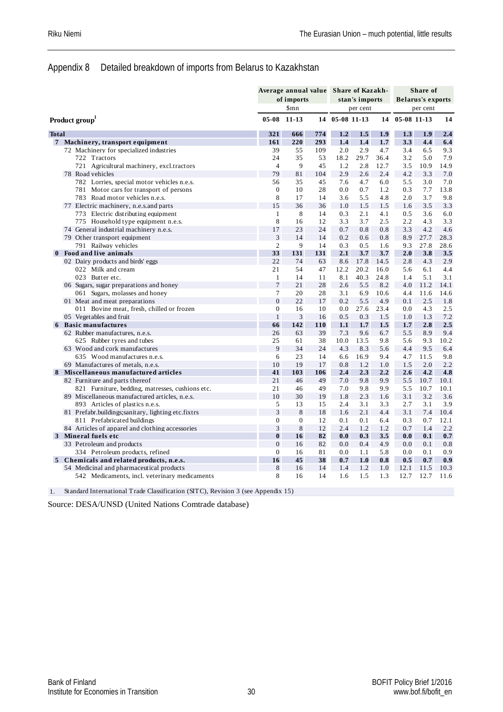#### Appendix 8 Detailed breakdown of imports from Belarus to Kazakhstan

|                |                                                     |                  | Average annual value Share of Kazakh-<br>of imports<br>\$mn |     |                | stan's imports |      |             | Share of<br><b>Belarus's exports</b> |      |
|----------------|-----------------------------------------------------|------------------|-------------------------------------------------------------|-----|----------------|----------------|------|-------------|--------------------------------------|------|
|                |                                                     | $05 - 08$        | 11-13                                                       |     | 14 05-08 11-13 | per cent       | 14   | 05-08 11-13 | per cent                             | 14   |
|                | Product group                                       |                  |                                                             |     |                |                |      |             |                                      |      |
| <b>Total</b>   |                                                     | 321              | 666                                                         | 774 | 1.2            | 1.5            | 1.9  | 1.3         | 1.9                                  | 2.4  |
| $\overline{7}$ | Machinery, transport equipment                      | 161              | 220                                                         | 293 | 1.4            | 1.4            | 1.7  | 3.3         | 4.4                                  | 6.4  |
|                | 72 Machinery for specialized industries             | 39               | 55                                                          | 109 | 2.0            | 2.9            | 4.7  | 3.4         | 6.5                                  | 9.3  |
|                | 722 Tractors                                        | 24               | 35                                                          | 53  | 18.2           | 29.7           | 36.4 | 3.2         | 5.0                                  | 7.9  |
|                | 721 Agricultural machinery, excl.tractors           | $\overline{4}$   | 9                                                           | 45  | 1.2            | 2.8            | 12.7 | 3.5         | 10.9                                 | 14.9 |
|                | 78 Road vehicles                                    | 79               | 81                                                          | 104 | 2.9            | 2.6            | 2.4  | 4.2         | 3.3                                  | 7.0  |
|                | 782 Lorries, special motor vehicles n.e.s.          | 56               | 35                                                          | 45  | 7.6            | 4.7            | 6.0  | 5.5         | 3.0                                  | 7.0  |
|                | 781 Motor cars for transport of persons             | $\mathbf{0}$     | 10                                                          | 28  | 0.0            | 0.7            | 1.2  | 0.3         | 7.7                                  | 13.8 |
|                | 783 Road motor vehicles n.e.s.                      | 8                | 17                                                          | 14  | 3.6            | 5.5            | 4.8  | 2.0         | 3.7                                  | 9.8  |
|                | 77 Electric machinery, n.e.s.and parts              | 15               | 36                                                          | 36  | 1.0            | 1.5            | 1.5  | 1.6         | 3.5                                  | 3.3  |
|                | 773 Electric distributing equipment                 | $\mathbf{1}$     | 8                                                           | 14  | 0.3            | 2.1            | 4.1  | 0.5         | 3.6                                  | 6.0  |
|                | 775 Household type equipment n.e.s.                 | 8                | 16                                                          | 12  | 3.3            | 3.7            | 2.5  | 2.2         | 4.3                                  | 3.3  |
|                | 74 General industrial machinery n.e.s.              | 17               | 23                                                          | 24  | 0.7            | 0.8            | 0.8  | 3.3         | 4.2                                  | 4.6  |
|                | 79 Other transport equipment                        | 3                | 14                                                          | 14  | 0.2            | 0.6            | 0.8  | 8.9         | 27.7                                 | 28.3 |
|                | 791 Railway vehicles                                | $\overline{2}$   | 9                                                           | 14  | 0.3            | 0.5            | 1.6  | 9.3         | 27.8                                 | 28.6 |
| $\mathbf{0}$   | Food and live animals                               | 33               | 131                                                         | 131 | 2.1            | 3.7            | 3.7  | 2.0         | 3.8                                  | 3.5  |
|                | 02 Dairy products and birds' eggs                   | 22               | 74                                                          | 63  | 8.6            | 17.8           | 14.5 | 2.8         | 4.3                                  | 2.9  |
|                | 022 Milk and cream                                  | 21               | 54                                                          | 47  | 12.2           | 20.2           | 16.0 | 5.6         | 6.1                                  | 4.4  |
|                | 023 Butter etc.                                     | $\mathbf{1}$     | 14                                                          | 11  | 8.1            | 40.3           | 24.8 | 1.4         | 5.1                                  | 3.1  |
|                | 06 Sugars, sugar preparations and honey             | $\overline{7}$   | 21                                                          | 28  | 2.6            | 5.5            | 8.2  | 4.0         | 11.2                                 | 14.1 |
|                | 061 Sugars, molasses and honey                      | $\overline{7}$   | 20                                                          | 28  | 3.1            | 6.9            | 10.6 | 4.4         | 11.6                                 | 14.6 |
|                | 01 Meat and meat preparations                       | $\overline{0}$   | 22                                                          | 17  | 0.2            | 5.5            | 4.9  | 0.1         | 2.5                                  | 1.8  |
|                | 011 Bovine meat, fresh, chilled or frozen           | $\Omega$         | 16                                                          | 10  | 0.0            | 27.6           | 23.4 | 0.0         | 4.3                                  | 2.5  |
|                | 05 Vegetables and fruit                             | $\mathbf{1}$     | 3                                                           | 16  | 0.5            | 0.3            | 1.5  | 1.0         | 1.3                                  | 7.2  |
|                | 6 Basic manufactures                                | 66               | 142                                                         | 110 | 1.1            | 1.7            | 1.5  | 1.7         | 2.8                                  | 2.5  |
|                | 62 Rubber manufactures, n.e.s.                      | 26               | 63                                                          | 39  | 7.3            | 9.6            | 6.7  | 5.5         | 8.9                                  | 9.4  |
|                | 625 Rubber tyres and tubes                          | 25               | 61                                                          | 38  | 10.0           | 13.5           | 9.8  | 5.6         | 9.3                                  | 10.2 |
|                | 63 Wood and cork manufactures                       | 9                | 34                                                          | 24  | 4.3            | 8.3            | 5.6  | 4.4         | 9.5                                  | 6.4  |
|                | 635 Wood manufactures n.e.s.                        | 6                | 23                                                          | 14  | 6.6            | 16.9           | 9.4  | 4.7         | 11.5                                 | 9.8  |
|                | 69 Manufactures of metals, n.e.s.                   | 10               | 19                                                          | 17  | 0.8            | 1.2            | 1.0  | 1.5         | 2.0                                  | 2.2  |
| 8              | Miscellaneous manufactured articles                 | 41               | 103                                                         | 106 | 2.4            | 2.3            | 2.2  | 2.6         | 4.2                                  | 4.8  |
|                | 82 Furniture and parts thereof                      | 21               | 46                                                          | 49  | 7.0            | 9.8            | 9.9  | 5.5         | 10.7                                 | 10.1 |
|                | 821 Furniture, bedding, matresses, cushions etc.    | 21               | 46                                                          | 49  | 7.0            | 9.8            | 9.9  | 5.5         | 10.7                                 | 10.1 |
|                | 89 Miscellaneous manufactured articles, n.e.s.      | 10               | 30                                                          | 19  | 1.8            | 2.3            | 1.6  | 3.1         | 3.2                                  | 3.6  |
|                | 893 Articles of plastics n.e.s.                     | 5                | 13                                                          | 15  | 2.4            | 3.1            | 3.3  | 2.7         | 3.1                                  | 3.9  |
|                | 81 Prefabr.buildings; sanitary, lighting etc.fixtrs | 3                | 8                                                           | 18  | 1.6            | 2.1            | 4.4  | 3.1         | 7.4                                  | 10.4 |
|                | 811 Prefabricated buildings                         | $\boldsymbol{0}$ | $\boldsymbol{0}$                                            | 12  | 0.1            | 0.1            | 6.4  | 0.3         | 0.7                                  | 12.1 |
|                | 84 Articles of apparel and clothing accessories     | 3                | $\,8\,$                                                     | 12  | 2.4            | 1.2            | 1.2  | 0.7         | 1.4                                  | 2.2  |
|                | 3 Mineral fuels etc                                 | $\bf{0}$         | 16                                                          | 82  | 0.0            | 0.3            | 3.5  | 0.0         | 0.1                                  | 0.7  |
|                | 33 Petroleum and products                           | $\boldsymbol{0}$ | 16                                                          | 82  | 0.0            | 0.4            | 4.9  | 0.0         | 0.1                                  | 0.8  |
|                | 334 Petroleum products, refined                     | $\mathbf{0}$     | 16                                                          | 81  | 0.0            | 1.1            | 5.8  | 0.0         | 0.1                                  | 0.9  |
|                | 5 Chemicals and related products, n.e.s.            | 16               | 45                                                          | 38  | 0.7            | 1.0            | 0.8  | 0.5         | 0.7                                  | 0.9  |
|                | 54 Medicinal and pharmaceutical products            | $\,$ 8 $\,$      | 16                                                          | 14  | 1.4            | 1.2            | 1.0  | 12.1        | 11.5                                 | 10.3 |
|                | 542 Medicaments, incl. veterinary medicaments       | 8                | 16                                                          | 14  | 1.6            | 1.5            | 1.3  | 12.7        | 12.7                                 | 11.6 |

1. Standard International Trade Classification (SITC), Revision 3 (see Appendix 15)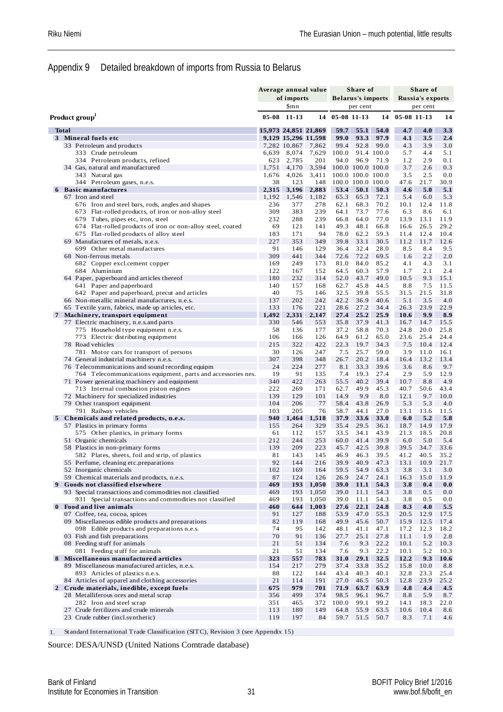#### Appendix 9 Detailed breakdown of imports from Russia to Belarus

|             |              |                                                                                          |             |                     | Average annual value |                     | Share of                  |              |              | Share of                |              |
|-------------|--------------|------------------------------------------------------------------------------------------|-------------|---------------------|----------------------|---------------------|---------------------------|--------------|--------------|-------------------------|--------------|
|             |              |                                                                                          |             | of imports          |                      |                     | <b>Belarus's imports</b>  |              |              | <b>Russia's exports</b> |              |
|             |              |                                                                                          |             | \$mn                |                      |                     | per cent                  |              |              | per cent                |              |
|             |              | Product group                                                                            | $05-08$     | 11-13               |                      | 14 05-08 11-13      |                           | 14           | 05-08 11-13  |                         | 14           |
|             | <b>Total</b> |                                                                                          |             |                     | 15,973 24,851 21,869 | 59.7                | 55.1                      | 54.0         | 4.7          | 4.0                     | 3.3          |
|             |              | 3 Mineral fuels etc                                                                      |             | 9,129 15,296 11,598 |                      | 99.0                | 93.3                      | 97.9         | 4.1          | 3.5                     | 2.4          |
|             |              | 33 Petroleum and products                                                                |             | 7,282 10,867        | 7,862                | 99.4                | 92.8                      | 99.0         | 4.3          | 3.9                     | 3.0          |
|             |              | 333 Crude petroleum                                                                      | 6,639       | 8,074               | 7,629                | 100.0               |                           | 91.4 100.0   | 5.7          | 4.4                     | 5.1          |
|             |              | 334 Petroleum products, refined                                                          | 623         | 2,785               | 201                  | 94.0                | 96.9                      | 71.9         | 1.2          | 2.9                     | 0.1          |
|             |              | 34 Gas, natural and manufactured                                                         | 1,751       | 4,170               | 3,594                |                     | 100.0 100.0 100.0         |              | 3.7          | 2.6                     | 0.3          |
|             |              | 343 Natural gas                                                                          | 1,676       | 4,026               | 3,411                |                     | 100.0 100.0 100.0         |              | 3.5          | 2.5                     | 0.0          |
|             |              | 344 Petroleum gases, n.e.s.<br><b>Basic manufactures</b>                                 | 38<br>2,315 | 123<br>3,196        | 148<br>2,883         | 53.4                | 100.0 100.0 100.0<br>50.1 | 50.3         | 47.6<br>4.6  | 21.7<br>5.0             | 30.9<br>5.1  |
|             |              | 67 Iron and steel                                                                        | 1,192       | 1,546               | 1,182                | 65.3                | 65.3                      | 72.1         | 5.4          | 6.0                     | 5.3          |
|             |              | 676 Iron and steel bars, rods, angles and shapes                                         | 236         | 377                 | 278                  | 62.1                | 68.3                      | 70.2         | 10.1         | 12.4                    | 11.8         |
|             |              | 673 Flat-rolled products, of iron or non-alloy steel                                     | 309         | 383                 | 239                  | 64.1                | 73.7                      | 77.6         | 6.3          | 8.6                     | 6.1          |
|             |              | 679 Tubes, pipes etc, iron, steel                                                        | 232         | 288                 | 239                  | 66.8                | 64.0                      | 77.0         | 13.9         | 13.1                    | 11.9         |
|             |              | 674 Flat-rolled products of iron or non-alloy steel, coated                              | 69          | 121                 | 141                  | 49.3                | 48.1                      | 66.8         | 16.6         | 26.5                    | 29.2         |
|             |              | 675 Flat-rolled products of alloy steel                                                  | 183         | 171                 | 94                   | 78.0                | 62.2                      | 59.3         | 11.4         | 12.4                    | 10.4         |
|             |              | 69 Manufactures of metals, n.e.s.                                                        | 227         | 353                 | 349                  | 39.8                | 33.1                      | 30.5         | 11.2         | 11.7                    | 12.6         |
|             |              | 699 Other metal manufactures                                                             | 91          | 146                 | 129                  | 36.4                | 32.4                      | 28.0         | 8.5          | 8.4                     | 9.5          |
|             |              | 68 Non-ferrous metals<br>682 Copper excl.cement copper                                   | 309         | 441<br>249          | 344                  | 72.6<br>81.0        | 72.2<br>84.0              | 69.5         | 1.6<br>4.1   | 2.2                     | 2.0          |
|             |              | 684 Aluminium                                                                            | 169<br>122  | 167                 | 173<br>152           | 64.5                | 60.3                      | 85.2<br>57.9 | 1.7          | 4.3<br>2.1              | 3.1<br>2.4   |
|             |              | 64 Paper, paperboard and articles thereof                                                | 180         | 232                 | 314                  | 52.0                | 43.7                      | 49.0         | 10.5         | 9.3                     | 15.1         |
|             |              | 641 Paper and paperboard                                                                 | 140         | 157                 | 168                  | 62.7                | 45.8                      | 44.5         | 8.8          | 7.5                     | 11.5         |
|             |              | 642 Paper and paperboard, precut and articles                                            | 40          | 75                  | 146                  | 32.5                | 39.8                      | 55.5         | 31.5         | 21.5                    | 31.8         |
|             |              | 66 Non-metallic mineral manufactures, n.e.s.                                             | 137         | 202                 | 242                  | 42.2                | 36.9                      | 40.6         | 5.1          | 3.5                     | 4.0          |
|             |              | 65 Textile yarn, fabrics, made up articles, etc.                                         | 133         | 176                 | 221                  | 28.6                | 27.2                      | 34.4         | 26.3         | 23.9                    | 22.9         |
| $7^{\circ}$ |              | Machinery, transport equipment                                                           | 1,492       | 2,331               | 2,147                | 27.4                | 25.2                      | 25.9         | 10.6         | 9.9                     | 8.9          |
|             |              | 77 Electric machinery, n.e.s.and parts                                                   | 330         | 546                 | 553                  | 35.8                | 37.9                      | 41.3         | 16.7         | 14.7                    | 15.5         |
|             |              | 775 Household type equipment n.e.s.                                                      | 58          | 136                 | 177                  | 37.2                | 58.8                      | 70.3         | 24.8         | 20.0                    | 25.8         |
|             |              | 773 Electric distributing equipment<br>78 Road vehicles                                  | 106<br>215  | 166<br>322          | 126<br>422           | 64.9<br>22.3        | 61.2<br>19.7              | 65.0<br>34.3 | 23.6<br>7.5  | 25.4<br>10.4            | 24.4<br>12.4 |
|             |              | 781 Motor cars for transport of persons                                                  | 30          | 126                 | 247                  | 7.5                 | 25.7                      | 59.0         | 3.9          | 11.0                    | 16.1         |
|             |              | 74 General industrial machinery n.e.s.                                                   | 307         | 398                 | 348                  | 26.7                | 20.2                      | 18.4         | 16.4         | 13.2                    | 13.4         |
|             |              | 76 Telecommunications and sound recording equipm                                         | 24          | 224                 | 277                  | 8.1                 | 33.3                      | 39.6         | 3.6          | 8.6                     | 9.7          |
|             |              | 764 Telecommunications equipment, parts and accessories nes.                             | 19          | 91                  | 135                  | 7.4                 | 19.3                      | 27.4         | 2.9          | 5.9                     | 12.9         |
|             |              | 71 Power generating machinery and equipment                                              | 340         | 422                 | 263                  | 55.5                | 40.2                      | 39.4         | 10.7         | 8.8                     | 4.9          |
|             |              | 713 Internal combustion piston engines                                                   | 222         | 269                 | 171                  | 62.7                | 49.9                      | 45.3         | 40.7         | 50.6                    | 43.4         |
|             |              | 72 Machinery for specialized industries                                                  | 139         | 129                 | 101                  | 14.9                | 9.9                       | 8.0          | 12.1         | 9.7                     | 10.0         |
|             |              | 79 Other transport equipment                                                             | 104<br>103  | 206<br>205          | 77<br>76             | 58.4<br>58.7        | 43.8<br>44.1              | 26.9<br>27.0 | 5.3<br>13.1  | 5.3                     | 4.0          |
| 5           |              | 791 Railway vehicles<br>Chemicals and related products, n.e.s.                           | 940         | 1,464               | 1,518                | 37.9                | 33.6                      | 33.0         | 6.0          | 13.6<br>5.2             | 11.5<br>5.8  |
|             |              | 57 Plastics in primary forms                                                             | 155         | 264                 | 329                  | 35.4                | 29.5                      | 36.1         | 18.7         | 14.9                    | 17.9         |
|             |              | 575 Other plastics, in primary forms                                                     | 61          | 112                 | 157                  | 33.5                | 34.1                      | 43.9         | 21.3         | 18.5                    | 20.8         |
|             |              | 51 Organic chemicals                                                                     | 212         | 244                 | 253                  | 60.0                | 41.4                      | 39.9         | 6.0          | 5.0                     | 5.4          |
|             |              | 58 Plastics in non-primary forms                                                         | 139         | 209                 | 223                  | 45.7                | 42.5                      | 39.8         | 39.5         | 34.7                    | 33.6         |
|             |              | 582 Plates, sheets, foil and strip, of plastics                                          | 81          | 143                 | 145                  | 46.9                | 46.3                      | 39.5         | 41.2         | 40.5                    | 35.2         |
|             |              | 55 Perfume, cleaning etc.preparations                                                    | 92          | 144                 | 216                  | 39.9                | 40.9                      | 47.3         | 13.1         | 10.9                    | 21.7         |
|             |              | 52 Inorganic chemicals                                                                   | 102         | 169                 | 164                  | 59.5                | 54.9                      | 63.3         | 3.8          | 3.1                     | 3.0          |
| 9           |              | 59 Chemical materials and products, n.e.s.                                               | 87          | 124                 | 126                  | 26.9                | 24.7                      | 24.1         | 16.3         | 15.0                    | 11.9         |
|             |              | Goods not classified elsewhere<br>93 Special transactions and commodities not classified | 469<br>469  | 193<br>193          | 1,050<br>1,050       | <b>39.0</b><br>39.0 | 11.1<br>11.1              | 54.3<br>54.3 | 3.8<br>3.8   | 0.4<br>0.5              | 0.0<br>0.0   |
|             |              | 931 Special transactions and commodities not classified                                  | 469         | 193                 | 1,050                | 39.0                | 11.1                      | 54.3         | 3.8          | 0.5                     | 0.0          |
|             |              | 0 Food and live animals                                                                  | 460         | 644                 | 1,003                | 27.6                | 22.1                      | 24.8         | 8.3          | 4.0                     | 5.5          |
|             |              | 07 Coffee, tea, cocoa, spices                                                            | 91          | 127                 | 188                  | 53.9                | 47.0                      | 55.3         | 20.5         | 12.9                    | 17.5         |
|             |              | 09 Miscellaneous edible products and preparations                                        | 82          | 119                 | 168                  | 49.9                | 45.6                      | 50.7         | 15.9         | 12.5                    | 17.4         |
|             |              | 098 Edible products and preparations n.e.s.                                              | 74          | 95                  | 142                  | 48.1                | 41.1                      | 47.1         | 17.2         | 12.3                    | 18.2         |
|             |              | 03 Fish and fish preparations                                                            | 70          | 91                  | 136                  | 27.7                | 25.1                      | 27.8         | 11.1         | 1.9                     | 2.8          |
|             |              | 08 Feeding stuff for animals                                                             | 21          | 51                  | 134                  | 7.6                 | 9.3                       | 22.2         | 10.1         | 5.2                     | 10.3         |
|             |              | 081 Feeding stuff for animals                                                            | 21          | 51                  | 134                  | 7.6                 | 9.3                       | 22.2         | 10.1         | 5.2                     | 10.3         |
| 8           |              | Miscellaneous manufactured articles<br>89 Miscellaneous manufactured articles, n.e.s.    | 323<br>154  | 557<br>217          | 783<br>279           | <b>31.0</b><br>37.4 | 29.1<br>33.8              | 32.5<br>35.2 | 12.2<br>15.8 | 9.3<br>10.0             | 10.6<br>8.8  |
|             |              | 893 Articles of plastics n.e.s.                                                          | 88          | 122                 | 144                  | 43.4                | 40.3                      | 40.1         | 32.8         | 23.3                    | 25.4         |
|             |              | 84 Articles of apparel and clothing accessories                                          | 21          | 114                 | 191                  | 27.0                | 46.5                      | 50.3         | 12.8         | 23.9                    | 25.2         |
|             |              | 2 Crude materials, inedible, except fuels                                                | 675         | 979                 | 701                  | 71.9                | 63.7                      | 63.9         | 4.8          | 4.4                     | 4.5          |
|             |              | 28 Metalliferous ores and metal scrap                                                    | 356         | 499                 | 374                  | 98.5                | 96.1                      | 96.7         | 8.8          | 5.9                     | 8.7          |
|             |              | 282 Iron and steel scrap                                                                 | 351         | 465                 | 372                  | 100.0               | 99.1                      | 99.2         | 14.1         | 18.3                    | 22.0         |
|             |              | 27 Crude fertilizers and crude minerals                                                  | 113         | 180                 | 149                  | 64.8                | 55.9                      | 63.5         | 10.6         | 10.4                    | 8.6          |
|             |              | 23 Crude rubber (incl.synthetic)                                                         | 119         | 197                 | 84                   | 59.7                | 51.5                      | 50.7         | 8.3          | 7.1                     | 4.6          |

1. Standard International Trade Classification (SITC), Revision 3 (see Appendix 15)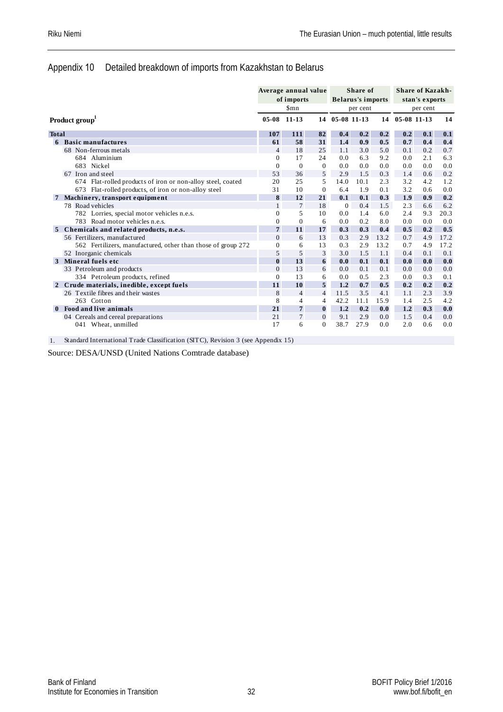#### Appendix 10 Detailed breakdown of imports from Kazakhstan to Belarus

|              |                                                              |                | Average annual value<br>of imports |                | <b>Belarus's imports</b> | Share of |      |             | <b>Share of Kazakh-</b><br>stan's exports |      |
|--------------|--------------------------------------------------------------|----------------|------------------------------------|----------------|--------------------------|----------|------|-------------|-------------------------------------------|------|
|              |                                                              |                | Smn                                |                |                          | per cent |      |             | per cent                                  |      |
|              | Product group                                                | $05 - 08$      | $11 - 13$                          | 14             | 05-08 11-13              |          | 14   | 05-08 11-13 |                                           | 14   |
| <b>Total</b> |                                                              | 107            | 111                                | 82             | 0.4                      | 0.2      | 0.2  | 0.2         | 0.1                                       | 0.1  |
| 6            | <b>Basic manufactures</b>                                    | 61             | 58                                 | 31             | 1.4                      | 0.9      | 0.5  | 0.7         | 0.4                                       | 0.4  |
|              | 68 Non-ferrous metals                                        | $\overline{4}$ | 18                                 | 25             | 1.1                      | 3.0      | 5.0  | 0.1         | 0.2                                       | 0.7  |
|              | 684 Aluminium                                                | $\mathbf{0}$   | 17                                 | 24             | 0.0                      | 6.3      | 9.2  | 0.0         | 2.1                                       | 6.3  |
|              | 683 Nickel                                                   | $\mathbf{0}$   | $\overline{0}$                     | $\overline{0}$ | 0.0                      | 0.0      | 0.0  | 0.0         | 0.0                                       | 0.0  |
|              | 67 Iron and steel                                            | 53             | 36                                 | 5              | 2.9                      | 1.5      | 0.3  | 1.4         | 0.6                                       | 0.2  |
|              | 674 Flat-rolled products of iron or non-alloy steel, coated  | 20             | 25                                 | 5              | 14.0                     | 10.1     | 2.3  | 3.2         | 4.2                                       | 1.2  |
|              | 673 Flat-rolled products, of iron or non-alloy steel         | 31             | 10                                 | $\overline{0}$ | 6.4                      | 1.9      | 0.1  | 3.2         | 0.6                                       | 0.0  |
|              | Machinery, transport equipment                               | 8              | 12                                 | 21             | 0.1                      | 0.1      | 0.3  | 1.9         | 0.9                                       | 0.2  |
|              | 78 Road vehicles                                             | $\mathbf{1}$   | $\overline{7}$                     | 18             | $\theta$                 | 0.4      | 1.5  | 2.3         | 6.6                                       | 6.2  |
|              | 782 Lorries, special motor vehicles n.e.s.                   | $\theta$       | 5                                  | 10             | 0.0                      | 1.4      | 6.0  | 2.4         | 9.3                                       | 20.3 |
|              | 783 Road motor vehicles n.e.s.                               | $\mathbf{0}$   | $\mathbf{0}$                       | 6              | 0.0                      | 0.2      | 8.0  | 0.0         | 0.0                                       | 0.0  |
| 5            | Chemicals and related products, n.e.s.                       | $\overline{7}$ | 11                                 | 17             | 0.3                      | 0.3      | 0.4  | 0.5         | 0.2                                       | 0.5  |
|              | 56 Fertilizers, manufactured                                 | $\overline{0}$ | 6                                  | 13             | 0.3                      | 2.9      | 13.2 | 0.7         | 4.9                                       | 17.2 |
|              | 562 Fertilizers, manufactured, other than those of group 272 | $\mathbf{0}$   | 6                                  | 13             | 0.3                      | 2.9      | 13.2 | 0.7         | 4.9                                       | 17.2 |
|              | 52 Inorganic chemicals                                       | 5              | 5                                  | 3              | 3.0                      | 1.5      | 1.1  | 0.4         | 0.1                                       | 0.1  |
| 3            | Mineral fuels etc                                            | $\bf{0}$       | 13                                 | 6              | 0.0                      | 0.1      | 0.1  | 0.0         | 0.0                                       | 0.0  |
|              | 33 Petroleum and products                                    | $\overline{0}$ | 13                                 | 6              | 0.0                      | 0.1      | 0.1  | 0.0         | 0.0                                       | 0.0  |
|              | 334 Petroleum products, refined                              | $\mathbf{0}$   | 13                                 | 6              | 0.0                      | 0.5      | 2.3  | 0.0         | 0.3                                       | 0.1  |
|              | Crude materials, inedible, except fuels                      | 11             | 10                                 | 5              | 1.2                      | 0.7      | 0.5  | 0.2         | 0.2                                       | 0.2  |
|              | 26 Textile fibres and their wastes                           | 8              | $\overline{4}$                     | $\overline{4}$ | 11.5                     | 3.5      | 4.1  | 1.1         | 2.3                                       | 3.9  |
|              | 263 Cotton                                                   | 8              | $\overline{4}$                     | $\overline{4}$ | 42.2                     | 11.1     | 15.9 | 1.4         | 2.5                                       | 4.2  |
| $\mathbf{0}$ | Food and live animals                                        | 21             | $\overline{7}$                     | $\bf{0}$       | 1.2                      | 0.2      | 0.0  | 1.2         | 0.3                                       | 0.0  |
|              | 04 Cereals and cereal preparations                           | 21             | $\overline{7}$                     | $\Omega$       | 9.1                      | 2.9      | 0.0  | 1.5         | 0.4                                       | 0.0  |
|              | 041 Wheat, unmilled                                          | 17             | 6                                  | $\Omega$       | 38.7                     | 27.9     | 0.0  | 2.0         | 0.6                                       | 0.0  |

1. Standard International Trade Classification (SITC), Revision 3 (see Appendix 15)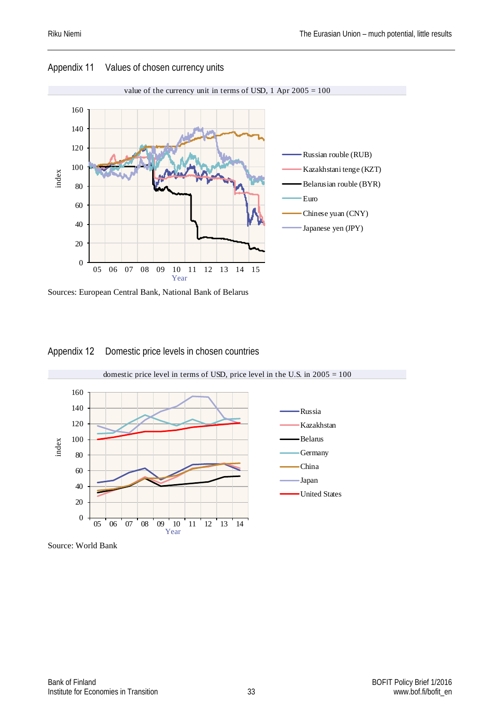

#### Appendix 11 Values of chosen currency units



#### Appendix 12 Domestic price levels in chosen countries



#### Source: World Bank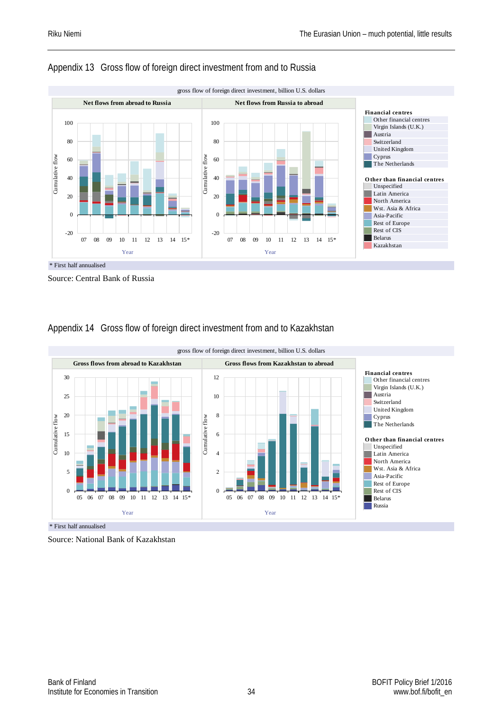

#### Appendix 13 Gross flow of foreign direct investment from and to Russia

Source: Central Bank of Russia

### Appendix 14 Gross flow of foreign direct investment from and to Kazakhstan



Source: National Bank of Kazakhstan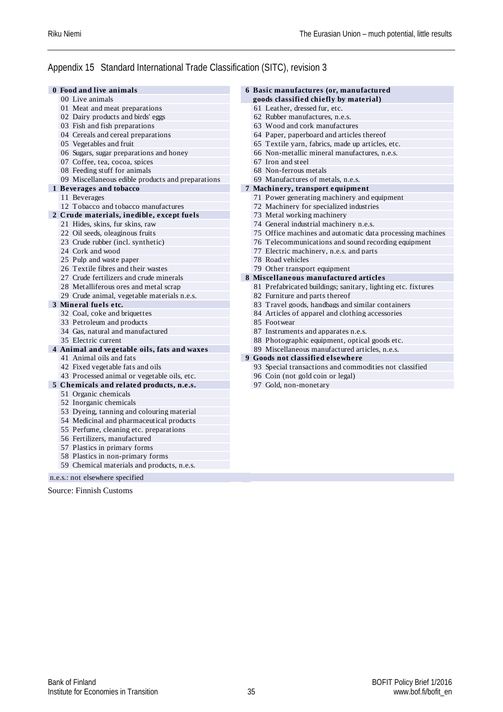#### Appendix 15 Standard International Trade Classification (SITC), revision 3

| 0 Food and live animals                           | 6 Basic manufactures (or, manufactured                       |  |
|---------------------------------------------------|--------------------------------------------------------------|--|
| 00 Live animals                                   | goods classified chiefly by material)                        |  |
| 01 Meat and meat preparations                     | 61 Leather, dressed fur, etc.                                |  |
| 02 Dairy products and birds' eggs                 | 62 Rubber manufactures, n.e.s.                               |  |
| 03 Fish and fish preparations                     | 63 Wood and cork manufactures                                |  |
| 04 Cereals and cereal preparations                | 64 Paper, paperboard and articles thereof                    |  |
| 05 Vegetables and fruit                           | 65 Textile yarn, fabrics, made up articles, etc.             |  |
| 06 Sugars, sugar preparations and honey           | 66 Non-metallic mineral manufactures, n.e.s.                 |  |
| 07 Coffee, tea, cocoa, spices                     | 67 Iron and steel                                            |  |
| 08 Feeding stuff for animals                      | 68 Non-ferrous metals                                        |  |
| 09 Miscellaneous edible products and preparations | 69 Manufactures of metals, n.e.s.                            |  |
| 1 Beverages and tobacco                           | 7 Machinery, transport equipment                             |  |
| 11 Beverages                                      | 71 Power generating machinery and equipment                  |  |
| 12 Tobacco and tobacco manufactures               | 72 Machinery for specialized industries                      |  |
| 2 Crude materials, inedible, except fuels         | 73 Metal working machinery                                   |  |
| 21 Hides, skins, fur skins, raw                   | 74 General industrial machinery n.e.s.                       |  |
| 22 Oil seeds, oleaginous fruits                   | 75 Office machines and automatic data processing machines    |  |
| 23 Crude rubber (incl. synthetic)                 | 76 Telecommunications and sound recording equipment          |  |
| 24 Cork and wood                                  | 77 Electric machinery, n.e.s. and parts                      |  |
| 25 Pulp and waste paper                           | 78 Road vehicles                                             |  |
| 26 Textile fibres and their wastes                | 79 Other transport equipment                                 |  |
| 27 Crude fertilizers and crude minerals           | 8 Miscellaneous manufactured articles                        |  |
| 28 Metalliferous ores and metal scrap             | 81 Prefabricated buildings; sanitary, lighting etc. fixtures |  |
| 29 Crude animal, vegetable materials n.e.s.       | 82 Furniture and parts thereof                               |  |
| 3 Mineral fuels etc.                              | 83 Travel goods, handbags and similar containers             |  |
| 32 Coal, coke and briquettes                      | 84 Articles of apparel and clothing accessories              |  |
| 33 Petroleum and products                         | 85 Footwear                                                  |  |
| 34 Gas, natural and manufactured                  | 87 Instruments and apparates n.e.s.                          |  |
| 35 Electric current                               | 88 Photographic equipment, optical goods etc.                |  |
| 4 Animal and vegetable oils, fats and waxes       | 89 Miscellaneous manufactured articles, n.e.s.               |  |
| 41 Animal oils and fats                           | 9 Goods not classified elsewhere                             |  |
| 42 Fixed vegetable fats and oils                  | 93 Special transactions and commodities not classified       |  |
| 43 Processed animal or vegetable oils, etc.       | 96 Coin (not gold coin or legal)                             |  |
| 5 Chemicals and related products, n.e.s.          | 97 Gold, non-monetary                                        |  |
| 51 Organic chemicals                              |                                                              |  |
| 52 Inorganic chemicals                            |                                                              |  |
| 53 Dyeing, tanning and colouring material         |                                                              |  |
| 54 Medicinal and pharmaceutical products          |                                                              |  |
| 55 Perfume, cleaning etc. preparations            |                                                              |  |
| 56 Fertilizers, manufactured                      |                                                              |  |
| 57 Plastics in primary forms                      |                                                              |  |
| 58 Plastics in non-primary forms                  |                                                              |  |
| 59 Chemical materials and products, n.e.s.        |                                                              |  |
|                                                   |                                                              |  |

n.e.s.: not elsewhere specified

Source: Finnish Customs

Bank of Finland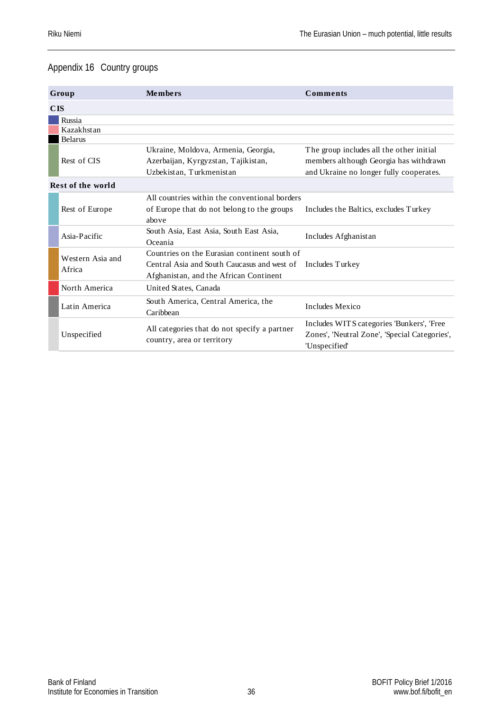#### Appendix 16 Country groups

|                   | Group                      | Members                                                                                                                               | <b>Comments</b>                                                                                                               |
|-------------------|----------------------------|---------------------------------------------------------------------------------------------------------------------------------------|-------------------------------------------------------------------------------------------------------------------------------|
| CIS               |                            |                                                                                                                                       |                                                                                                                               |
|                   | Russia                     |                                                                                                                                       |                                                                                                                               |
|                   | Kazakhstan                 |                                                                                                                                       |                                                                                                                               |
| <b>Belarus</b>    |                            |                                                                                                                                       |                                                                                                                               |
|                   | Rest of CIS                | Ukraine, Moldova, Armenia, Georgia,<br>Azerbaijan, Kyrgyzstan, Tajikistan,<br>Uzbekistan, Turkmenistan                                | The group includes all the other initial<br>members although Georgia has withdrawn<br>and Ukraine no longer fully cooperates. |
| Rest of the world |                            |                                                                                                                                       |                                                                                                                               |
|                   | Rest of Europe             | All countries within the conventional borders<br>of Europe that do not belong to the groups<br>above                                  | Includes the Baltics, excludes Turkey                                                                                         |
|                   | Asia-Pacific               | South Asia, East Asia, South East Asia,<br>Oceania                                                                                    | Includes Afghanistan                                                                                                          |
|                   | Western Asia and<br>Africa | Countries on the Eurasian continent south of<br>Central Asia and South Caucasus and west of<br>Afghanistan, and the African Continent | Includes Turkey                                                                                                               |
|                   | North America              | United States, Canada                                                                                                                 |                                                                                                                               |
|                   | Latin America              | South America, Central America, the<br>Caribbean                                                                                      | Includes Mexico                                                                                                               |
|                   | Unspecified                | All categories that do not specify a partner<br>country, area or territory                                                            | Includes WITS categories 'Bunkers', 'Free<br>Zones', 'Neutral Zone', 'Special Categories',<br>'Unspecified'                   |